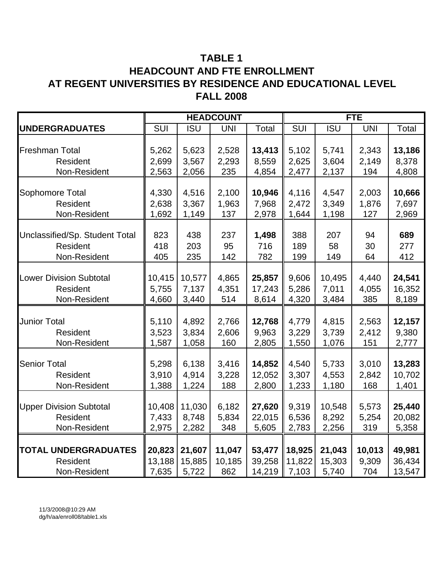# **TABLE 1 HEADCOUNT AND FTE ENROLLMENT AT REGENT UNIVERSITIES BY RESIDENCE AND EDUCATIONAL LEVEL FALL 2008**

|                                |        |            | <b>HEADCOUNT</b> |        |        | <b>FTE</b> |            |        |  |
|--------------------------------|--------|------------|------------------|--------|--------|------------|------------|--------|--|
| <b>UNDERGRADUATES</b>          | SUI    | <b>ISU</b> | <b>UNI</b>       | Total  | SUI    | <b>ISU</b> | <b>UNI</b> | Total  |  |
|                                |        |            |                  |        |        |            |            |        |  |
| Freshman Total                 | 5,262  | 5,623      | 2,528            | 13,413 | 5,102  | 5,741      | 2,343      | 13,186 |  |
| Resident                       | 2,699  | 3,567      | 2,293            | 8,559  | 2,625  | 3,604      | 2,149      | 8,378  |  |
| Non-Resident                   | 2,563  | 2,056      | 235              | 4,854  | 2,477  | 2,137      | 194        | 4,808  |  |
|                                |        |            |                  |        |        |            |            |        |  |
| Sophomore Total                | 4,330  | 4,516      | 2,100            | 10,946 | 4,116  | 4,547      | 2,003      | 10,666 |  |
| Resident                       | 2,638  | 3,367      | 1,963            | 7,968  | 2,472  | 3,349      | 1,876      | 7,697  |  |
| Non-Resident                   | 1,692  | 1,149      | 137              | 2,978  | 1,644  | 1,198      | 127        | 2,969  |  |
|                                |        |            |                  |        |        |            |            |        |  |
| Unclassified/Sp. Student Total | 823    | 438        | 237              | 1,498  | 388    | 207        | 94         | 689    |  |
| Resident                       | 418    | 203        | 95               | 716    | 189    | 58         | 30         | 277    |  |
| Non-Resident                   | 405    | 235        | 142              | 782    | 199    | 149        | 64         | 412    |  |
|                                |        |            |                  |        |        |            |            |        |  |
| <b>Lower Division Subtotal</b> | 10,415 | 10,577     | 4,865            | 25,857 | 9,606  | 10,495     | 4,440      | 24,541 |  |
| Resident                       | 5,755  | 7,137      | 4,351            | 17,243 | 5,286  | 7,011      | 4,055      | 16,352 |  |
| Non-Resident                   | 4,660  | 3,440      | 514              | 8,614  | 4,320  | 3,484      | 385        | 8,189  |  |
|                                |        |            |                  |        |        |            |            |        |  |
| <b>Junior Total</b>            | 5,110  | 4,892      | 2,766            | 12,768 | 4,779  | 4,815      | 2,563      | 12,157 |  |
| Resident                       | 3,523  | 3,834      | 2,606            | 9,963  | 3,229  | 3,739      | 2,412      | 9,380  |  |
| Non-Resident                   | 1,587  | 1,058      | 160              | 2,805  | 1,550  | 1,076      | 151        | 2,777  |  |
| <b>Senior Total</b>            | 5,298  | 6,138      | 3,416            | 14,852 | 4,540  | 5,733      | 3,010      | 13,283 |  |
| Resident                       | 3,910  | 4,914      |                  | 12,052 | 3,307  | 4,553      | 2,842      | 10,702 |  |
|                                |        |            | 3,228            |        |        |            |            |        |  |
| Non-Resident                   | 1,388  | 1,224      | 188              | 2,800  | 1,233  | 1,180      | 168        | 1,401  |  |
| <b>Upper Division Subtotal</b> | 10,408 | 11,030     | 6,182            | 27,620 | 9,319  | 10,548     | 5,573      | 25,440 |  |
| Resident                       | 7,433  | 8,748      | 5,834            | 22,015 | 6,536  | 8,292      | 5,254      | 20,082 |  |
| Non-Resident                   | 2,975  | 2,282      | 348              | 5,605  | 2,783  | 2,256      | 319        | 5,358  |  |
|                                |        |            |                  |        |        |            |            |        |  |
| <b>TOTAL UNDERGRADUATES</b>    | 20,823 | 21,607     | 11,047           | 53,477 | 18,925 | 21,043     | 10,013     | 49,981 |  |
| Resident                       | 13,188 | 15,885     | 10,185           | 39,258 | 11,822 | 15,303     | 9,309      | 36,434 |  |
| Non-Resident                   | 7,635  | 5,722      | 862              | 14,219 | 7,103  | 5,740      | 704        | 13,547 |  |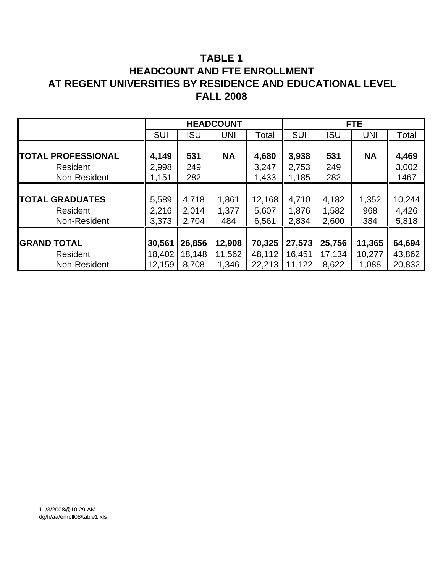# **TABLE 1 HEADCOUNT AND FTE ENROLLMENT AT REGENT UNIVERSITIES BY RESIDENCE AND EDUCATIONAL LEVEL FALL 2008**

|                           |            |            | <b>HEADCOUNT</b> |        |                      |            | <b>FTE</b> |        |
|---------------------------|------------|------------|------------------|--------|----------------------|------------|------------|--------|
|                           | <b>SUI</b> | <b>ISU</b> | <b>UNI</b>       | Total  | <b>SUI</b>           | <b>ISU</b> | <b>UNI</b> | Total  |
|                           |            |            |                  |        |                      |            |            |        |
| <b>TOTAL PROFESSIONAL</b> | 4,149      | 531        | <b>NA</b>        | 4,680  | 3,938                | 531        | <b>NA</b>  | 4,469  |
| Resident                  | 2,998      | 249        |                  | 3,247  | 2,753                | 249        |            | 3,002  |
| Non-Resident              | 1,151      | 282        |                  | 1,433  | 1,185                | 282        |            | 1467   |
|                           |            |            |                  |        |                      |            |            |        |
| <b>TOTAL GRADUATES</b>    | 5,589      | 4,718      | 1,861            | 12,168 | 4,710                | 4,182      | 1,352      | 10,244 |
| Resident                  | 2,216      | 2,014      | 1,377            | 5,607  | 1,876                | 1,582      | 968        | 4,426  |
| Non-Resident              | 3,373      | 2,704      | 484              | 6,561  | 2,834                | 2,600      | 384        | 5,818  |
|                           |            |            |                  |        |                      |            |            |        |
| <b>GRAND TOTAL</b>        | 30,561     | 26,856     | 12,908           | 70,325 | $\vert 27,573 \vert$ | 25,756     | 11,365     | 64,694 |
| Resident                  | 18,402     | 18,148     | 11,562           | 48,112 | 16,451               | 17,134     | 10,277     | 43,862 |
| Non-Resident              | 12,159     | 8,708      | 1,346            | 22,213 | $\parallel$ 11,122   | 8,622      | 1,088      | 20,832 |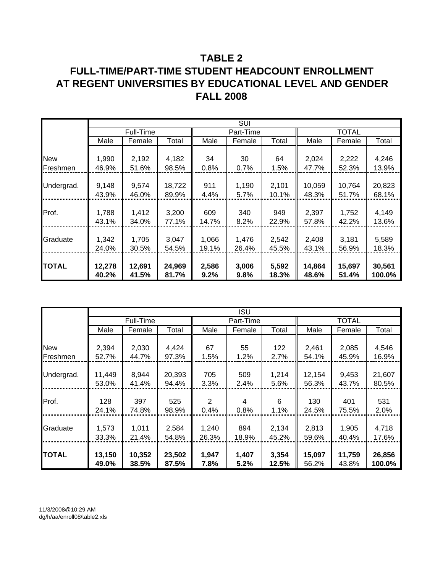# **TABLE 2 FULL-TIME/PART-TIME STUDENT HEADCOUNT ENROLLMENT AT REGENT UNIVERSITIES BY EDUCATIONAL LEVEL AND GENDER FALL 2008**

|              |        |           |        |       | <b>SUI</b> |       |        |              |        |
|--------------|--------|-----------|--------|-------|------------|-------|--------|--------------|--------|
|              |        | Full-Time |        |       | Part-Time  |       |        | <b>TOTAL</b> |        |
|              | Male   | Female    | Total  | Male  | Female     | Total | Male   | Female       | Total  |
|              |        |           |        |       |            |       |        |              |        |
| <b>New</b>   | 1,990  | 2,192     | 4,182  | 34    | 30         | 64    | 2,024  | 2,222        | 4,246  |
| Freshmen     | 46.9%  | 51.6%     | 98.5%  | 0.8%  | 0.7%       | 1.5%  | 47.7%  | 52.3%        | 13.9%  |
|              |        |           |        |       |            |       |        |              |        |
| Undergrad.   | 9,148  | 9,574     | 18,722 | 911   | 1,190      | 2,101 | 10,059 | 10,764       | 20,823 |
|              | 43.9%  | 46.0%     | 89.9%  | 4.4%  | 5.7%       | 10.1% | 48.3%  | 51.7%        | 68.1%  |
|              |        |           |        |       |            |       |        |              |        |
| Prof.        | 1,788  | 1,412     | 3,200  | 609   | 340        | 949   | 2,397  | 1,752        | 4,149  |
|              | 43.1%  | 34.0%     | 77.1%  | 14.7% | 8.2%       | 22.9% | 57.8%  | 42.2%        | 13.6%  |
|              |        |           |        |       |            |       |        |              |        |
| Graduate     | 1,342  | 1,705     | 3,047  | 1,066 | 1,476      | 2,542 | 2,408  | 3,181        | 5,589  |
|              | 24.0%  | 30.5%     | 54.5%  | 19.1% | 26.4%      | 45.5% | 43.1%  | 56.9%        | 18.3%  |
|              |        |           |        |       |            |       |        |              |        |
| <b>TOTAL</b> | 12,278 | 12,691    | 24,969 | 2,586 | 3,006      | 5,592 | 14,864 | 15,697       | 30,561 |
|              | 40.2%  | 41.5%     | 81.7%  | 9.2%  | 9.8%       | 18.3% | 48.6%  | 51.4%        | 100.0% |

|               | ISU    |           |        |       |           |       |        |              |        |
|---------------|--------|-----------|--------|-------|-----------|-------|--------|--------------|--------|
|               |        | Full-Time |        |       | Part-Time |       |        | <b>TOTAL</b> |        |
|               | Male   | Female    | Total  | Male  | Female    | Total | Male   | Female       | Total  |
|               |        |           |        |       |           |       |        |              |        |
| <b>New</b>    | 2,394  | 2,030     | 4,424  | 67    | 55        | 122   | 2,461  | 2,085        | 4,546  |
| Freshmen      | 52.7%  | 44.7%     | 97.3%  | 1.5%  | 1.2%      | 2.7%  | 54.1%  | 45.9%        | 16.9%  |
|               |        |           |        |       |           |       |        |              |        |
| Undergrad.    | 11,449 | 8,944     | 20,393 | 705   | 509       | 1,214 | 12,154 | 9,453        | 21,607 |
|               | 53.0%  | 41.4%     | 94.4%  | 3.3%  | 2.4%      | 5.6%  | 56.3%  | 43.7%        | 80.5%  |
|               |        |           |        |       |           |       |        |              |        |
| Prof.         | 128    | 397       | 525    | 2     | 4         | 6     | 130    | 401          | 531    |
|               | 24.1%  | 74.8%     | 98.9%  | 0.4%  | 0.8%      | 1.1%  | 24.5%  | 75.5%        | 2.0%   |
|               |        |           |        |       |           |       |        |              |        |
| Graduate      | 1,573  | 1,011     | 2,584  | 1,240 | 894       | 2,134 | 2,813  | 1,905        | 4,718  |
|               | 33.3%  | 21.4%     | 54.8%  | 26.3% | 18.9%     | 45.2% | 59.6%  | 40.4%        | 17.6%  |
|               |        |           |        |       |           |       |        |              |        |
| <b>ITOTAL</b> | 13,150 | 10,352    | 23,502 | 1,947 | 1,407     | 3,354 | 15,097 | 11,759       | 26,856 |
|               | 49.0%  | 38.5%     | 87.5%  | 7.8%  | 5.2%      | 12.5% | 56.2%  | 43.8%        | 100.0% |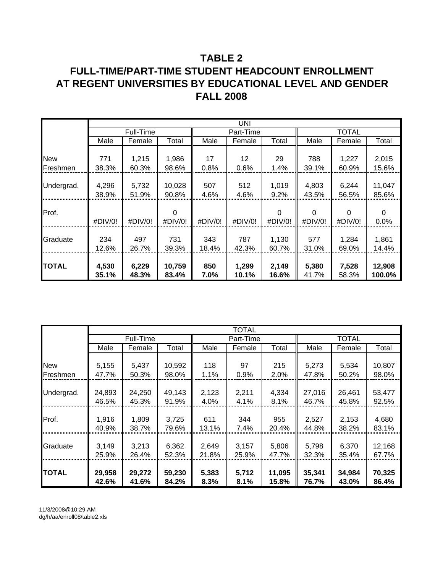# **TABLE 2 FULL-TIME/PART-TIME STUDENT HEADCOUNT ENROLLMENT AT REGENT UNIVERSITIES BY EDUCATIONAL LEVEL AND GENDER FALL 2008**

|            | UNI     |           |         |         |           |         |          |              |        |
|------------|---------|-----------|---------|---------|-----------|---------|----------|--------------|--------|
|            |         | Full-Time |         |         | Part-Time |         |          | <b>TOTAL</b> |        |
|            | Male    | Female    | Total   | Male    | Female    | Total   | Male     | Female       | Total  |
|            |         |           |         |         |           |         |          |              |        |
| <b>New</b> | 771     | 1,215     | 1,986   | 17      | 12        | 29      | 788      | 1,227        | 2,015  |
| Freshmen   | 38.3%   | 60.3%     | 98.6%   | 0.8%    | 0.6%      | 1.4%    | 39.1%    | 60.9%        | 15.6%  |
|            |         |           |         |         |           |         |          |              |        |
| Undergrad. | 4,296   | 5,732     | 10,028  | 507     | 512       | 1,019   | 4,803    | 6,244        | 11,047 |
|            | 38.9%   | 51.9%     | 90.8%   | 4.6%    | 4.6%      | 9.2%    | 43.5%    | 56.5%        | 85.6%  |
|            |         |           |         |         |           |         |          |              |        |
| Prof.      |         |           | 0       |         |           | 0       | $\Omega$ | 0            | 0      |
|            | #DIV/0! | #DIV/0!   | #DIV/0! | #DIV/0! | #DIV/0!   | #DIV/0! | #DIV/O!  | $\#$ DIV/0!  | 0.0%   |
|            |         |           |         |         |           |         |          |              |        |
| Graduate   | 234     | 497       | 731     | 343     | 787       | 1,130   | 577      | 1,284        | 1,861  |
|            | 12.6%   | 26.7%     | 39.3%   | 18.4%   | 42.3%     | 60.7%   | 31.0%    | 69.0%        | 14.4%  |
|            |         |           |         |         |           |         |          |              |        |
| TOTAL      | 4,530   | 6,229     | 10,759  | 850     | 1,299     | 2,149   | 5,380    | 7,528        | 12,908 |
|            | 35.1%   | 48.3%     | 83.4%   | 7.0%    | 10.1%     | 16.6%   | 41.7%    | 58.3%        | 100.0% |

|               |        |           |        |         | <b>TOTAL</b> |        |        |              |        |
|---------------|--------|-----------|--------|---------|--------------|--------|--------|--------------|--------|
|               |        | Full-Time |        |         | Part-Time    |        |        | <b>TOTAL</b> |        |
|               | Male   | Female    | Total  | Male    | Female       | Total  | Male   | Female       | Total  |
|               |        |           |        |         |              |        |        |              |        |
| <b>New</b>    | 5,155  | 5,437     | 10,592 | 118     | 97           | 215    | 5,273  | 5,534        | 10,807 |
| Freshmen      | 47.7%  | 50.3%     | 98.0%  | 1.1%    | 0.9%         | 2.0%   | 47.8%  | 50.2%        | 98.0%  |
|               |        |           |        |         |              |        |        |              |        |
| Undergrad.    | 24,893 | 24,250    | 49,143 | 2,123   | 2,211        | 4,334  | 27,016 | 26,461       | 53,477 |
|               | 46.5%  | 45.3%     | 91.9%  | 4.0%    | 4.1%         | 8.1%   | 46.7%  | 45.8%        | 92.5%  |
|               |        |           |        |         |              |        |        |              |        |
| Prof.         | 1,916  | 1,809     | 3,725  | 611     | 344          | 955    | 2,527  | 2,153        | 4,680  |
|               | 40.9%  | 38.7%     | 79.6%  | 13.1%   | 7.4%         | 20.4%  | 44.8%  | 38.2%        | 83.1%  |
|               |        |           |        |         |              |        |        |              |        |
| Graduate      | 3,149  | 3,213     | 6,362  | 2,649   | 3,157        | 5,806  | 5,798  | 6,370        | 12,168 |
|               | 25.9%  | 26.4%     | 52.3%  | 21.8%   | 25.9%        | 47.7%  | 32.3%  | 35.4%        | 67.7%  |
|               |        |           |        |         |              |        |        |              |        |
| <b>ITOTAL</b> | 29,958 | 29,272    | 59,230 | 5,383   | 5,712        | 11,095 | 35,341 | 34,984       | 70,325 |
|               | 42.6%  | 41.6%     | 84.2%  | $8.3\%$ | 8.1%         | 15.8%  | 76.7%  | 43.0%        | 86.4%  |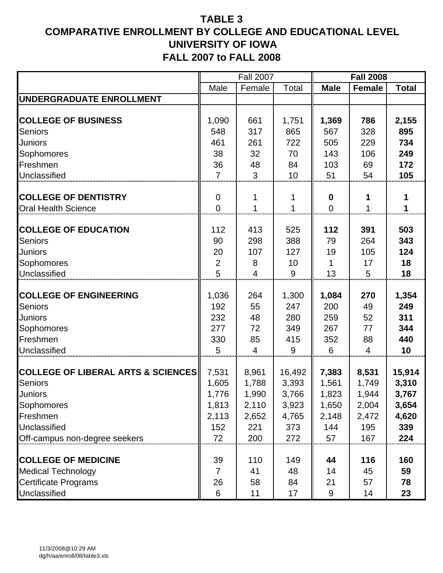|                                               |                | <b>Fall 2007</b> |        |                  | <b>Fall 2008</b> |              |
|-----------------------------------------------|----------------|------------------|--------|------------------|------------------|--------------|
|                                               | Male           | Female           | Total  | <b>Male</b>      | <b>Female</b>    | <b>Total</b> |
| UNDERGRADUATE ENROLLMENT                      |                |                  |        |                  |                  |              |
|                                               |                |                  |        |                  |                  |              |
| <b>COLLEGE OF BUSINESS</b>                    | 1,090          | 661              | 1,751  | 1,369            | 786              | 2,155        |
| <b>Seniors</b>                                | 548            | 317              | 865    | 567              | 328              | 895          |
| <b>Juniors</b>                                | 461            | 261              | 722    | 505              | 229              | 734          |
| Sophomores                                    | 38             | 32               | 70     | 143              | 106              | 249          |
| Freshmen                                      | 36             | 48               | 84     | 103              | 69               | 172          |
| Unclassified                                  | $\overline{7}$ | 3                | 10     | 51               | 54               | 105          |
| <b>COLLEGE OF DENTISTRY</b>                   | $\overline{0}$ |                  | 1      | $\boldsymbol{0}$ | 1                |              |
| <b>Oral Health Science</b>                    | $\overline{0}$ | 1                | 1      | $\overline{0}$   | 1                |              |
|                                               |                |                  |        |                  |                  |              |
| <b>COLLEGE OF EDUCATION</b>                   | 112            | 413              | 525    | 112              | 391              | 503          |
| <b>Seniors</b>                                | 90             | 298              | 388    | 79               | 264              | 343          |
| Juniors                                       | 20             | 107              | 127    | 19               | 105              | 124          |
| Sophomores                                    | $\overline{2}$ | 8                | 10     | 1                | 17               | 18           |
| Unclassified                                  | 5              | 4                | 9      | 13               | 5                | 18           |
|                                               |                |                  |        |                  |                  |              |
| <b>COLLEGE OF ENGINEERING</b>                 | 1,036          | 264              | 1,300  | 1,084            | 270              | 1,354        |
| <b>Seniors</b>                                | 192            | 55               | 247    | 200              | 49               | 249          |
| <b>Juniors</b>                                | 232            | 48               | 280    | 259              | 52               | 311          |
| Sophomores                                    | 277            | 72               | 349    | 267              | 77               | 344          |
| Freshmen                                      | 330            | 85               | 415    | 352              | 88               | 440          |
| Unclassified                                  | 5              | 4                | 9      | 6                | 4                | 10           |
| <b>COLLEGE OF LIBERAL ARTS &amp; SCIENCES</b> | 7,531          | 8,961            | 16,492 | 7,383            | 8,531            | 15,914       |
| <b>Seniors</b>                                | 1,605          | 1,788            | 3,393  | 1,561            | 1,749            | 3,310        |
| Juniors                                       | 1,776          | 1,990            | 3,766  | 1,823            | 1,944            | 3,767        |
| Sophomores                                    | 1,813          | 2,110            | 3,923  | 1,650            | 2,004            | 3,654        |
| Freshmen                                      | 2,113          | 2,652            | 4,765  | 2,148            | 2,472            | 4,620        |
| Unclassified                                  | 152            | 221              | 373    | 144              | 195              | 339          |
| Off-campus non-degree seekers                 | 72             | 200              | 272    | 57               | 167              | 224          |
|                                               |                |                  |        |                  |                  |              |
| <b>COLLEGE OF MEDICINE</b>                    | 39             | 110              | 149    | 44               | 116              | 160          |
| <b>Medical Technology</b>                     | 7              | 41               | 48     | 14               | 45               | 59           |
| <b>Certificate Programs</b>                   | 26             | 58               | 84     | 21               | 57               | 78           |
| Unclassified                                  | 6              | 11               | 17     | 9                | 14               | 23           |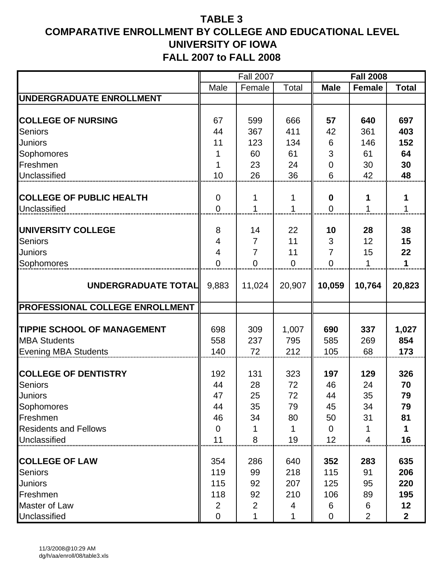|                                        |                | <b>Fall 2007</b> |                |                  | <b>Fall 2008</b> |                |
|----------------------------------------|----------------|------------------|----------------|------------------|------------------|----------------|
|                                        | Male           | Female           | Total          | <b>Male</b>      | <b>Female</b>    | <b>Total</b>   |
| UNDERGRADUATE ENROLLMENT               |                |                  |                |                  |                  |                |
|                                        |                |                  |                |                  |                  |                |
| <b>COLLEGE OF NURSING</b>              | 67             | 599              | 666            | 57               | 640              | 697            |
| <b>Seniors</b>                         | 44             | 367              | 411            | 42               | 361              | 403            |
| <b>Juniors</b>                         | 11             | 123              | 134            | 6                | 146              | 152            |
| Sophomores                             |                | 60               | 61             | 3                | 61               | 64             |
| Freshmen                               |                | 23               | 24             | $\overline{0}$   | 30               | 30             |
| Unclassified                           | 10             | 26               | 36             | 6                | 42               | 48             |
|                                        |                |                  |                |                  |                  |                |
| <b>COLLEGE OF PUBLIC HEALTH</b>        | $\mathbf 0$    | 1                | 1              | $\boldsymbol{0}$ | 1                | 1              |
| Unclassified                           | $\overline{0}$ | 1                | 1              | $\overline{0}$   | 1                | $\mathbf{1}$   |
|                                        |                |                  |                |                  |                  |                |
| UNIVERSITY COLLEGE                     | 8              | 14               | 22             | 10               | 28               | 38             |
| <b>Seniors</b>                         | 4              | $\overline{7}$   | 11             | 3                | 12               | 15             |
| <b>Juniors</b>                         | 4              | $\overline{7}$   | 11             | 7                | 15               | 22             |
| Sophomores                             | $\Omega$       | $\overline{0}$   | $\overline{0}$ | $\Omega$         | 1                | 1              |
|                                        |                |                  |                |                  |                  |                |
| UNDERGRADUATE TOTAL                    | 9,883          | 11,024           | 20,907         | 10,059           | 10,764           | 20,823         |
|                                        |                |                  |                |                  |                  |                |
| <b>PROFESSIONAL COLLEGE ENROLLMENT</b> |                |                  |                |                  |                  |                |
|                                        |                |                  |                |                  |                  |                |
| <b>TIPPIE SCHOOL OF MANAGEMENT</b>     | 698            | 309              | 1,007          | 690              | 337              | 1,027          |
| <b>MBA Students</b>                    | 558            | 237              | 795            | 585              | 269              | 854            |
| <b>Evening MBA Students</b>            | 140            | 72               | 212            | 105              | 68               | 173            |
| <b>COLLEGE OF DENTISTRY</b>            | 192            | 131              | 323            | 197              | 129              | 326            |
|                                        | 44             |                  | 72             | 46               |                  | 70             |
| <b>Seniors</b>                         | 47             | 28               |                |                  | 24               |                |
| <b>Juniors</b>                         |                | 25               | 72             | 44               | 35               | 79<br>79       |
| Sophomores                             | 44             | 35               | 79             | 45               | 34               |                |
| Freshmen                               | 46             | 34               | 80             | 50               | 31               | 81             |
| <b>Residents and Fellows</b>           | 0              | 1                | 1              | $\mathbf 0$      | 1                |                |
| Unclassified                           | 11             | 8                | 19             | 12               | $\overline{4}$   | 16             |
| <b>COLLEGE OF LAW</b>                  | 354            | 286              | 640            | 352              | 283              | 635            |
| <b>Seniors</b>                         | 119            | 99               | 218            | 115              | 91               | 206            |
| <b>Juniors</b>                         | 115            | 92               | 207            | 125              | 95               | 220            |
| Freshmen                               | 118            | 92               | 210            | 106              | 89               | 195            |
| Master of Law                          | 2              | $\overline{2}$   | 4              | 6                | 6                | 12             |
| Unclassified                           | 0              |                  |                | $\overline{0}$   | $\overline{2}$   | 2 <sub>2</sub> |
|                                        |                | 1                | 1              |                  |                  |                |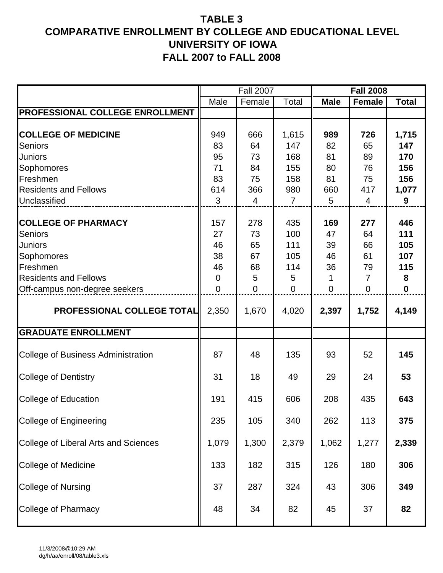|                                           |                | <b>Fall 2007</b> |                |                | <b>Fall 2008</b> |              |
|-------------------------------------------|----------------|------------------|----------------|----------------|------------------|--------------|
|                                           | Male           | Female           | Total          | <b>Male</b>    | <b>Female</b>    | <b>Total</b> |
| PROFESSIONAL COLLEGE ENROLLMENT           |                |                  |                |                |                  |              |
|                                           |                |                  |                |                |                  |              |
| <b>COLLEGE OF MEDICINE</b>                | 949            | 666              | 1,615          | 989            | 726              | 1,715        |
| Seniors                                   | 83             | 64               | 147            | 82<br>81       | 65               | 147<br>170   |
| <b>Juniors</b>                            | 95<br>71       | 73<br>84         | 168<br>155     | 80             | 89<br>76         | 156          |
| Sophomores<br>Freshmen                    | 83             | 75               | 158            | 81             | 75               | 156          |
| <b>Residents and Fellows</b>              | 614            | 366              | 980            | 660            | 417              | 1,077        |
| Unclassified                              | 3              | 4                | $\overline{7}$ | 5              | 4                | 9            |
|                                           |                |                  |                |                |                  |              |
| <b>COLLEGE OF PHARMACY</b>                | 157            | 278              | 435            | 169            | 277              | 446          |
| <b>Seniors</b>                            | 27             | 73               | 100            | 47             | 64               | 111          |
| <b>Juniors</b>                            | 46             | 65               | 111            | 39             | 66               | 105          |
| Sophomores                                | 38             | 67               | 105            | 46             | 61               | 107          |
| Freshmen                                  | 46             | 68               | 114            | 36             | 79               | 115          |
| <b>Residents and Fellows</b>              | $\mathbf 0$    | 5                | 5              | 1              | $\overline{7}$   | 8            |
| Off-campus non-degree seekers             | $\overline{0}$ | $\overline{0}$   | $\overline{0}$ | $\overline{0}$ | $\overline{0}$   | $\mathbf 0$  |
| <b>PROFESSIONAL COLLEGE TOTAL</b>         | 2,350          | 1,670            | 4,020          | 2,397          | 1,752            | 4,149        |
| <b>GRADUATE ENROLLMENT</b>                |                |                  |                |                |                  |              |
| <b>College of Business Administration</b> | 87             | 48               | 135            | 93             | 52               | 145          |
| <b>College of Dentistry</b>               | 31             | 18               | 49             | 29             | 24               | 53           |
| College of Education                      | 191            | 415              | 606            | 208            | 435              | 643          |
| <b>College of Engineering</b>             | 235            | 105              | 340            | 262            | 113              | 375          |
| College of Liberal Arts and Sciences      | 1,079          | 1,300            | 2,379          | 1,062          | 1,277            | 2,339        |
| <b>College of Medicine</b>                | 133            | 182              | 315            | 126            | 180              | 306          |
| <b>College of Nursing</b>                 | 37             | 287              | 324            | 43             | 306              | 349          |
| <b>College of Pharmacy</b>                | 48             | 34               | 82             | 45             | 37               | 82           |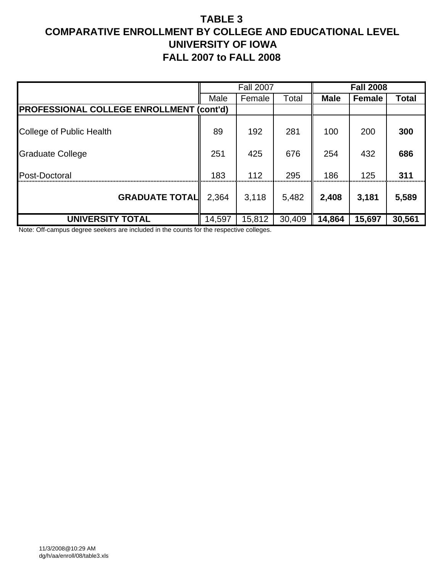|                                                 |        | <b>Fall 2007</b> |        |             | <b>Fall 2008</b> |        |
|-------------------------------------------------|--------|------------------|--------|-------------|------------------|--------|
|                                                 | Male   | Female           | Total  | <b>Male</b> | <b>Female</b>    | Total  |
| <b>PROFESSIONAL COLLEGE ENROLLMENT (cont'd)</b> |        |                  |        |             |                  |        |
| College of Public Health                        | 89     | 192              | 281    | 100         | 200              | 300    |
| <b>Graduate College</b>                         | 251    | 425              | 676    | 254         | 432              | 686    |
| Post-Doctoral                                   | 183    | 112              | 295    | 186         | 125              | 311    |
| <b>GRADUATE TOTAL</b>                           | 2,364  | 3,118            | 5,482  | 2,408       | 3,181            | 5,589  |
| <b>UNIVERSITY TOTAL</b>                         | 14,597 | 15,812           | 30,409 | 14,864      | 15,697           | 30,561 |

Note: Off-campus degree seekers are included in the counts for the respective colleges.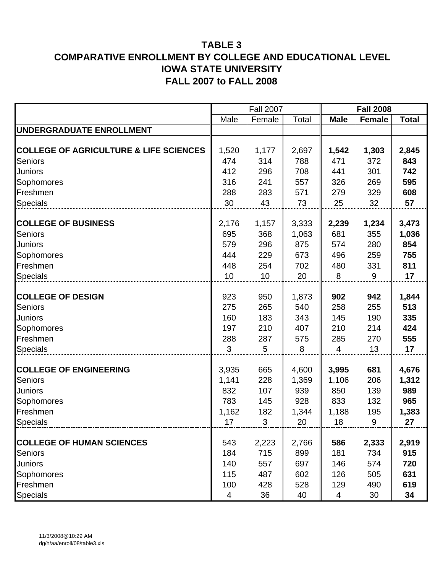|                                                   |       | <b>Fall 2007</b> |       |                | <b>Fall 2008</b> |              |
|---------------------------------------------------|-------|------------------|-------|----------------|------------------|--------------|
|                                                   | Male  | Female           | Total | <b>Male</b>    | <b>Female</b>    | <b>Total</b> |
| UNDERGRADUATE ENROLLMENT                          |       |                  |       |                |                  |              |
|                                                   |       |                  |       |                |                  |              |
| <b>COLLEGE OF AGRICULTURE &amp; LIFE SCIENCES</b> | 1,520 | 1,177            | 2,697 | 1,542          | 1,303            | 2,845        |
| <b>Seniors</b>                                    | 474   | 314              | 788   | 471            | 372              | 843          |
| Juniors                                           | 412   | 296              | 708   | 441            | 301              | 742          |
| Sophomores                                        | 316   | 241              | 557   | 326            | 269              | 595          |
| Freshmen                                          | 288   | 283              | 571   | 279            | 329              | 608          |
| <b>Specials</b>                                   | 30    | 43               | 73    | 25             | 32               | 57           |
|                                                   |       |                  |       |                |                  |              |
| <b>COLLEGE OF BUSINESS</b>                        | 2,176 | 1,157            | 3,333 | 2,239          | 1,234            | 3,473        |
| <b>Seniors</b>                                    | 695   | 368              | 1,063 | 681            | 355              | 1,036        |
| Juniors                                           | 579   | 296              | 875   | 574            | 280              | 854          |
| Sophomores                                        | 444   | 229              | 673   | 496            | 259              | 755          |
| Freshmen                                          | 448   | 254              | 702   | 480            | 331              | 811          |
| Specials                                          | 10    | 10               | 20    | 8              | 9                | 17           |
|                                                   |       |                  |       |                |                  |              |
| <b>COLLEGE OF DESIGN</b>                          | 923   | 950              | 1,873 | 902            | 942              | 1,844        |
| <b>Seniors</b>                                    | 275   | 265              | 540   | 258            | 255              | 513          |
| Juniors                                           | 160   | 183              | 343   | 145            | 190              | 335<br>424   |
| Sophomores                                        | 197   | 210              | 407   | 210            | 214              |              |
| Freshmen                                          | 288   | 287              | 575   | 285            | 270              | 555          |
| Specials                                          | 3     | 5                | 8     | $\overline{4}$ | 13               | 17           |
| <b>COLLEGE OF ENGINEERING</b>                     | 3,935 | 665              | 4,600 | 3,995          | 681              | 4,676        |
| <b>Seniors</b>                                    | 1,141 | 228              | 1,369 | 1,106          | 206              | 1,312        |
| Juniors                                           | 832   | 107              | 939   | 850            | 139              | 989          |
| Sophomores                                        | 783   | 145              | 928   | 833            | 132              | 965          |
| Freshmen                                          | 1,162 | 182              | 1,344 | 1,188          | 195              | 1,383        |
| <b>Specials</b>                                   | 17    | 3                | 20    | 18             | $9\,$            | 27           |
|                                                   |       |                  |       |                |                  |              |
| <b>COLLEGE OF HUMAN SCIENCES</b>                  | 543   | 2,223            | 2,766 | 586            | 2,333            | 2,919        |
| <b>Seniors</b>                                    | 184   | 715              | 899   | 181            | 734              | 915          |
| Juniors                                           | 140   | 557              | 697   | 146            | 574              | 720          |
| Sophomores                                        | 115   | 487              | 602   | 126            | 505              | 631          |
| Freshmen                                          | 100   | 428              | 528   | 129            | 490              | 619          |
| Specials                                          | 4     | 36               | 40    | 4              | 30               | 34           |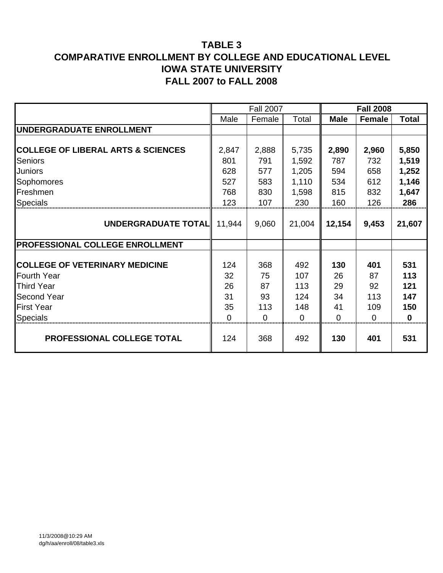|                                               |          | <b>Fall 2007</b> |        |             | <b>Fall 2008</b> |              |
|-----------------------------------------------|----------|------------------|--------|-------------|------------------|--------------|
|                                               | Male     | Female           | Total  | <b>Male</b> | <b>Female</b>    | <b>Total</b> |
| <b>UNDERGRADUATE ENROLLMENT</b>               |          |                  |        |             |                  |              |
|                                               |          |                  |        |             |                  |              |
| <b>COLLEGE OF LIBERAL ARTS &amp; SCIENCES</b> | 2,847    | 2,888            | 5,735  | 2,890       | 2,960            | 5,850        |
| <b>Seniors</b>                                | 801      | 791              | 1,592  | 787         | 732              | 1,519        |
| <b>Juniors</b>                                | 628      | 577              | 1,205  | 594         | 658              | 1,252        |
| Sophomores                                    | 527      | 583              | 1,110  | 534         | 612              | 1,146        |
| Freshmen                                      | 768      | 830              | 1,598  | 815         | 832              | 1,647        |
| Specials                                      | 123      | 107              | 230    | 160         | 126              | 286          |
|                                               |          |                  |        |             |                  |              |
| UNDERGRADUATE TOTAL                           | 11,944   | 9,060            | 21,004 | 12,154      | 9,453            | 21,607       |
|                                               |          |                  |        |             |                  |              |
| <b>PROFESSIONAL COLLEGE ENROLLMENT</b>        |          |                  |        |             |                  |              |
|                                               |          |                  |        |             |                  |              |
| <b>COLLEGE OF VETERINARY MEDICINE</b>         | 124      | 368              | 492    | 130         | 401              | 531          |
| <b>Fourth Year</b>                            | 32       | 75               | 107    | 26          | 87               | 113          |
| <b>Third Year</b>                             | 26       | 87               | 113    | 29          | 92               | 121          |
| <b>Second Year</b>                            | 31       | 93               | 124    | 34          | 113              | 147          |
| <b>First Year</b>                             | 35       | 113              | 148    | 41          | 109              | 150          |
| Specials                                      | $\Omega$ | 0                | 0      | 0           | 0                | $\bf{0}$     |
| <b>PROFESSIONAL COLLEGE TOTAL</b>             | 124      | 368              | 492    | 130         | 401              | 531          |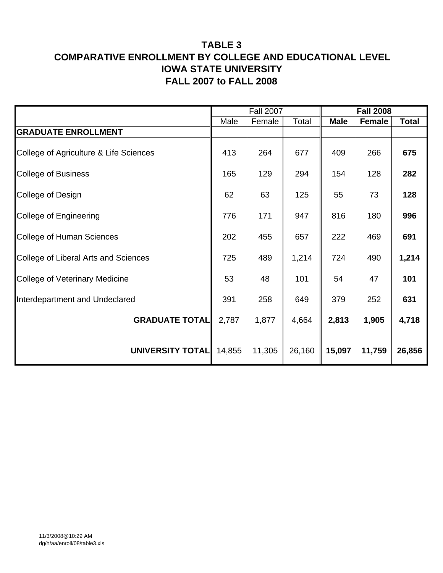|                                        |        | <b>Fall 2007</b> |        |             | <b>Fall 2008</b> |              |
|----------------------------------------|--------|------------------|--------|-------------|------------------|--------------|
|                                        | Male   | Female           | Total  | <b>Male</b> | <b>Female</b>    | <b>Total</b> |
| <b>GRADUATE ENROLLMENT</b>             |        |                  |        |             |                  |              |
| College of Agriculture & Life Sciences | 413    | 264              | 677    | 409         | 266              | 675          |
| <b>College of Business</b>             | 165    | 129              | 294    | 154         | 128              | 282          |
| College of Design                      | 62     | 63               | 125    | 55          | 73               | 128          |
| College of Engineering                 | 776    | 171              | 947    | 816         | 180              | 996          |
| College of Human Sciences              | 202    | 455              | 657    | 222         | 469              | 691          |
| College of Liberal Arts and Sciences   | 725    | 489              | 1,214  | 724         | 490              | 1,214        |
| <b>College of Veterinary Medicine</b>  | 53     | 48               | 101    | 54          | 47               | 101          |
| Interdepartment and Undeclared         | 391    | 258              | 649    | 379         | 252              | 631          |
| <b>GRADUATE TOTAL</b>                  | 2,787  | 1,877            | 4,664  | 2,813       | 1,905            | 4,718        |
| UNIVERSITY TOTAL                       | 14,855 | 11,305           | 26,160 | 15,097      | 11,759           | 26,856       |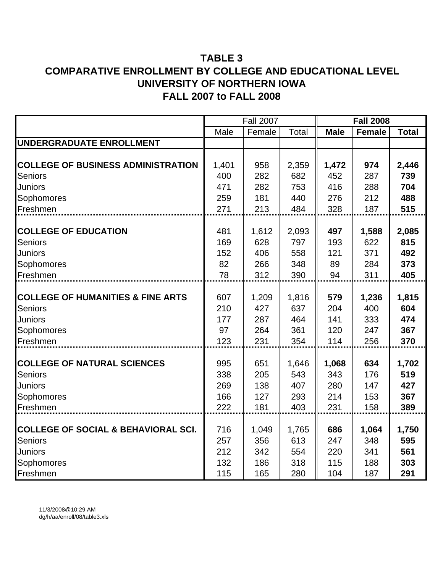|                                                |       | <b>Fall 2007</b> |       |             | <b>Fall 2008</b> |              |
|------------------------------------------------|-------|------------------|-------|-------------|------------------|--------------|
|                                                | Male  | Female           | Total | <b>Male</b> | <b>Female</b>    | <b>Total</b> |
| UNDERGRADUATE ENROLLMENT                       |       |                  |       |             |                  |              |
|                                                |       |                  |       |             |                  |              |
| <b>COLLEGE OF BUSINESS ADMINISTRATION</b>      | 1,401 | 958              | 2,359 | 1,472       | 974              | 2,446        |
| Seniors                                        | 400   | 282              | 682   | 452         | 287              | 739          |
| Juniors                                        | 471   | 282              | 753   | 416         | 288              | 704          |
| Sophomores                                     | 259   | 181              | 440   | 276         | 212              | 488          |
| Freshmen                                       | 271   | 213              | 484   | 328         | 187              | 515          |
|                                                |       |                  |       |             |                  |              |
| <b>COLLEGE OF EDUCATION</b>                    | 481   | 1,612            | 2,093 | 497         | 1,588            | 2,085        |
| <b>Seniors</b>                                 | 169   | 628              | 797   | 193         | 622              | 815          |
| Juniors                                        | 152   | 406              | 558   | 121         | 371              | 492          |
| Sophomores                                     | 82    | 266              | 348   | 89          | 284              | 373          |
| Freshmen                                       | 78    | 312              | 390   | 94          | 311              | 405          |
|                                                |       |                  |       |             |                  |              |
| <b>COLLEGE OF HUMANITIES &amp; FINE ARTS</b>   | 607   | 1,209            | 1,816 | 579         | 1,236            | 1,815        |
| <b>Seniors</b>                                 | 210   | 427              | 637   | 204         | 400              | 604          |
| Juniors                                        | 177   | 287              | 464   | 141         | 333              | 474          |
| Sophomores                                     | 97    | 264              | 361   | 120         | 247              | 367          |
| Freshmen                                       | 123   | 231              | 354   | 114         | 256              | 370          |
|                                                |       |                  |       |             |                  |              |
| <b>COLLEGE OF NATURAL SCIENCES</b>             | 995   | 651              | 1,646 | 1,068       | 634              | 1,702        |
| <b>Seniors</b>                                 | 338   | 205              | 543   | 343         | 176              | 519          |
| Juniors                                        | 269   | 138              | 407   | 280         | 147              | 427          |
| Sophomores                                     | 166   | 127              | 293   | 214         | 153              | 367          |
| Freshmen                                       | 222   | 181              | 403   | 231         | 158              | 389          |
|                                                |       |                  |       |             |                  |              |
| <b>COLLEGE OF SOCIAL &amp; BEHAVIORAL SCI.</b> | 716   | 1,049            | 1,765 | 686         | 1,064            | 1,750        |
| Seniors                                        | 257   | 356              | 613   | 247         | 348              | 595          |
| Juniors                                        | 212   | 342              | 554   | 220         | 341              | 561          |
| Sophomores                                     | 132   | 186              | 318   | 115         | 188              | 303          |
| Freshmen                                       | 115   | 165              | 280   | 104         | 187              | 291          |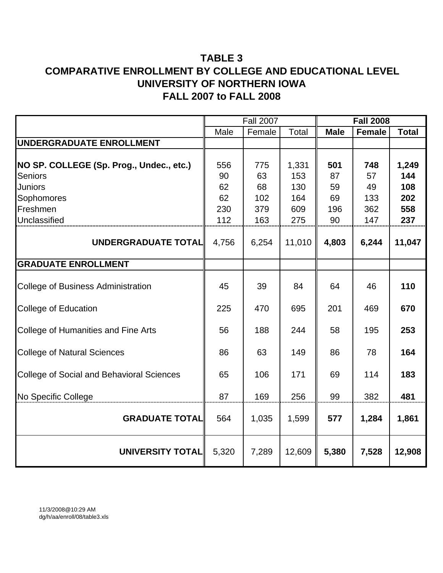|                                                  |       | <b>Fall 2007</b> |        |             | <b>Fall 2008</b> |              |
|--------------------------------------------------|-------|------------------|--------|-------------|------------------|--------------|
|                                                  | Male  | Female           | Total  | <b>Male</b> | <b>Female</b>    | <b>Total</b> |
| UNDERGRADUATE ENROLLMENT                         |       |                  |        |             |                  |              |
| NO SP. COLLEGE (Sp. Prog., Undec., etc.)         | 556   | 775              | 1,331  | 501         | 748              | 1,249        |
| <b>Seniors</b>                                   | 90    | 63               | 153    | 87          | 57               | 144          |
| <b>Juniors</b>                                   | 62    | 68               | 130    | 59          | 49               | 108          |
| Sophomores                                       | 62    | 102              | 164    | 69          | 133              | 202          |
| Freshmen                                         | 230   | 379              | 609    | 196         | 362              | 558          |
| Unclassified                                     | 112   | 163              | 275    | 90          | 147              | 237          |
| UNDERGRADUATE TOTAL                              | 4,756 | 6,254            | 11,010 | 4,803       | 6,244            | 11,047       |
| <b>GRADUATE ENROLLMENT</b>                       |       |                  |        |             |                  |              |
| <b>College of Business Administration</b>        | 45    | 39               | 84     | 64          | 46               | 110          |
| <b>College of Education</b>                      | 225   | 470              | 695    | 201         | 469              | 670          |
| <b>College of Humanities and Fine Arts</b>       | 56    | 188              | 244    | 58          | 195              | 253          |
| <b>College of Natural Sciences</b>               | 86    | 63               | 149    | 86          | 78               | 164          |
| <b>College of Social and Behavioral Sciences</b> | 65    | 106              | 171    | 69          | 114              | 183          |
| No Specific College                              | 87    | 169              | 256    | 99          | 382              | 481          |
| <b>GRADUATE TOTAL</b>                            | 564   | 1,035            | 1,599  | 577         | 1,284            | 1,861        |
| <b>UNIVERSITY TOTAL</b>                          | 5,320 | 7,289            | 12,609 | 5,380       | 7,528            | 12,908       |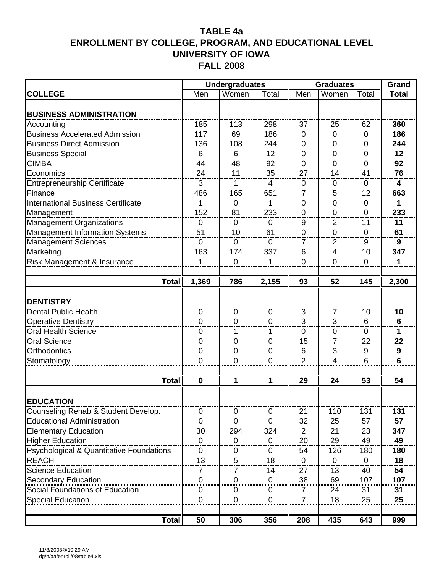|                                                     |                | <b>Undergraduates</b> |                | <b>Graduates</b> | Grand           |                 |                         |
|-----------------------------------------------------|----------------|-----------------------|----------------|------------------|-----------------|-----------------|-------------------------|
| <b>COLLEGE</b>                                      | Men            | Women                 | Total          | Men              | Women           | Total           | <b>Total</b>            |
| <b>BUSINESS ADMINISTRATION</b>                      |                |                       |                |                  |                 |                 |                         |
| Accounting                                          | 185            | 113                   | 298            | 37               | 25              | 62              | 360                     |
| <b>Business Accelerated Admission</b>               | 117            | 69                    | 186            | $\mathbf 0$      | $\mathbf{0}$    | $\overline{0}$  | 186                     |
| <b>Business Direct Admission</b>                    | 136            | 108                   | 244            | $\mathbf 0$      | $\mathbf 0$     | $\mathbf 0$     | 244                     |
| <b>Business Special</b>                             | $\,6$          | 6                     | 12             | $\mathbf 0$      | $\mathbf 0$     | $\mathbf 0$     | 12                      |
| <b>CIMBA</b>                                        | 44             | 48                    | 92             | $\mathbf 0$      | $\mathbf 0$     | $\mathbf 0$     | 92                      |
| Economics                                           | 24             | 11                    | 35             | 27               | 14              | 41              | 76                      |
| <b>Entrepreneurship Certificate</b>                 | 3              | 1                     | $\overline{4}$ | 0                | $\mathbf 0$     | $\mathbf 0$     | $\overline{\mathbf{4}}$ |
| Finance                                             | 486            | 165                   | 651            | $\overline{7}$   | 5               | 12              | 663                     |
| <b>International Business Certificate</b>           | 1              | $\mathbf 0$           | 1              | 0                | $\mathbf 0$     | $\mathbf 0$     | 1                       |
| Management                                          | 152            | 81                    | 233            | $\overline{0}$   | $\mathbf 0$     | $\overline{0}$  | 233                     |
| <b>Management Organizations</b>                     | 0              | $\mathbf 0$           | $\mathbf{0}$   | 9                | $\overline{2}$  | 11              | 11                      |
| <b>Management Information Systems</b>               | 51             | 10                    | 61             | $\mathbf 0$      | $\mathbf 0$     | $\mathbf 0$     | 61                      |
| <b>Management Sciences</b>                          | $\mathbf 0$    | $\mathbf 0$           | $\mathbf 0$    | $\overline{7}$   | $\overline{2}$  | 9               | 9                       |
| Marketing                                           | 163            | 174                   | 337            | 6                | $\overline{4}$  | 10              | 347                     |
| Risk Management & Insurance                         | 1              | $\pmb{0}$             | 1              | $\overline{0}$   | $\mathbf 0$     | $\mathbf 0$     | 1                       |
|                                                     |                |                       |                |                  |                 |                 |                         |
| <b>Total</b>                                        | 1,369          | 786                   | 2,155          | 93               | $\overline{52}$ | 145             | 2,300                   |
| <b>DENTISTRY</b>                                    |                |                       |                |                  |                 |                 |                         |
| <b>Dental Public Health</b>                         | 0              | $\mathbf 0$           | $\mathbf 0$    | 3                | $\overline{7}$  | 10              | 10                      |
| <b>Operative Dentistry</b>                          | 0              | 0                     | $\overline{0}$ | 3                | 3               | 6               | $6\phantom{1}$          |
| <b>Oral Health Science</b>                          | 0              | 1                     | 1              | $\mathbf 0$      | $\mathbf 0$     | 0               | 1                       |
| <b>Oral Science</b>                                 | $\mathbf 0$    | 0                     | $\mathbf 0$    | 15               | $\overline{7}$  | 22              | 22                      |
| Orthodontics                                        | 0              | 0                     | $\mathbf 0$    | 6                | 3               | 9               | 9                       |
| Stomatology                                         | 0              | 0                     | 0              | $\overline{2}$   | 4               | 6               | 6                       |
|                                                     |                |                       |                |                  |                 |                 |                         |
| <b>Total</b>                                        | $\mathbf 0$    | $\mathbf{1}$          | 1              | $\overline{29}$  | 24              | $\overline{53}$ | 54                      |
| <b>EDUCATION</b>                                    |                |                       |                |                  |                 |                 |                         |
| Counseling Rehab & Student Develop.                 | $\mathbf 0$    | 0                     | $\mathbf 0$    | 21               | 110             | 131             | 131                     |
| <b>Educational Administration</b>                   | $\overline{0}$ | $\overline{0}$        | $\mathbf{0}$   | 32               | 25              | 57              | 57                      |
| <b>Elementary Education</b>                         | 30             | 294                   | 324            | 2                | 21              | 23              | 347                     |
| <b>Higher Education</b>                             | $\mathbf 0$    | 0                     | $\mathbf 0$    | 20               | 29              | 49              | 49                      |
| <b>Psychological &amp; Quantitative Foundations</b> | $\mathbf 0$    | 0                     | $\mathbf 0$    | 54               | 126             | 180             | 180                     |
| <b>REACH</b>                                        | 13             | 5                     | 18             | 0                | $\mathbf 0$     | $\overline{0}$  | 18                      |
| <b>Science Education</b>                            | $\overline{7}$ | 7                     | 14             | 27               | 13              | 40              | 54                      |
| <b>Secondary Education</b>                          | $\mathbf 0$    | $\mathbf{0}$          | $\mathbf 0$    | 38               | 69              | 107             | 107                     |
| Social Foundations of Education                     | 0              | 0                     | 0              | 7                | 24              | 31              | 31                      |
| <b>Special Education</b>                            | $\mathbf 0$    | 0                     | 0              | $\overline{7}$   | 18              | 25              | 25                      |
|                                                     |                |                       |                |                  |                 |                 |                         |
| <b>Total</b>                                        | 50             | 306                   | 356            | 208              | 435             | 643             | 999                     |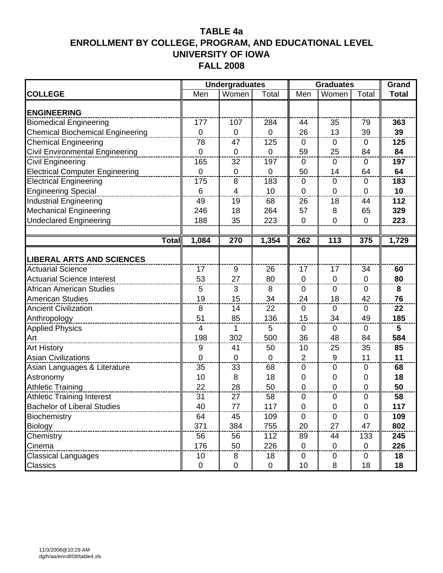|                                         |             | <b>Undergraduates</b> |              | <b>Graduates</b> | Grand          |                |              |
|-----------------------------------------|-------------|-----------------------|--------------|------------------|----------------|----------------|--------------|
| <b>COLLEGE</b>                          | Men         | Women                 | Total        | Men              | Women          | Total          | <b>Total</b> |
| <b>ENGINEERING</b>                      |             |                       |              |                  |                |                |              |
| <b>Biomedical Engineering</b>           | 177         | 107                   | 284          | 44               | 35             | 79             | 363          |
| <b>Chemical Biochemical Engineering</b> | $\mathbf 0$ | $\mathbf 0$           | $\mathbf 0$  | 26               | 13             | 39             | 39           |
| <b>Chemical Engineering</b>             | 78          | 47                    | 125          | $\mathbf 0$      | $\mathbf 0$    | $\mathbf 0$    | 125          |
| Civil Environmental Engineering         | $\mathbf 0$ | $\overline{0}$        | $\mathbf{0}$ | 59               | 25             | 84             | 84           |
| Civil Engineering                       | 165         | 32                    | 197          | $\mathbf 0$      | $\mathbf 0$    | $\mathbf 0$    | 197          |
| <b>Electrical Computer Engineering</b>  | $\mathbf 0$ | $\mathbf 0$           | $\mathbf 0$  | 50               | 14             | 64             | 64           |
| <b>Electrical Engineering</b>           | 175         | 8                     | 183          | 0                | $\mathbf 0$    | 0              | 183          |
| <b>Engineering Special</b>              | 6           | $\overline{4}$        | 10           | 0                | $\mathbf 0$    | $\overline{0}$ | 10           |
| <b>Industrial Engineering</b>           | 49          | 19                    | 68           | 26               | 18             | 44             | 112          |
| <b>Mechanical Engineering</b>           | 246         | 18                    | 264          | 57               | 8              | 65             | 329          |
| <b>Undeclared Engineering</b>           | 188         | 35                    | 223          | $\mathbf 0$      | $\overline{0}$ | $\overline{0}$ | 223          |
|                                         |             |                       |              |                  |                |                |              |
| Totall                                  | 1,084       | 270                   | 1,354        | 262              | 113            | 375            | 1,729        |
| <b>LIBERAL ARTS AND SCIENCES</b>        |             |                       |              |                  |                |                |              |
| <b>Actuarial Science</b>                | 17          | $9\,$                 | 26           | 17               | 17             | 34             | 60           |
| <b>Actuarial Science Interest</b>       | 53          | 27                    | 80           | $\mathbf 0$      | $\mathbf 0$    | $\mathbf 0$    | 80           |
| <b>African American Studies</b>         | 5           | 3                     | 8            | 0                | 0              | $\Omega$       | 8            |
| <b>American Studies</b>                 | 19          | 15                    | 34           | 24               | 18             | 42             | 76           |
| <b>Ancient Civilization</b>             | $\,8\,$     | 14                    | 22           | $\mathbf 0$      | $\mathbf 0$    | $\mathbf 0$    | 22           |
| Anthropology                            | 51          | 85                    | 136          | 15               | 34             | 49             | 185          |
| <b>Applied Physics</b>                  | 4           | 1                     | 5            | 0                | $\mathbf 0$    | 0              | 5            |
| Art                                     | 198         | 302                   | 500          | 36               | 48             | 84             | 584          |
| <b>Art History</b>                      | $9\,$       | 41                    | 50           | 10               | 25             | 35             | 85           |
| <b>Asian Civilizations</b>              | $\mathbf 0$ | $\mathbf 0$           | $\mathbf 0$  | $\overline{2}$   | 9              | 11             | 11           |
| Asian Languages & Literature            | 35          | 33                    | 68           | 0                | 0              | 0              | 68           |
| Astronomy                               | 10          | 8                     | 18           | 0                | 0              | 0              | 18           |
| <b>Athletic Training</b>                | 22          | 28                    | 50           | 0                | $\mathbf 0$    | $\mathbf 0$    | 50           |
| <b>Athletic Training Interest</b>       | 31          | 27                    | 58           | 0                | 0              | $\mathbf 0$    | 58           |
| <b>Bachelor of Liberal Studies</b>      | 40          | 77                    | 117          | 0                | $\mathbf 0$    | $\mathbf 0$    | 117          |
| Biochemistry                            | 64          | 45                    | 109          | 0                | $\mathbf 0$    | $\mathbf 0$    | 109          |
| <b>Biology</b>                          | 371         | 384                   | 755          | 20               | 27             | 47             | 802          |
| Chemistry                               | 56          | 56                    | 112          | 89               | 44             | 133            | 245          |
| Cinema                                  | 176         | 50                    | 226          | $\mathbf{0}$     | $\mathbf 0$    | $\mathbf 0$    | 226          |
| <b>Classical Languages</b>              | 10          | 8                     | 18           | $\mathbf 0$      | $\mathbf 0$    | $\mathbf 0$    | 18           |
| Classics                                | $\mathbf 0$ | $\pmb{0}$             | 0            | 10               | 8              | 18             | 18           |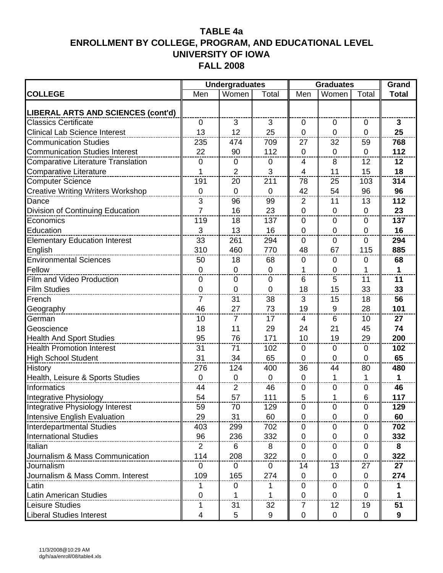|                                           |                  | <b>Undergraduates</b> |                |                 | <b>Graduates</b> |                | Grand        |
|-------------------------------------------|------------------|-----------------------|----------------|-----------------|------------------|----------------|--------------|
| <b>COLLEGE</b>                            | Men              | Women                 | Total          | Men             | Women            | Total          | <b>Total</b> |
| LIBERAL ARTS AND SCIENCES (cont'd)        |                  |                       |                |                 |                  |                |              |
| <b>Classics Certificate</b>               | $\mathbf 0$      | 3                     | 3              | $\mathbf{0}$    | $\mathbf 0$      | $\mathbf 0$    | 3            |
| <b>Clinical Lab Science Interest</b>      | 13               | 12                    | 25             | $\mathbf 0$     | $\mathbf 0$      | $\mathbf 0$    | 25           |
| <b>Communication Studies</b>              | 235              | 474                   | 709            | 27              | 32               | 59             | 768          |
| <b>Communication Studies Interest</b>     | 22               | 90                    | 112            | $\mathbf{0}$    | $\mathbf 0$      | $\mathbf{0}$   | 112          |
| <b>Comparative Literature Translation</b> | $\mathbf 0$      | $\mathbf 0$           | $\mathbf 0$    | 4               | 8                | 12             | 12           |
| <b>Comparative Literature</b>             | 1                | $\overline{2}$        | 3              | 4               | 11               | 15             | 18           |
| Computer Science                          | 191<br>20<br>211 |                       |                | 25<br>103<br>78 |                  |                | 314          |
| <b>Creative Writing Writers Workshop</b>  | $\mathbf 0$      | $\mathbf 0$           | $\mathbf 0$    | 42              | 54               | 96             | 96           |
| Dance                                     | 3                | 96                    | 99             | $\overline{2}$  | 11               | 13             | 112          |
| Division of Continuing Education          | $\overline{7}$   | 16                    | 23             | $\mathbf 0$     | $\pmb{0}$        | $\mathbf 0$    | 23           |
| Economics                                 | 119              | 18                    | 137            | $\mathbf 0$     | $\mathbf 0$      | $\mathbf 0$    | 137          |
| Education                                 | 3                | 13                    | 16             | $\mathbf 0$     | $\mathbf 0$      | $\overline{0}$ | 16           |
| <b>Elementary Education Interest</b>      | 33               | 261                   | 294            | $\Omega$        | $\mathbf 0$      | $\Omega$       | 294          |
| English                                   | 310              | 460                   | 770            | 48              | 67               | 115            | 885          |
| <b>Environmental Sciences</b>             | 50               | 18                    | 68             | $\mathbf 0$     | $\mathbf 0$      | $\mathbf 0$    | 68           |
| Fellow                                    | $\mathbf 0$      | $\mathbf 0$           | $\mathbf 0$    | 1               | $\mathbf 0$      | 1              | 1            |
| <b>Film and Video Production</b>          | $\overline{0}$   | $\mathbf 0$           | $\overline{0}$ | 6               | 5                | 11             | 11           |
| <b>Film Studies</b>                       | $\mathbf 0$      | $\mathbf 0$           | $\mathbf 0$    | 18              | 15               | 33             | 33           |
| French                                    | $\overline{7}$   | 31                    | 38             | 3               | 15               | 18             | 56           |
| Geography                                 | 46               | 27                    | 73             | 19              | 9                | 28             | 101          |
| German                                    | 10               | 7                     | 17             | 4               | 6                | 10             | 27           |
| Geoscience                                | 18               | 11                    | 29             | 24              | 21               | 45             | 74           |
| <b>Health And Sport Studies</b>           | 95               | 76                    | 171            | 10              | 19               | 29             | 200          |
| <b>Health Promotion Interest</b>          | 31               | 71                    | 102            | $\mathbf 0$     | $\mathbf 0$      | $\mathbf 0$    | 102          |
| <b>High School Student</b>                | 31               | 34                    | 65             | $\mathbf 0$     | $\mathbf 0$      | $\mathbf 0$    | 65           |
| <b>History</b>                            | 276              | 124                   | 400            | 36              | 44               | 80             | 480          |
| Health, Leisure & Sports Studies          | $\mathbf 0$      | $\mathbf 0$           | $\mathbf{0}$   | $\mathbf{0}$    | $\mathbf 1$      | 1              | $\mathbf{1}$ |
| Informatics                               | 44               | $\overline{2}$        | 46             | $\mathbf 0$     | $\mathbf 0$      | $\mathbf 0$    | 46           |
| Integrative Physiology                    | 54               | 57                    | 111            | 5               | 1                | 6              | 117          |
| Integrative Physiology Interest           | 59               | 70                    | 129            | 0               | 0                | 0              | 129          |
| Intensive English Evaluation              | 29               | 31                    | 60             | $\mathbf 0$     | $\mathbf 0$      | $\Omega$       | 60           |
| <b>Interdepartmental Studies</b>          | 403              | 299                   | 702            | 0               | $\mathbf 0$      | $\mathbf 0$    | 702          |
| <b>International Studies</b>              | 96               | 236                   | 332            | $\mathbf 0$     | $\mathbf 0$      | 0              | 332          |
| Italian                                   | 2                | 6                     | 8              | $\pmb{0}$       | $\mathbf 0$      | $\mathbf 0$    | 8            |
| Journalism & Mass Communication           | 114              | 208                   | 322            | $\mathbf 0$     | $\mathbf 0$      | $\mathbf 0$    | 322          |
| Journalism                                | $\mathbf 0$      | 0                     | 0              | 14              | 13               | 27             | 27           |
| Journalism & Mass Comm. Interest          | 109              | 165                   | 274            | $\mathbf 0$     | $\mathbf 0$      | $\mathbf 0$    | 274          |
| Latin                                     | 1                | 0                     | 1              | 0               | $\mathbf 0$      | $\mathbf 0$    | 1            |
| Latin American Studies                    | $\mathbf 0$      | 1                     |                | $\mathbf 0$     | $\mathbf 0$      | $\mathbf{0}$   |              |
| Leisure Studies                           | 1                | 31                    | 32             | $\overline{7}$  | 12               | 19             | 51           |
| <b>Liberal Studies Interest</b>           | 4                | 5                     | 9              | $\mathbf 0$     | $\overline{0}$   | $\mathbf 0$    | 9            |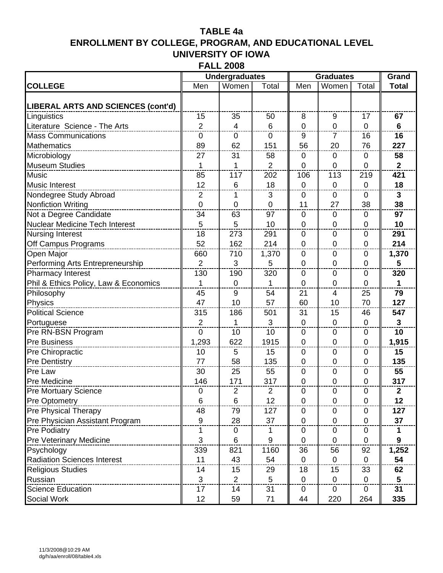| <b>FALL 2008</b> |  |
|------------------|--|
|------------------|--|

|                                       |                  | <b>Undergraduates</b> |                | <b>Graduates</b> | Grand          |                |                         |
|---------------------------------------|------------------|-----------------------|----------------|------------------|----------------|----------------|-------------------------|
| <b>COLLEGE</b>                        | Men              | Women                 | Total          | Men              | Women          | Total          | <b>Total</b>            |
|                                       |                  |                       |                |                  |                |                |                         |
| LIBERAL ARTS AND SCIENCES (cont'd)    |                  |                       |                |                  |                |                |                         |
| Linguistics                           | 15               | 35                    | 50             | 8                | 9              | 17             | 67                      |
| Literature Science - The Arts         | $\overline{2}$   | 4                     | 6              | $\mathbf 0$      | $\mathbf 0$    | $\mathbf 0$    | 6                       |
| <b>Mass Communications</b>            | $\mathbf 0$      | 0                     | $\mathbf 0$    | 9                | 7              | 16             | 16                      |
| <b>Mathematics</b>                    | 89               | 62                    | 151            | 56               | 20             | 76             | 227                     |
| Microbiology                          | 27               | 31                    | 58             | 0                | $\mathbf 0$    | $\mathbf 0$    | 58                      |
| <b>Museum Studies</b>                 | 1                | 1                     | $\overline{2}$ | $\mathbf 0$      | $\mathbf 0$    | $\overline{0}$ | $\overline{2}$          |
| <b>Music</b>                          | 85               | 117                   | 202            | 106              | 113            | 219            | 421                     |
| <b>Music Interest</b>                 | 12               | 6                     | 18             | $\overline{0}$   | $\mathbf 0$    | $\mathbf 0$    | 18                      |
| Nondegree Study Abroad                | $\overline{2}$   | 1                     | 3              | $\mathbf 0$      | $\mathbf 0$    | $\mathbf 0$    | $\overline{\mathbf{3}}$ |
| <b>Nonfiction Writing</b>             | $\pmb{0}$        | $\boldsymbol{0}$      | $\mathbf 0$    | 11               | 27             | 38             | 38                      |
| Not a Degree Candidate                | 34               | 63                    | 97             | 0                | $\mathbf 0$    | $\overline{0}$ | 97                      |
| Nuclear Medicine Tech Interest        | 5                | 5                     | 10             | $\overline{0}$   | $\mathbf 0$    | $\mathbf 0$    | 10                      |
| <b>Nursing Interest</b>               | 18               | 273                   | 291            | $\mathbf 0$      | $\mathbf 0$    | $\mathbf 0$    | 291                     |
| Off Campus Programs                   | 52               | 162                   | 214            | $\pmb{0}$        | $\mathbf 0$    | $\mathbf 0$    | 214                     |
| Open Major                            | 660              | 710                   | 1,370          | 0                | 0              | $\mathbf 0$    | 1,370                   |
| Performing Arts Entrepreneurship      | $\overline{2}$   | 3                     | 5              | $\overline{0}$   | $\mathbf 0$    | $\overline{0}$ | 5                       |
| Pharmacy Interest                     | 130              | 190                   | 320            | $\mathbf 0$      | $\mathbf{0}$   | $\mathbf 0$    | 320                     |
| Phil & Ethics Policy, Law & Economics | 1                | $\pmb{0}$             | 1              | $\pmb{0}$        | $\mathbf 0$    | $\mathbf 0$    | 1                       |
| Philosophy                            | 45               | 9                     | 54             | 21               | 4              | 25             | 79                      |
| Physics                               | 47               | 10                    | 57             | 60               | 10             | 70             | 127                     |
| <b>Political Science</b>              | 315              | 186                   | 501            | 31               | 15             | 46             | 547                     |
| Portuguese                            | $\overline{2}$   | 1                     | 3              | $\pmb{0}$        | $\mathbf 0$    | $\mathbf 0$    | $\mathbf{3}$            |
| Pre RN-BSN Program                    | 0                | 10                    | 10             | 0                | $\mathbf 0$    | $\mathbf 0$    | 10                      |
| <b>Pre Business</b>                   | 1,293            | 622                   | 1915           | 0                | $\mathbf 0$    | $\mathbf 0$    | 1,915                   |
| Pre Chiropractic                      | 10               | 5                     | 15             | 0                | $\overline{0}$ | $\mathbf 0$    | 15                      |
| <b>Pre Dentistry</b>                  | 77               | 58                    | 135            | $\mathbf 0$      | $\mathbf 0$    | $\mathbf 0$    | 135                     |
| Pre Law                               | 30               | 25                    | 55             | 0                | $\mathbf 0$    | $\mathbf 0$    | 55                      |
| Pre Medicine                          | 146              | 171                   | 317            | $\mathbf 0$      | $\mathbf 0$    | $\mathbf 0$    | 317                     |
| <b>Pre Mortuary Science</b>           | 0                | 2                     | $\overline{2}$ | 0                | 0              | $\mathbf 0$    | $\mathbf 2$             |
| Pre Optometry                         | 6                | 6                     | 12             | $\pmb{0}$        | $\pmb{0}$      | $\mathbf 0$    | 12                      |
| Pre Physical Therapy                  | 48               | 79                    | 127            | 0                | $\mathbf 0$    | $\mathbf 0$    | 127                     |
| Pre Physician Assistant Program       | $\boldsymbol{9}$ | 28                    | 37             | $\pmb{0}$        | $\mathbf 0$    | $\mathbf 0$    | 37                      |
| Pre Podiatry                          | 1                | $\mathbf 0$           | 1              | 0                | $\mathbf 0$    | 0              | 1                       |
| Pre Veterinary Medicine               | 3                | 6                     | 9              | $\mathbf 0$      | $\mathbf 0$    | $\mathbf 0$    | $\boldsymbol{9}$        |
| Psychology                            | 339              | 821                   | 1160           | 36               | 56             | 92             | 1,252                   |
| <b>Radiation Sciences Interest</b>    | 11               | 43                    | 54             | $\pmb{0}$        | 0              | 0              | 54                      |
| <b>Religious Studies</b>              | 14               | 15                    | 29             | 18               | 15             | 33             | 62                      |
| Russian                               | 3                | $\overline{2}$        | 5              | $\mathbf 0$      | $\mathbf 0$    | $\overline{0}$ | 5                       |
| Science Education                     | 17               | 14                    | 31             | 0                | $\mathbf 0$    | $\mathbf 0$    | 31                      |
| Social Work                           | 12               | 59                    | 71             | 44               | 220            | 264            | 335                     |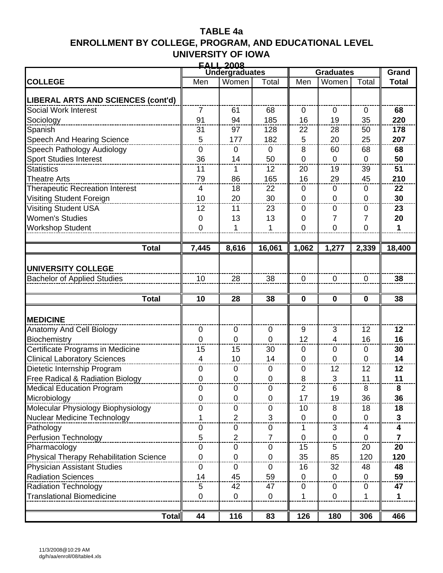|                                                    |                | <b>FALL 2008</b>      |                  |                    |                  |                |                |
|----------------------------------------------------|----------------|-----------------------|------------------|--------------------|------------------|----------------|----------------|
|                                                    |                | <b>Undergraduates</b> |                  |                    | <b>Graduates</b> |                | Grand          |
| <b>COLLEGE</b>                                     | Men            | Women                 | Total            | Men                | Women            | Total          | <b>Total</b>   |
| <b>LIBERAL ARTS AND SCIENCES (cont'd)</b>          |                |                       |                  |                    |                  |                |                |
| Social Work Interest                               | $\overline{7}$ | 61                    | 68               | $\mathbf 0$        | $\mathbf 0$      | $\mathbf 0$    | 68             |
| Sociology                                          | 91             | 94                    | 185              | 16                 | 19               | 35             | 220            |
| Spanish                                            | 31             | 97                    | 128              | 22                 | 28               | 50             | 178            |
| <b>Speech And Hearing Science</b>                  | 5              | 177                   | 182              | 5                  | 20               | 25             | 207            |
| Speech Pathology Audiology                         | $\mathbf 0$    | $\mathbf 0$           | $\mathbf 0$      | 8                  | 60               | 68             | 68             |
| <b>Sport Studies Interest</b>                      | 36             | 14                    | 50               | $\mathbf 0$        | $\mathbf 0$      | $\mathbf 0$    | 50             |
| <b>Statistics</b>                                  | 11             | 1                     | 12               | 20                 | 19               | 39             | 51             |
| <b>Theatre Arts</b>                                | 79             | 86                    | 165              | 16                 | 29               | 45             | 210            |
| <b>Therapeutic Recreation Interest</b>             | 4              | 18                    | 22               | 0                  | $\Omega$         | 0              | 22             |
| Visiting Student Foreign                           | 10             | 20                    | 30               | $\mathbf 0$        | $\mathbf 0$      | $\overline{0}$ | 30             |
| <b>Visiting Student USA</b>                        | 12             | 11                    | 23               | 0                  | $\mathbf 0$      | $\mathbf 0$    | 23             |
| <b>Women's Studies</b>                             | 0              | 13                    | 13               | 0                  | 7                | 7              | 20             |
| <b>Workshop Student</b>                            | $\mathbf 0$    | 1                     | 1                | $\mathbf 0$        | $\mathbf 0$      | $\mathbf 0$    | $\mathbf{1}$   |
|                                                    |                |                       |                  |                    |                  |                |                |
| <b>Total</b>                                       | 7,445          | 8,616                 | 16,061           | 1,062              | 1,277            | 2,339          | 18,400         |
| <b>UNIVERSITY COLLEGE</b>                          |                |                       |                  |                    |                  |                |                |
| <b>Bachelor of Applied Studies</b>                 | 10             | 28                    | 38               | $\mathbf 0$        | $\mathbf 0$      | $\mathbf 0$    | 38             |
|                                                    |                |                       |                  |                    |                  |                |                |
| <b>Total</b>                                       | 10             | 28                    | 38               | $\mathbf 0$        | $\mathbf 0$      | $\mathbf 0$    | 38             |
|                                                    |                |                       |                  |                    |                  |                |                |
| <b>MEDICINE</b>                                    |                |                       |                  |                    |                  |                |                |
| Anatomy And Cell Biology                           | 0              | $\mathbf 0$           | $\mathbf 0$      | 9                  | 3                | 12             | 12             |
| Biochemistry                                       | $\mathbf 0$    | 0                     | $\overline{0}$   | 12                 | $\overline{4}$   | 16             | 16             |
| Certificate Programs in Medicine                   | 15             | 15                    | 30               | 0                  | $\mathbf 0$      | $\mathbf 0$    | 30             |
| <b>Clinical Laboratory Sciences</b>                | 4              | 10                    | 14               | $\mathbf 0$        | $\mathbf 0$      | $\mathbf 0$    | 14             |
| Dietetic Internship Program                        | 0              | 0                     | $\mathbf 0$      | 0                  | 12               | 12             | 12             |
| Free Radical & Radiation Biology                   | 0              | 0                     | 0                | 8                  | 3                | 11             | 11             |
| <b>Medical Education Program</b>                   | O<br>0         | O<br>$\mathbf 0$      | O<br>$\mathbf 0$ | $\mathbf{z}$<br>17 | 6<br>19          | 8<br>36        | 8<br>36        |
| Microbiology<br>Molecular Physiology Biophysiology | 0              | 0                     | $\pmb{0}$        | 10                 | 8                | 18             | 18             |
| <b>Nuclear Medicine Technology</b>                 |                | $\overline{2}$        | 3                | $\mathbf 0$        | $\mathbf 0$      | $\mathbf 0$    | $\mathbf{3}$   |
|                                                    |                |                       |                  |                    |                  |                |                |
|                                                    |                |                       |                  |                    |                  |                |                |
| Pathology                                          | 0              | $\pmb{0}$             | $\mathbf 0$      | 1                  | 3                | 4              | 4              |
| <b>Perfusion Technology</b>                        | 5              | $\overline{2}$        | $\overline{7}$   | $\mathbf 0$        | $\mathbf 0$      | $\mathbf 0$    | $\overline{7}$ |
| Pharmacology                                       | $\pmb{0}$      | $\pmb{0}$             | $\mathbf 0$      | 15                 | 5                | 20             | 20             |
| <b>Physical Therapy Rehabilitation Science</b>     | $\pmb{0}$      | $\pmb{0}$             | $\pmb{0}$        | 35                 | 85               | 120            | 120            |
| <b>Physician Assistant Studies</b>                 | $\mathbf 0$    | 0                     | 0                | 16                 | 32               | 48             | 48             |
| <b>Radiation Sciences</b>                          | 14             | 45                    | 59               | $\mathbf 0$        | $\mathbf 0$      | $\mathbf 0$    | 59             |
| <b>Radiation Technology</b>                        | 5              | 42                    | 47               | 0                  | $\mathbf 0$      | $\mathbf 0$    | 47             |
| <b>Translational Biomedicine</b>                   | $\mathbf 0$    | $\mathbf 0$           | $\overline{0}$   | 1                  | $\mathbf 0$      | 1              | 1              |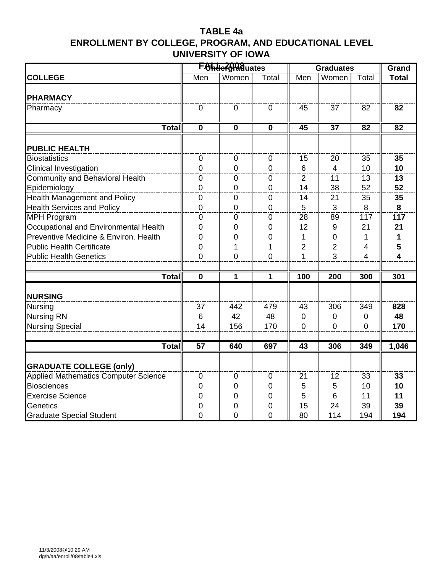|                                             |                         | <b>Fohdergruduates</b> |                |                 | <b>Graduates</b> |                  |                         |  |  |
|---------------------------------------------|-------------------------|------------------------|----------------|-----------------|------------------|------------------|-------------------------|--|--|
| <b>COLLEGE</b>                              | Men                     | Women                  | Total          | Men             | Women            | Total            | <b>Total</b>            |  |  |
|                                             |                         |                        |                |                 |                  |                  |                         |  |  |
| <b>PHARMACY</b>                             |                         |                        |                |                 |                  |                  |                         |  |  |
| Pharmacy                                    | $\overline{0}$          | $\mathbf 0$            | $\overline{0}$ | 45              | 37               | 82               | 82                      |  |  |
|                                             |                         |                        |                |                 |                  |                  |                         |  |  |
| <b>Total</b>                                | $\overline{\mathbf{0}}$ | $\mathbf 0$            | $\mathbf 0$    | $\overline{45}$ | $\overline{37}$  | 82               | $\overline{82}$         |  |  |
| <b>PUBLIC HEALTH</b>                        |                         |                        |                |                 |                  |                  |                         |  |  |
| <b>Biostatistics</b>                        | $\mathbf 0$             | $\mathbf 0$            | $\mathbf 0$    | 15              | 20               | 35               | 35                      |  |  |
| <b>Clinical Investigation</b>               | $\overline{0}$          | $\overline{0}$         | $\overline{0}$ | 6               | $\overline{4}$   | 10               | 10                      |  |  |
| <b>Community and Behavioral Health</b>      | $\mathbf 0$             | 0                      | $\mathbf 0$    | 2               | 11               | 13               | 13                      |  |  |
| Epidemiology                                | $\mathbf 0$             | 0                      | $\mathbf 0$    | 14              | 38               | 52               | 52                      |  |  |
| Health Management and Policy                | $\overline{0}$          | 0                      | $\overline{0}$ | 14              | 21               | 35               | 35                      |  |  |
| <b>Health Services and Policy</b>           | $\mathbf 0$             | 0                      | $\mathbf 0$    | 5               | 3                | 8                | 8                       |  |  |
| <b>MPH Program</b>                          | $\mathbf 0$             | $\pmb{0}$              | $\mathbf 0$    | 28              | 89               | 117              | $\overline{117}$        |  |  |
| Occupational and Environmental Health       | $\mathbf 0$             | $\mathbf 0$            | $\mathbf 0$    | 12              | $\boldsymbol{9}$ | 21               | 21                      |  |  |
| Preventive Medicine & Environ. Health       | $\mathbf 0$             | $\pmb{0}$              | $\mathbf 0$    | 1               | $\pmb{0}$        | 1                | 1                       |  |  |
| <b>Public Health Certificate</b>            | $\mathbf 0$             | 1                      | 1              | $\overline{2}$  | $\overline{2}$   | 4                | 5                       |  |  |
| <b>Public Health Genetics</b>               | $\overline{0}$          | $\overline{0}$         | $\overline{0}$ | $\mathbf{1}$    | 3                | $\overline{4}$   | $\overline{\mathbf{4}}$ |  |  |
|                                             |                         |                        |                |                 |                  |                  |                         |  |  |
| <b>Total</b>                                | $\overline{\mathbf{0}}$ | 1                      | 1              | 100             | 200              | 300              | 301                     |  |  |
| <b>NURSING</b>                              |                         |                        |                |                 |                  |                  |                         |  |  |
| <b>Nursing</b>                              | 37                      | 442                    | 479            | 43              | 306              | $\overline{349}$ | 828                     |  |  |
| <b>Nursing RN</b>                           | 6                       | 42                     | 48             | $\mathbf 0$     | 0                | $\mathbf 0$      | 48                      |  |  |
| <b>Nursing Special</b>                      | 14                      | 156                    | 170            | $\overline{0}$  | $\overline{0}$   | $\overline{0}$   | 170                     |  |  |
|                                             |                         |                        |                |                 |                  |                  |                         |  |  |
| <b>Total</b>                                | 57                      | 640                    | 697            | 43              | 306              | 349              | 1,046                   |  |  |
|                                             |                         |                        |                |                 |                  |                  |                         |  |  |
| <b>GRADUATE COLLEGE (only)</b>              |                         |                        |                |                 |                  |                  |                         |  |  |
| <b>Applied Mathematics Computer Science</b> | $\overline{0}$          | $\mathbf 0$            | $\overline{0}$ | 21              | 12               | 33               | 33                      |  |  |
| <b>Biosciences</b>                          | $\mathbf 0$             | $\mathbf 0$            | $\mathbf 0$    | 5               | 5                | 10               | 10                      |  |  |
| <b>Exercise Science</b>                     | 0                       | 0                      | 0              | 5               | 6                | 11               | 11                      |  |  |
| Genetics                                    | 0                       | 0                      | 0              | 15              | 24               | 39               | 39                      |  |  |
| <b>Graduate Special Student</b>             | 0                       | 0                      | $\Omega$       | 80              | 114              | 194              | 194                     |  |  |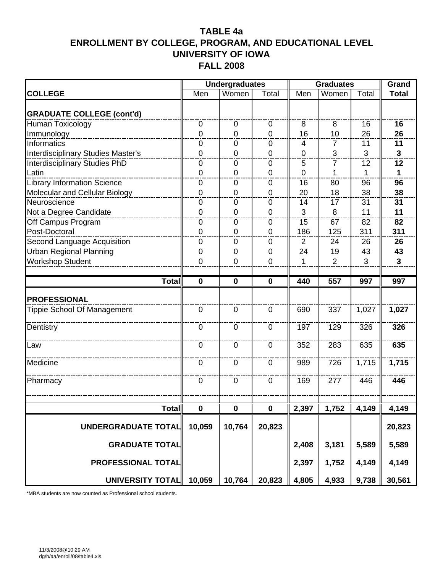|                                           |             | <b>Undergraduates</b> |                | <b>Graduates</b> | Grand          |       |                |
|-------------------------------------------|-------------|-----------------------|----------------|------------------|----------------|-------|----------------|
| <b>COLLEGE</b>                            | Men         | Women                 | Total          | Men              | Women          | Total | <b>Total</b>   |
| <b>GRADUATE COLLEGE (cont'd)</b>          |             |                       |                |                  |                |       |                |
| <b>Human Toxicology</b>                   | $\mathbf 0$ | $\pmb{0}$             | $\mathbf 0$    | 8                | 8              | 16    | 16             |
| Immunology                                | 0           | 0                     | $\overline{0}$ | 16               | 10             | 26    | 26             |
| <b>Informatics</b>                        | $\mathbf 0$ | 0                     | $\mathbf 0$    | 4                | 7              | 11    | 11             |
| <b>Interdisciplinary Studies Master's</b> | $\mathbf 0$ | $\mathbf 0$           | $\mathbf 0$    | $\mathbf 0$      | $\mathfrak{S}$ | 3     | $\mathbf{3}$   |
| <b>Interdisciplinary Studies PhD</b>      | 0           | 0                     | $\mathbf 0$    | 5                | $\overline{7}$ | 12    | 12             |
| Latin                                     | 0           | $\overline{0}$        | $\overline{0}$ | $\overline{0}$   | 1              | 1     | $\mathbf 1$    |
| <b>Library Information Science</b>        | $\mathbf 0$ | 0                     | $\mathbf 0$    | 16               | 80             | 96    | 96             |
| Molecular and Cellular Biology            | $\mathbf 0$ | $\mathbf 0$           | $\mathbf 0$    | 20               | 18             | 38    | 38             |
| Neuroscience                              | 0           | $\mathbf 0$           | $\mathbf 0$    | 14               | 17             | 31    | 31             |
| Not a Degree Candidate                    | 0           | 0                     | $\overline{0}$ | 3                | 8              | 11    | 11             |
| Off Campus Program                        | 0           | 0                     | 0              | 15               | 67             | 82    | 82             |
| Post-Doctoral                             | $\mathbf 0$ | $\mathbf 0$           | $\mathbf 0$    | 186              | 125            | 311   | 311            |
| Second Language Acquisition               | 0           | $\mathbf 0$           | 0              | $\overline{2}$   | 24             | 26    | 26             |
| <b>Urban Regional Planning</b>            | 0           | $\mathbf 0$           | 0              | 24               | 19             | 43    | 43             |
| <b>Workshop Student</b>                   | 0           | 0                     | $\mathbf 0$    | 1                | $\overline{2}$ | 3     | $\overline{3}$ |
|                                           |             |                       |                |                  |                |       |                |
| <b>Total</b>                              | $\mathbf 0$ | $\mathbf 0$           | $\mathbf 0$    | 440              | 557            | 997   | 997            |
| <b>PROFESSIONAL</b>                       |             |                       |                |                  |                |       |                |
| <b>Tippie School Of Management</b>        | $\mathbf 0$ | $\mathbf 0$           | $\overline{0}$ | 690              | 337            | 1,027 | 1,027          |
| Dentistry                                 | $\mathbf 0$ | $\mathbf 0$           | $\overline{0}$ | 197              | 129            | 326   | 326            |
| Law                                       | $\mathbf 0$ | $\mathbf 0$           | $\mathbf 0$    | 352              | 283            | 635   | 635            |
| Medicine                                  | $\mathbf 0$ | $\mathbf 0$           | $\mathbf 0$    | 989              | 726            | 1,715 | 1,715          |
| Pharmacy                                  | $\mathbf 0$ | $\mathbf 0$           | $\mathbf 0$    | 169              | 277            | 446   | 446            |
|                                           |             |                       |                |                  |                |       |                |
| <b>Total</b>                              | $\pmb{0}$   | $\pmb{0}$             | $\mathbf 0$    | 2,397            | 1,752          | 4,149 | 4,149          |
| UNDERGRADUATE TOTAL                       | 10,059      | 10,764                | 20,823         |                  |                |       | 20,823         |
| <b>GRADUATE TOTAL</b>                     |             |                       |                | 2,408            | 3,181          | 5,589 | 5,589          |
| PROFESSIONAL TOTAL                        |             |                       |                | 2,397            | 1,752          | 4,149 | 4,149          |
| UNIVERSITY TOTAL                          | 10,059      | 10,764                | 20,823         | 4,805            | 4,933          | 9,738 | 30,561         |

\*MBA students are now counted as Professional school students.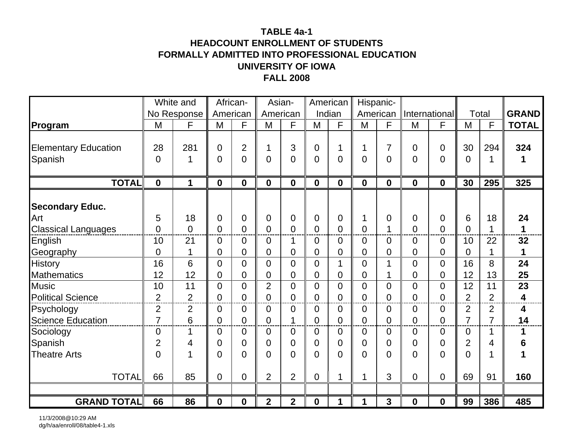### **TABLE 4a-1HEADCOUNT ENROLLMENT OF STUDENTS FORMALLY ADMITTED INTO PROFESSIONAL EDUCATION UNIVERSITY OF IOWAFALL 2008**

|                | White and                                              |                                     | African-                   |                                                        | Asian-                                                |                                                                | American                                          |                            | Hispanic-        |                                                        |                                                     |                                                       |                     |                                                         |
|----------------|--------------------------------------------------------|-------------------------------------|----------------------------|--------------------------------------------------------|-------------------------------------------------------|----------------------------------------------------------------|---------------------------------------------------|----------------------------|------------------|--------------------------------------------------------|-----------------------------------------------------|-------------------------------------------------------|---------------------|---------------------------------------------------------|
|                |                                                        |                                     |                            |                                                        |                                                       |                                                                |                                                   |                            |                  |                                                        |                                                     |                                                       |                     | <b>GRAND</b>                                            |
| M              | F                                                      | M                                   | F                          | M                                                      | F                                                     | M                                                              | F                                                 | M                          | F                | M                                                      | F                                                   | M                                                     | F                   | <b>TOTAL</b>                                            |
|                |                                                        |                                     |                            |                                                        |                                                       |                                                                |                                                   |                            |                  |                                                        |                                                     |                                                       |                     | 324                                                     |
|                |                                                        |                                     |                            |                                                        |                                                       |                                                                |                                                   |                            |                  |                                                        |                                                     |                                                       |                     | 1                                                       |
|                |                                                        |                                     |                            |                                                        |                                                       |                                                                |                                                   |                            |                  |                                                        |                                                     |                                                       |                     |                                                         |
| $\mathbf 0$    | 1                                                      | $\boldsymbol{0}$                    | $\mathbf 0$                | $\mathbf 0$                                            | $\mathbf 0$                                           | $\mathbf 0$                                                    | $\mathbf 0$                                       | $\boldsymbol{0}$           | $\mathbf 0$      | $\mathbf 0$                                            | $\mathbf 0$                                         | 30                                                    | 295                 | 325                                                     |
|                |                                                        |                                     |                            |                                                        |                                                       |                                                                |                                                   |                            |                  |                                                        |                                                     |                                                       |                     |                                                         |
|                |                                                        |                                     |                            |                                                        |                                                       |                                                                |                                                   |                            |                  |                                                        |                                                     |                                                       |                     |                                                         |
| 5              | 18                                                     | 0                                   | 0                          | $\overline{0}$                                         | 0                                                     | 0                                                              | 0                                                 | 1                          | 0                | $\overline{0}$                                         | $\mathbf 0$                                         | 6                                                     | 18                  | 24                                                      |
| $\overline{0}$ | $\overline{0}$                                         | $\overline{0}$                      | $\overline{0}$             | $\overline{0}$                                         | $\overline{0}$                                        | $\overline{0}$                                                 | $\overline{0}$                                    | $\overline{0}$             | 4                | $\overline{0}$                                         | $\overline{0}$                                      | 0                                                     | 1                   | 1                                                       |
| 10             | 21                                                     | $\overline{0}$                      | $\overline{0}$             | $\Omega$                                               | 1                                                     | $\overline{0}$                                                 | 0                                                 | 0                          | $\overline{0}$   | $\overline{0}$                                         | $\mathbf 0$                                         | 10                                                    | 22                  | 32                                                      |
| $\overline{0}$ | 1                                                      | 0                                   | $\overline{0}$             | $\overline{0}$                                         | 0                                                     | $\overline{0}$                                                 | 0                                                 | 0                          | $\overline{0}$   | 0                                                      | 0                                                   | 0                                                     | 1                   | 1                                                       |
| 16             | 6                                                      | $\overline{0}$                      | $\overline{0}$             | $\overline{0}$                                         | $\overline{0}$                                        | $\overline{0}$                                                 | 1                                                 | $\overline{0}$             | 1                | $\overline{0}$                                         | $\overline{0}$                                      | 16                                                    | 8                   | 24                                                      |
| 12             | 12                                                     | 0                                   | $\overline{0}$             | $\overline{0}$                                         | $\overline{0}$                                        | 0                                                              | 0                                                 | $\overline{0}$             | 1                | 0                                                      | $\overline{0}$                                      | 12                                                    | 13                  | 25                                                      |
| 10             | 11                                                     | $\overline{0}$                      | $\overline{0}$             | $\overline{2}$                                         | $\overline{0}$                                        | $\overline{0}$                                                 | $\overline{0}$                                    | $\overline{0}$             | $\overline{0}$   | $\overline{0}$                                         | $\overline{0}$                                      | 12                                                    | 11                  | 23                                                      |
| $\overline{2}$ | $\overline{2}$                                         | $\overline{0}$                      | $\overline{0}$             | $\overline{0}$                                         | $\overline{0}$                                        | $\overline{0}$                                                 | $\overline{0}$                                    | $\overline{0}$             | $\overline{0}$   | $\overline{0}$                                         | $\overline{0}$                                      | $\overline{2}$                                        | $\overline{2}$      | 4                                                       |
| $\overline{2}$ | $\overline{2}$                                         | 0                                   | $\overline{0}$             | $\overline{0}$                                         | $\mathbf 0$                                           | $\overline{0}$                                                 | 0                                                 | 0                          | $\overline{0}$   | $\mathbf 0$                                            | $\mathbf 0$                                         | $\overline{2}$                                        | $\overline{2}$      | 4                                                       |
| $\overline{7}$ | 6                                                      | $\overline{0}$                      | $\overline{0}$             | $\Omega$                                               | 1                                                     | $\overline{0}$                                                 | 0                                                 | $\overline{0}$             | $\overline{0}$   | $\overline{0}$                                         | $\overline{0}$                                      | $\overline{7}$                                        |                     | 14                                                      |
| $\overline{0}$ | 1                                                      | 0                                   | 0                          | $\overline{0}$                                         | 0                                                     | 0                                                              | 0                                                 | 0                          | $\overline{0}$   | $\Omega$                                               | 0                                                   | 0                                                     | 1                   | 1                                                       |
| $\overline{2}$ | 4                                                      | 0                                   | 0                          | $\overline{0}$                                         | $\mathbf 0$                                           | $\overline{0}$                                                 | 0                                                 | 0                          | $\mathbf 0$      | 0                                                      | 0                                                   | 2                                                     | 4                   | 6                                                       |
| $\overline{0}$ |                                                        | 0                                   | $\Omega$                   | $\overline{0}$                                         | $\overline{0}$                                        | 0                                                              | 0                                                 | $\overline{0}$             | $\overline{0}$   | $\overline{0}$                                         | $\overline{0}$                                      | 0                                                     |                     | 1                                                       |
|                |                                                        |                                     |                            |                                                        |                                                       |                                                                |                                                   |                            |                  |                                                        |                                                     |                                                       |                     | 160                                                     |
|                |                                                        |                                     |                            |                                                        |                                                       |                                                                |                                                   |                            |                  |                                                        |                                                     |                                                       |                     |                                                         |
|                |                                                        |                                     |                            |                                                        |                                                       |                                                                |                                                   |                            |                  |                                                        |                                                     |                                                       |                     | 485                                                     |
| <b>TOTAL</b>   | 28<br>$\overline{0}$<br>66<br><b>GRAND TOTAL</b><br>66 | No Response<br>281<br>1<br>85<br>86 | 0<br>0<br>0<br>$\mathbf 0$ | American<br>$\overline{2}$<br>$\overline{0}$<br>0<br>0 | 1<br>$\overline{0}$<br>$\overline{2}$<br>$\mathbf{2}$ | American<br>3<br>$\mathbf 0$<br>$\overline{2}$<br>$\mathbf{2}$ | $\overline{0}$<br>0<br>$\mathbf 0$<br>$\mathbf 0$ | Indian<br>1<br>0<br>1<br>1 | 1<br>0<br>1<br>1 | American<br>$\overline{7}$<br>$\overline{0}$<br>3<br>3 | $\mathbf 0$<br>0<br>$\mathbf 0$<br>$\boldsymbol{0}$ | International<br>$\mathbf 0$<br>0<br>0<br>$\mathbf 0$ | 30<br>0<br>69<br>99 | <b>Total</b><br>294<br>1<br>$\overline{7}$<br>91<br>386 |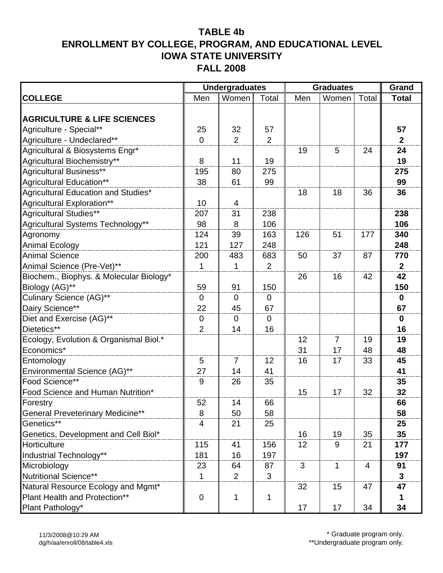|                                         | <b>Undergraduates</b> |                | <b>Graduates</b> | Grand |                |       |                |
|-----------------------------------------|-----------------------|----------------|------------------|-------|----------------|-------|----------------|
| <b>COLLEGE</b>                          | Men                   | Women          | Total            | Men   | Women          | Total | <b>Total</b>   |
|                                         |                       |                |                  |       |                |       |                |
| <b>AGRICULTURE &amp; LIFE SCIENCES</b>  |                       |                |                  |       |                |       |                |
| Agriculture - Special**                 | 25                    | 32             | 57               |       |                |       | 57             |
| Agriculture - Undeclared**              | $\Omega$              | $\overline{2}$ | $\overline{2}$   |       |                |       | $\mathbf{2}$   |
| Agricultural & Biosystems Engr*         |                       |                |                  | 19    | 5              | 24    | 24             |
| Agricultural Biochemistry**             | 8                     | 11             | 19               |       |                |       | 19             |
| Agricultural Business**                 | 195                   | 80             | 275              |       |                |       | 275            |
| Agricultural Education**                | 38                    | 61             | 99               |       |                |       | 99             |
| Agricultural Education and Studies*     |                       |                |                  | 18    | 18             | 36    | 36             |
| Agricultural Exploration**              | 10                    | 4              |                  |       |                |       |                |
| Agricultural Studies**                  | 207                   | 31             | 238              |       |                |       | 238            |
| Agricultural Systems Technology**       | 98                    | 8              | 106              |       |                |       | 106            |
| Agronomy                                | 124                   | 39             | 163              | 126   | 51             | 177   | 340            |
| <b>Animal Ecology</b>                   | 121                   | 127            | 248              |       |                |       | 248            |
| <b>Animal Science</b>                   | 200                   | 483            | 683              | 50    | 37             | 87    | 770            |
| Animal Science (Pre-Vet)**              | $\mathbf{1}$          | 1              | $\overline{2}$   |       |                |       | $\overline{2}$ |
| Biochem., Biophys. & Molecular Biology* |                       |                |                  | 26    | 16             | 42    | 42             |
| Biology (AG)**                          | 59                    | 91             | 150              |       |                |       | 150            |
| Culinary Science (AG)**                 | $\mathbf 0$           | $\mathbf 0$    | $\mathbf 0$      |       |                |       | $\mathbf 0$    |
| Dairy Science**                         | 22                    | 45             | 67               |       |                |       | 67             |
| Diet and Exercise (AG)**                | $\mathbf 0$           | $\overline{0}$ | $\mathbf 0$      |       |                |       | $\mathbf 0$    |
| Dietetics**                             | $\overline{2}$        | 14             | 16               |       |                |       | 16             |
| Ecology, Evolution & Organismal Biol.*  |                       |                |                  | 12    | $\overline{7}$ | 19    | 19             |
| Economics*                              |                       |                |                  | 31    | 17             | 48    | 48             |
| Entomology                              | 5                     | $\overline{7}$ | 12               | 16    | 17             | 33    | 45             |
| Environmental Science (AG)**            | 27                    | 14             | 41               |       |                |       | 41             |
| Food Science**                          | 9                     | 26             | 35               |       |                |       | 35             |
| Food Science and Human Nutrition*       |                       |                |                  | 15    | 17             | 32    | 32             |
| Forestry                                | 52                    | 14             | 66               |       |                |       | 66             |
| <b>General Preveterinary Medicine**</b> | 8                     | 50             | 58               |       |                |       | 58             |
| Genetics**                              | $\overline{4}$        | 21             | 25               |       |                |       | 25             |
| Genetics, Development and Cell Biol*    |                       |                |                  | 16    | 19             | 35    | 35             |
| Horticulture                            | 115                   | 41             | 156              | 12    | 9              | 21    | 177            |
| Industrial Technology**                 | 181                   | 16             | 197              |       |                |       | 197            |
| Microbiology                            | 23                    | 64             | 87               | 3     | 1              | 4     | 91             |
| Nutritional Science**                   | $\mathbf{1}$          | $\overline{2}$ | 3                |       |                |       | $\mathbf{3}$   |
| Natural Resource Ecology and Mgmt*      |                       |                |                  | 32    | 15             | 47    | 47             |
| Plant Health and Protection**           | $\mathbf 0$           | 1              | 1                |       |                |       | 1              |
| Plant Pathology*                        |                       |                |                  | 17    | 17             | 34    | 34             |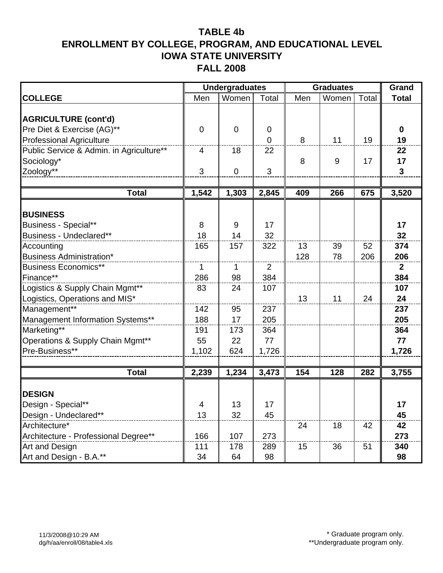|                                          |                | <b>Undergraduates</b> |                | <b>Graduates</b> |       | Grand |              |
|------------------------------------------|----------------|-----------------------|----------------|------------------|-------|-------|--------------|
| <b>COLLEGE</b>                           | Men            | Women                 | Total          | Men              | Women | Total | <b>Total</b> |
|                                          |                |                       |                |                  |       |       |              |
| <b>AGRICULTURE (cont'd)</b>              |                |                       |                |                  |       |       |              |
| Pre Diet & Exercise (AG)**               | $\mathbf 0$    | $\mathbf 0$           | $\mathbf 0$    |                  |       |       | $\mathbf 0$  |
| <b>Professional Agriculture</b>          |                |                       | $\overline{0}$ | 8                | 11    | 19    | 19           |
| Public Service & Admin. in Agriculture** | $\overline{4}$ | 18                    | 22             |                  |       |       | 22           |
| Sociology*                               |                |                       |                | 8                | 9     | 17    | 17           |
| Zoology**                                | 3              | $\mathbf 0$           | 3              |                  |       |       | $\mathbf{3}$ |
|                                          |                |                       |                |                  |       |       |              |
| <b>Total</b>                             | 1,542          | 1,303                 | 2,845          | 409              | 266   | 675   | 3,520        |
|                                          |                |                       |                |                  |       |       |              |
| <b>BUSINESS</b>                          |                |                       |                |                  |       |       |              |
| <b>Business - Special**</b>              | 8              | 9                     | 17             |                  |       |       | 17           |
| Business - Undeclared**                  | 18             | 14                    | 32             |                  |       |       | 32           |
| Accounting                               | 165            | 157                   | 322            | 13               | 39    | 52    | 374          |
| <b>Business Administration*</b>          |                |                       |                | 128              | 78    | 206   | 206          |
| <b>Business Economics**</b>              | $\mathbf{1}$   | $\mathbf{1}$          | $\overline{2}$ |                  |       |       | $\mathbf{2}$ |
| Finance**                                | 286            | 98                    | 384            |                  |       |       | 384          |
| Logistics & Supply Chain Mgmt**          | 83             | 24                    | 107            |                  |       |       | 107          |
| Logistics, Operations and MIS*           |                |                       |                | 13               | 11    | 24    | 24           |
| Management**                             | 142            | 95                    | 237            |                  |       |       | 237          |
| Management Information Systems**         | 188            | 17                    | 205            |                  |       |       | 205          |
| Marketing**                              | 191            | 173                   | 364            |                  |       |       | 364          |
| Operations & Supply Chain Mgmt**         | 55             | 22                    | 77             |                  |       |       | 77           |
| Pre-Business**                           | 1,102          | 624                   | 1,726          |                  |       |       | 1,726        |
| <b>Total</b>                             |                |                       | 3,473          | 154              |       | 282   |              |
|                                          | 2,239          | 1,234                 |                |                  | 128   |       | 3,755        |
| <b>DESIGN</b>                            |                |                       |                |                  |       |       |              |
| Design - Special**                       | 4              | 13                    | 17             |                  |       |       | 17           |
| Design - Undeclared**                    | 13             | 32                    | 45             |                  |       |       | 45           |
| Architecture*                            |                |                       |                | 24               | 18    | 42    | 42           |
| Architecture - Professional Degree**     | 166            | 107                   | 273            |                  |       |       | 273          |
| Art and Design                           | 111            | 178                   | 289            | 15               | 36    | 51    | 340          |
| Art and Design - B.A.**                  | 34             | 64                    | 98             |                  |       |       | 98           |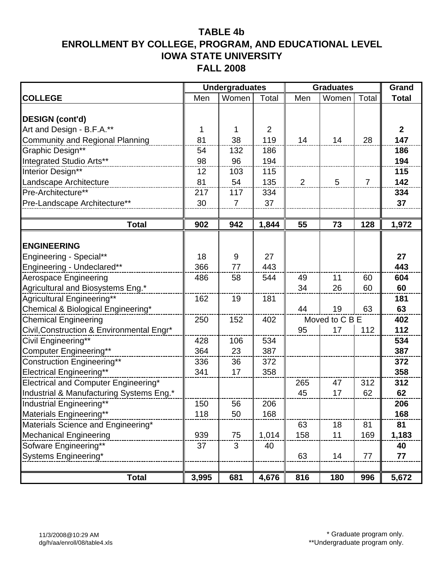|                                           |       | <b>Undergraduates</b> |                | <b>Graduates</b> | Grand          |                |                |
|-------------------------------------------|-------|-----------------------|----------------|------------------|----------------|----------------|----------------|
| <b>COLLEGE</b>                            | Men   | Women                 | Total          | Men              | Women          | Total          | <b>Total</b>   |
|                                           |       |                       |                |                  |                |                |                |
| <b>DESIGN (cont'd)</b>                    |       |                       |                |                  |                |                |                |
| Art and Design - B.F.A.**                 | 1     | 1                     | $\overline{2}$ |                  |                |                | 2 <sup>1</sup> |
| <b>Community and Regional Planning</b>    | 81    | 38                    | 119            | 14               | 14             | 28             | 147            |
| Graphic Design**                          | 54    | 132                   | 186            |                  |                |                | 186            |
| Integrated Studio Arts**                  | 98    | 96                    | 194            |                  |                |                | 194            |
| Interior Design**                         | 12    | 103                   | 115            |                  |                |                | 115            |
| Landscape Architecture                    | 81    | 54                    | 135            | $\overline{2}$   | 5              | $\overline{7}$ | 142            |
| Pre-Architecture**                        | 217   | 117                   | 334            |                  |                |                | 334            |
| Pre-Landscape Architecture**              | 30    | $\overline{7}$        | 37             |                  |                |                | 37             |
|                                           |       |                       |                |                  |                |                |                |
| <b>Total</b>                              | 902   | 942                   | 1,844          | 55               | 73             | 128            | 1,972          |
|                                           |       |                       |                |                  |                |                |                |
| <b>ENGINEERING</b>                        |       |                       |                |                  |                |                |                |
| Engineering - Special**                   | 18    | 9                     | 27             |                  |                |                | 27             |
| Engineering - Undeclared**                | 366   | 77                    | 443            |                  |                |                | 443            |
| Aerospace Engineering                     | 486   | 58                    | 544            | 49               | 11             | 60             | 604            |
| Agricultural and Biosystems Eng.*         |       |                       |                | 34               | 26             | 60             | 60             |
| Agricultural Engineering**                | 162   | 19                    | 181            |                  |                |                | 181            |
| Chemical & Biological Engineering*        |       |                       |                | 44               | 19             | 63             | 63             |
| <b>Chemical Engineering</b>               | 250   | 152                   | 402            |                  | Moved to C B E |                | 402            |
| Civil, Construction & Environmental Engr* |       |                       |                | 95               | 17             | 112            | 112            |
| Civil Engineering**                       | 428   | 106                   | 534            |                  |                |                | 534            |
| Computer Engineering**                    | 364   | 23                    | 387            |                  |                |                | 387            |
| <b>Construction Engineering**</b>         | 336   | 36                    | 372            |                  |                |                | 372            |
| <b>Electrical Engineering**</b>           | 341   | 17                    | 358            |                  |                |                | 358            |
| Electrical and Computer Engineering*      |       |                       |                | 265              | 47             | 312            | 312            |
| Industrial & Manufacturing Systems Eng.*  |       |                       |                | 45               | 17             | 62             | 62             |
| Industrial Engineering**                  | 150   | 56                    | 206            |                  |                |                | 206            |
| Materials Engineering**                   | 118   | 50                    | 168            |                  |                |                | 168            |
| Materials Science and Engineering*        |       |                       |                | 63               | 18             | 81             | 81             |
| <b>Mechanical Engineering</b>             | 939   | 75                    | 1,014          | 158              | 11             | 169            | 1,183          |
| Sofware Engineering**                     | 37    | $\mathfrak{S}$        | 40             |                  |                |                | 40             |
| Systems Engineering*                      |       |                       |                | 63               | 14             | 77             | 77             |
|                                           |       |                       |                |                  |                |                |                |
| <b>Total</b>                              | 3,995 | 681                   | 4,676          | 816              | 180            | 996            | 5,672          |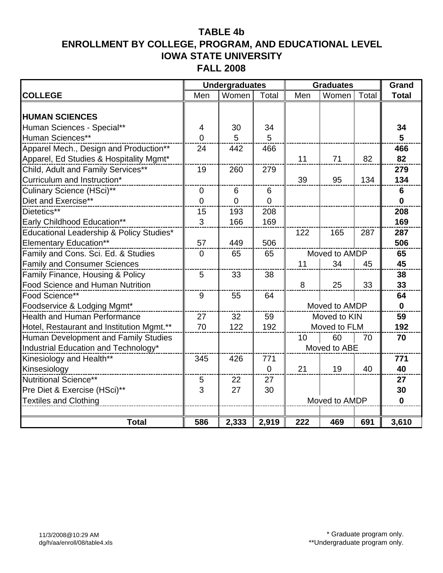|                                             |                | <b>Undergraduates</b> |       | <b>Graduates</b> | Grand         |       |                |
|---------------------------------------------|----------------|-----------------------|-------|------------------|---------------|-------|----------------|
| <b>COLLEGE</b>                              | Men            | Women                 | Total | Men              | Women         | Total | <b>Total</b>   |
|                                             |                |                       |       |                  |               |       |                |
| <b>HUMAN SCIENCES</b>                       |                |                       |       |                  |               |       |                |
| Human Sciences - Special**                  | $\overline{4}$ | 30                    | 34    |                  |               |       | 34             |
| Human Sciences**                            | $\overline{0}$ | 5                     | 5     |                  |               |       | $5\phantom{1}$ |
| Apparel Mech., Design and Production**      | 24             | 442                   | 466   |                  |               |       | 466            |
| Apparel, Ed Studies & Hospitality Mgmt*     |                |                       |       | 11               | 71            | 82    | 82             |
| Child, Adult and Family Services**          | 19             | 260                   | 279   |                  |               |       | 279            |
| Curriculum and Instruction*                 |                |                       |       | 39               | 95            | 134   | 134            |
| Culinary Science (HSci)**                   | $\mathbf 0$    | 6                     | 6     |                  |               |       | 6              |
| Diet and Exercise**                         | $\overline{0}$ | $\overline{0}$        | 0     |                  |               |       | $\mathbf 0$    |
| Dietetics**                                 | 15             | 193                   | 208   |                  |               |       | 208            |
| Early Childhood Education**                 | 3              | 166                   | 169   |                  |               |       | 169            |
| Educational Leadership & Policy Studies*    |                |                       |       | 122              | 165           | 287   | 287            |
| <b>Elementary Education**</b>               | 57             | 449                   | 506   |                  |               |       | 506            |
| Family and Cons. Sci. Ed. & Studies         | $\Omega$       | 65                    | 65    |                  | Moved to AMDP |       | 65             |
| <b>Family and Consumer Sciences</b>         |                |                       |       | 11               | 34            | 45    | 45             |
| Family Finance, Housing & Policy            | 5              | 33                    | 38    |                  |               |       | 38             |
| <b>Food Science and Human Nutrition</b>     |                |                       |       | 8                | 25            | 33    | 33             |
| Food Science**                              | 9              | 55                    | 64    |                  |               |       | 64             |
| Foodservice & Lodging Mgmt*                 |                |                       |       |                  | Moved to AMDP |       | $\mathbf{0}$   |
| <b>Health and Human Performance</b>         | 27             | 32                    | 59    |                  | Moved to KIN  |       | 59             |
| Hotel, Restaurant and Institution Mgmt.**   | 70             | 122                   | 192   |                  | Moved to FLM  |       | 192            |
| <b>Human Development and Family Studies</b> |                |                       |       | 10               | 60            | 70    | 70             |
| Industrial Education and Technology*        |                |                       |       |                  | Moved to ABE  |       |                |
| Kinesiology and Health**                    | 345            | 426                   | 771   |                  |               |       | 771            |
| Kinsesiology                                |                |                       | 0     | 21               | 19            | 40    | 40             |
| Nutritional Science**                       | 5              | 22                    | 27    |                  |               |       | 27             |
| Pre Diet & Exercise (HSci)**                | 3              | 27                    | 30    |                  |               |       | 30             |
| <b>Textiles and Clothing</b>                |                |                       |       | Moved to AMDP    |               |       | $\mathbf{0}$   |
|                                             |                |                       |       |                  |               |       |                |
| <b>Total</b>                                | 586            | 2,333                 | 2,919 | 222              | 469           | 691   | 3,610          |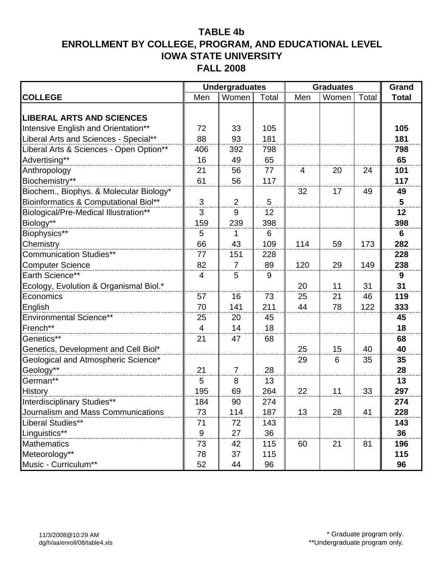|                                         |                  | <b>Undergraduates</b> |       | <b>Graduates</b> | Grand |       |                |
|-----------------------------------------|------------------|-----------------------|-------|------------------|-------|-------|----------------|
| <b>COLLEGE</b>                          | Men              | Women                 | Total | Men              | Women | Total | <b>Total</b>   |
|                                         |                  |                       |       |                  |       |       |                |
| <b>LIBERAL ARTS AND SCIENCES</b>        |                  |                       |       |                  |       |       |                |
| Intensive English and Orientation**     | 72               | 33                    | 105   |                  |       |       | 105            |
| Liberal Arts and Sciences - Special**   | 88               | 93                    | 181   |                  |       |       | 181            |
| Liberal Arts & Sciences - Open Option** | 406              | 392                   | 798   |                  |       |       | 798            |
| Advertising**                           | 16               | 49                    | 65    |                  |       |       | 65             |
| Anthropology                            | 21               | 56                    | 77    | 4                | 20    | 24    | 101            |
| Biochemistry**                          | 61               | 56                    | 117   |                  |       |       | 117            |
| Biochem., Biophys. & Molecular Biology* |                  |                       |       | 32               | 17    | 49    | 49             |
| Bioinformatics & Computational Biol**   | 3                | $\overline{2}$        | 5     |                  |       |       | $5\phantom{1}$ |
| Biological/Pre-Medical Illustration**   | 3                | 9                     | 12    |                  |       |       | 12             |
| Biology**                               | 159              | 239                   | 398   |                  |       |       | 398            |
| Biophysics**                            | 5                | 1                     | 6     |                  |       |       | 6              |
| Chemistry                               | 66               | 43                    | 109   | 114              | 59    | 173   | 282            |
| Communication Studies**                 | 77               | 151                   | 228   |                  |       |       | 228            |
| <b>Computer Science</b>                 | 82               | $\overline{7}$        | 89    | 120              | 29    | 149   | 238            |
| Earth Science**                         | $\overline{4}$   | 5                     | $9\,$ |                  |       |       | 9              |
| Ecology, Evolution & Organismal Biol.*  |                  |                       |       | 20               | 11    | 31    | 31             |
| Economics                               | 57               | 16                    | 73    | 25               | 21    | 46    | 119            |
| English                                 | 70               | 141                   | 211   | 44               | 78    | 122   | 333            |
| <b>Environmental Science**</b>          | 25               | 20                    | 45    |                  |       |       | 45             |
| French**                                | $\overline{4}$   | 14                    | 18    |                  |       |       | 18             |
| Genetics**                              | 21               | 47                    | 68    |                  |       |       | 68             |
| Genetics, Development and Cell Biol*    |                  |                       |       | 25               | 15    | 40    | 40             |
| Geological and Atmospheric Science*     |                  |                       |       | 29               | 6     | 35    | 35             |
| Geology**                               | 21               | $\overline{7}$        | 28    |                  |       |       | 28             |
| German**                                | 5                | 8                     | 13    |                  |       |       | 13             |
| History                                 | 195              | 69                    | 264   | 22               | 11    | 33    | 297            |
| Interdisciplinary Studies**             | 184              | 90                    | 274   |                  |       |       | 274            |
| Journalism and Mass Communications      | 73               | 114                   | 187   | 13               | 28    | 41    | 228            |
| Liberal Studies**                       | 71               | 72                    | 143   |                  |       |       | 143            |
| Linguistics**                           | $\boldsymbol{9}$ | 27                    | 36    |                  |       |       | 36             |
| <b>Mathematics</b>                      | 73               | 42                    | 115   | 60               | 21    | 81    | 196            |
| Meteorology**                           | 78               | 37                    | 115   |                  |       |       | 115            |
| Music - Curriculum**                    | 52               | 44                    | 96    |                  |       |       | 96             |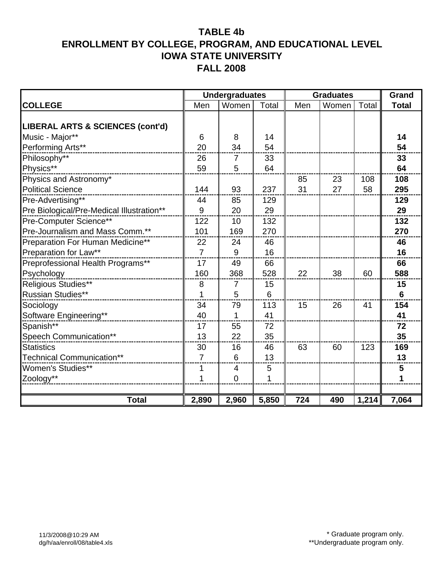|                                           |                | <b>Undergraduates</b> |       | <b>Graduates</b> |       | <b>Grand</b> |                |
|-------------------------------------------|----------------|-----------------------|-------|------------------|-------|--------------|----------------|
| <b>COLLEGE</b>                            | Men            | Women                 | Total | Men              | Women | Total        | <b>Total</b>   |
|                                           |                |                       |       |                  |       |              |                |
| LIBERAL ARTS & SCIENCES (cont'd)          |                |                       |       |                  |       |              |                |
| Music - Major**                           | 6              | 8                     | 14    |                  |       |              | 14             |
| Performing Arts**                         | 20             | 34                    | 54    |                  |       |              | 54             |
| Philosophy**                              | 26             | 7                     | 33    |                  |       |              | 33             |
| Physics**                                 | 59             | 5                     | 64    |                  |       |              | 64             |
| Physics and Astronomy*                    |                |                       |       | 85               | 23    | 108          | 108            |
| <b>Political Science</b>                  | 144            | 93                    | 237   | 31               | 27    | 58           | 295            |
| Pre-Advertising**                         | 44             | 85                    | 129   |                  |       |              | 129            |
| Pre Biological/Pre-Medical Illustration** | 9              | 20                    | 29    |                  |       |              | 29             |
| Pre-Computer Science**                    | 122            | 10                    | 132   |                  |       |              | 132            |
| Pre-Journalism and Mass Comm.**           | 101            | 169                   | 270   |                  |       |              | 270            |
| Preparation For Human Medicine**          | 22             | 24                    | 46    |                  |       |              | 46             |
| Preparation for Law**                     | $\overline{7}$ | 9                     | 16    |                  |       |              | 16             |
| Preprofessional Health Programs**         | 17             | 49                    | 66    |                  |       |              | 66             |
| Psychology                                | 160            | 368                   | 528   | 22               | 38    | 60           | 588            |
| Religious Studies**                       | 8              | $\overline{7}$        | 15    |                  |       |              | 15             |
| <b>Russian Studies**</b>                  | 1              | 5                     | 6     |                  |       |              | $6\phantom{1}$ |
| Sociology                                 | 34             | 79                    | 113   | 15               | 26    | 41           | 154            |
| Software Engineering**                    | 40             | 1                     | 41    |                  |       |              | 41             |
| Spanish**                                 | 17             | 55                    | 72    |                  |       |              | 72             |
| Speech Communication**                    | 13             | 22                    | 35    |                  |       |              | 35             |
| <b>Statistics</b>                         | 30             | 16                    | 46    | 63               | 60    | 123          | 169            |
| Technical Communication**                 | $\overline{7}$ | $6\phantom{1}6$       | 13    |                  |       |              | 13             |
| Women's Studies**                         | 1              | 4                     | 5     |                  |       |              | 5              |
| Zoology**                                 | 1              | $\mathbf 0$           | 1     |                  |       |              | 1              |
|                                           |                |                       |       |                  |       |              |                |
| <b>Total</b>                              | 2,890          | 2,960                 | 5,850 | 724              | 490   | 1,214        | 7,064          |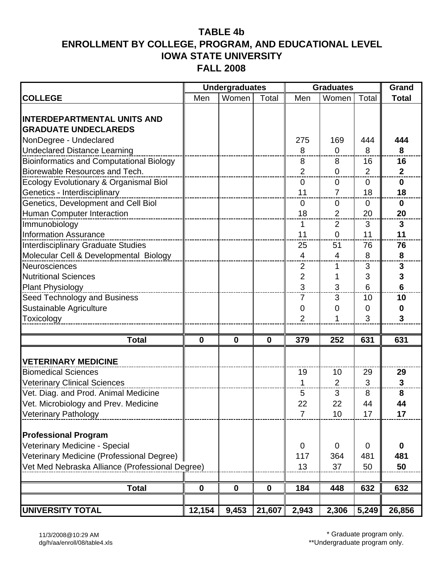|                                                 |             | <b>Undergraduates</b> |              | <b>Graduates</b> | Grand          |                |                |
|-------------------------------------------------|-------------|-----------------------|--------------|------------------|----------------|----------------|----------------|
| <b>COLLEGE</b>                                  | Men         | Women                 | Total        | Men              | Women          | Total          | <b>Total</b>   |
|                                                 |             |                       |              |                  |                |                |                |
| <b>INTERDEPARTMENTAL UNITS AND</b>              |             |                       |              |                  |                |                |                |
| <b>GRADUATE UNDECLAREDS</b>                     |             |                       |              |                  |                |                |                |
| NonDegree - Undeclared                          |             |                       |              | 275              | 169            | 444            | 444            |
| <b>Undeclared Distance Learning</b>             |             |                       |              | 8                | $\mathbf 0$    | 8              | 8              |
| <b>Bioinformatics and Computational Biology</b> |             |                       |              | 8                | 8              | 16             | 16             |
| Biorewable Resources and Tech.                  |             |                       |              | $\overline{2}$   | $\overline{0}$ | $\overline{2}$ | $\overline{2}$ |
| Ecology Evolutionary & Organismal Biol          |             |                       |              | $\overline{0}$   | 0              | $\mathbf 0$    | $\mathbf 0$    |
| Genetics - Interdisciplinary                    |             |                       |              | 11               | $\overline{7}$ | 18             | 18             |
| Genetics, Development and Cell Biol             |             |                       |              | $\overline{0}$   | $\mathbf 0$    | 0              | $\bf{0}$       |
| Human Computer Interaction                      |             |                       |              | 18               | $\overline{2}$ | 20             | 20             |
| Immunobiology                                   |             |                       |              | 1                | $\overline{2}$ | 3              | $\mathbf{3}$   |
| <b>Information Assurance</b>                    |             |                       |              | 11               | $\overline{0}$ | 11             | 11             |
| <b>Interdisciplinary Graduate Studies</b>       |             |                       |              | 25               | 51             | 76             | 76             |
| Molecular Cell & Developmental Biology          |             |                       |              | 4                | 4              | 8              | 8              |
| Neurosciences                                   |             |                       |              | $\overline{2}$   | 1              | 3              | $\mathbf{3}$   |
| <b>Nutritional Sciences</b>                     |             |                       |              | 2                | 1              | 3              | 3              |
| <b>Plant Physiology</b>                         |             |                       |              | 3                | 3              | 6              | 6              |
| Seed Technology and Business                    |             |                       |              | $\overline{7}$   | 3              | 10             | 10             |
| Sustainable Agriculture                         |             |                       |              | $\mathbf 0$      | 0              | 0              | 0              |
| Toxicology                                      |             |                       |              | $\mathfrak{p}$   | 1              | 3              | 3              |
|                                                 |             |                       |              |                  |                |                |                |
| <b>Total</b>                                    | $\bf{0}$    | $\bf{0}$              | $\mathbf{0}$ | 379              | 252            | 631            | 631            |
|                                                 |             |                       |              |                  |                |                |                |
| <b>VETERINARY MEDICINE</b>                      |             |                       |              |                  |                |                |                |
| <b>Biomedical Sciences</b>                      |             |                       |              | 19               | 10             | 29             | 29             |
| <b>Veterinary Clinical Sciences</b>             |             |                       |              | 1                | $\overline{2}$ | 3              | $\mathbf{3}$   |
| Vet. Diag. and Prod. Animal Medicine            |             |                       |              | 5                | 3              | 8              | 8              |
| Vet. Microbiology and Prev. Medicine            |             |                       |              | 22               | 22             | 44             | 44             |
| <b>Veterinary Pathology</b>                     |             |                       |              | $\overline{7}$   | 10             | 17             | 17             |
|                                                 |             |                       |              |                  |                |                |                |
| <b>Professional Program</b>                     |             |                       |              |                  |                |                |                |
| Veterinary Medicine - Special                   |             |                       |              | $\boldsymbol{0}$ | 0              | $\mathbf 0$    | $\mathbf 0$    |
| Veterinary Medicine (Professional Degree)       |             |                       |              | 117              | 364            | 481            | 481            |
| Vet Med Nebraska Alliance (Professional Degree) |             |                       |              | 13               | 37             | 50             | 50             |
|                                                 |             |                       |              |                  |                |                |                |
| <b>Total</b>                                    | $\mathbf 0$ | $\mathbf 0$           | $\mathbf 0$  | 184              | 448            | 632            | 632            |
|                                                 |             |                       |              |                  |                |                |                |
| <b>UNIVERSITY TOTAL</b>                         | 12,154      | 9,453                 | 21,607       | 2,943            | 2,306          | 5,249          | 26,856         |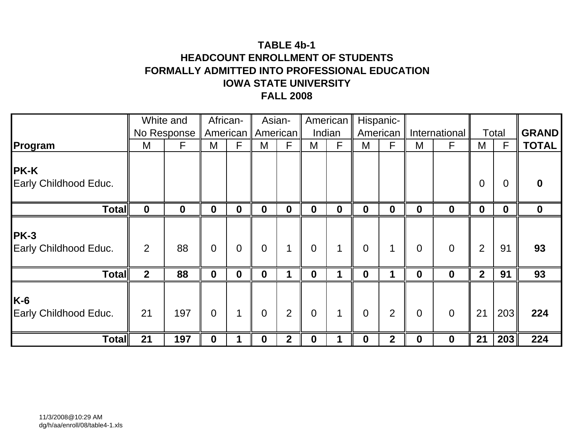## **TABLE 4b-1HEADCOUNT ENROLLMENT OF STUDENTSFORMALLY ADMITTED INTO PROFESSIONAL EDUCATION IOWA STATE UNIVERSITYFALL 2008**

|                                      |             | White and        | African-         |                | Asian-               |                |                | American     |                  | Hispanic-      |                |                |                |                  |              |
|--------------------------------------|-------------|------------------|------------------|----------------|----------------------|----------------|----------------|--------------|------------------|----------------|----------------|----------------|----------------|------------------|--------------|
|                                      |             | No Response      |                  |                | American    American |                | Indian         |              |                  | American       |                | International  |                | Total            | <b>GRAND</b> |
| Program                              | M           | F.               | M                | F              | M                    | F              | M              | $\mathsf{F}$ | M                | F              | M              | F              | M              | F                | <b>TOTAL</b> |
| <b>PK-K</b><br>Early Childhood Educ. |             |                  |                  |                |                      |                |                |              |                  |                |                |                | $\overline{0}$ | 0                |              |
| <b>Total</b>                         | $\mathbf 0$ | $\boldsymbol{0}$ | $\boldsymbol{0}$ | 0              | $\mathbf 0$          | $\mathbf 0$    | $\mathbf 0$    | $\mathbf 0$  | $\boldsymbol{0}$ | $\mathbf 0$    | $\mathbf 0$    | $\mathbf 0$    | $\mathbf 0$    | $\boldsymbol{0}$ | $\mathbf 0$  |
| <b>PK-3</b><br>Early Childhood Educ. | 2           | 88               | $\overline{0}$   | $\overline{0}$ | $\overline{0}$       |                | $\overline{0}$ | 1            | $\overline{0}$   | 1              | $\overline{0}$ | $\overline{0}$ | $\overline{2}$ | 91               | 93           |
| <b>Total</b>                         | $\mathbf 2$ | 88               | $\mathbf 0$      | $\mathbf 0$    | $\mathbf 0$          |                | $\mathbf 0$    | 1            | $\boldsymbol{0}$ |                | $\mathbf 0$    | $\mathbf 0$    | $\overline{2}$ | 91               | 93           |
| $K-6$<br>Early Childhood Educ.       | 21          | 197              | $\overline{0}$   |                | $\overline{0}$       | $\overline{2}$ | $\overline{0}$ | 1            | $\overline{0}$   | $\overline{2}$ | $\overline{0}$ | $\overline{0}$ | 21             | 203              | 224          |
| <b>Total</b>                         | 21          | 197              | 0                |                | $\bf{0}$             | $\mathbf{2}$   | $\bf{0}$       |              | $\boldsymbol{0}$ | $\overline{2}$ | 0              | $\mathbf 0$    | 21             | 203              | 224          |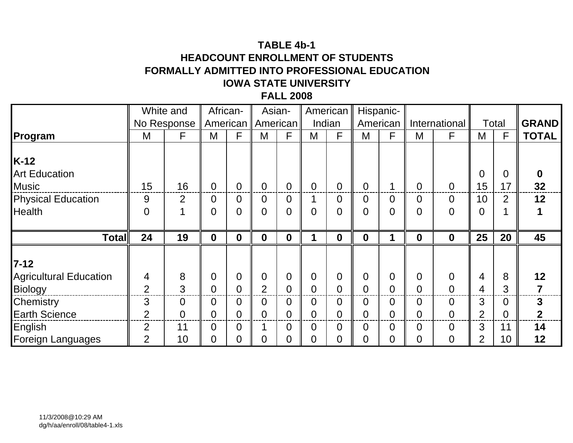## **TABLE 4b-1HEADCOUNT ENROLLMENT OF STUDENTSFORMALLY ADMITTED INTO PROFESSIONAL EDUCATION IOWA STATE UNIVERSITYFALL 2008**

|                               |                | White and      |                  | African-       | Asian-           |                  | American       |                | Hispanic-      |                |                  |                |                |                |              |
|-------------------------------|----------------|----------------|------------------|----------------|------------------|------------------|----------------|----------------|----------------|----------------|------------------|----------------|----------------|----------------|--------------|
|                               |                | No Response    |                  | American       |                  | American         |                | Indian         |                | American       |                  | International  |                | Total          | <b>GRAND</b> |
| Program                       | M              | F              | M                | F              | M                | F                | M              | F              | M              | F              | M                | F              | M              | F              | <b>TOTAL</b> |
|                               |                |                |                  |                |                  |                  |                |                |                |                |                  |                |                |                |              |
| K-12                          |                |                |                  |                |                  |                  |                |                |                |                |                  |                |                |                |              |
| <b>Art Education</b>          |                |                |                  |                |                  |                  |                |                |                |                |                  |                | $\overline{0}$ | 0              | $\bf{0}$     |
| <b>Music</b>                  | 15             | 16             | $\overline{0}$   | $\overline{0}$ | $\overline{0}$   | 0                | 0              | $\overline{0}$ | $\overline{0}$ |                | $\overline{0}$   | $\overline{0}$ | 15             | 17             | 32           |
| <b>Physical Education</b>     | 9              | $\overline{2}$ | $\overline{0}$   | $\overline{0}$ | $\boldsymbol{0}$ | 0                |                | $\overline{0}$ | $\mathbf 0$    | $\overline{0}$ | $\overline{0}$   | $\overline{0}$ | 10             | $\overline{2}$ | 12           |
| <b>Health</b>                 | $\overline{0}$ |                | 0                | 0              | $\overline{0}$   | $\overline{0}$   | $\Omega$       | $\overline{0}$ | 0              | $\overline{0}$ | $\overline{0}$   | $\overline{0}$ | 0              |                |              |
|                               |                |                |                  |                |                  |                  |                |                |                |                |                  |                |                |                |              |
| <b>Total</b>                  | 24             | 19             | $\boldsymbol{0}$ | $\mathbf 0$    | $\mathbf 0$      | $\boldsymbol{0}$ | 1              | $\mathbf 0$    | $\mathbf 0$    |                | $\boldsymbol{0}$ | $\mathbf 0$    | 25             | 20             | 45           |
|                               |                |                |                  |                |                  |                  |                |                |                |                |                  |                |                |                |              |
| $7 - 12$                      |                |                |                  |                |                  |                  |                |                |                |                |                  |                |                |                |              |
| <b>Agricultural Education</b> | 4              | 8              | $\overline{0}$   | $\overline{0}$ | $\overline{0}$   | 0                | 0              | $\overline{0}$ | $\mathbf 0$    | $\overline{0}$ | $\overline{0}$   | $\overline{0}$ | 4              | 8              | 12           |
| Biology                       | $\overline{2}$ | 3              | $\overline{0}$   | $\overline{0}$ | $\overline{2}$   | $\overline{0}$   | $\overline{0}$ | $\overline{0}$ | $\overline{0}$ | $\overline{0}$ | $\overline{0}$   | $\Omega$       | 4              | 3              | 7            |
| Chemistry                     | 3              | 0              | $\overline{0}$   | $\Omega$       | $\overline{0}$   | 0                | 0              | $\overline{0}$ | $\overline{0}$ | $\Omega$       | 0                | $\overline{0}$ | 3              | 0              | 3            |
| <b>Earth Science</b>          | $\overline{2}$ | 0              | 0                | 0              | $\overline{0}$   | 0                | 0              | $\overline{0}$ | 0              | $\overline{0}$ | 0                | $\overline{0}$ | 2              | 0              | $\mathbf{2}$ |
| English                       | $\overline{2}$ | 11             | $\overline{0}$   | $\Omega$       | 1                | $\overline{0}$   | $\Omega$       | $\overline{0}$ | $\overline{0}$ | $\overline{0}$ | $\Omega$         | $\overline{0}$ | 3              | 11             | 14           |
| <b>Foreign Languages</b>      | $\overline{2}$ | 10             | 0                | 0              | $\overline{0}$   | 0                | 0              | $\overline{0}$ | 0              | $\overline{0}$ | 0                | $\overline{0}$ | 2              | 10             | 12           |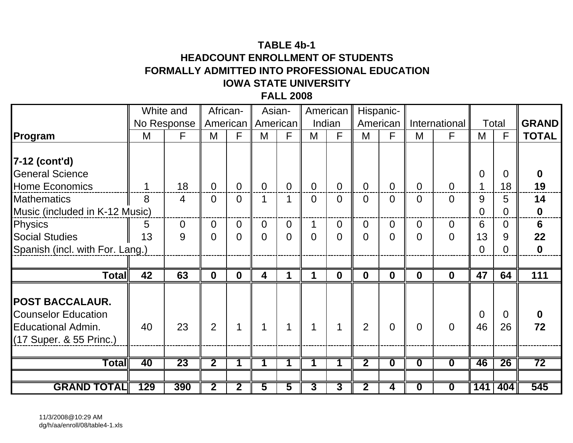## **TABLE 4b-1 HEADCOUNT ENROLLMENT OF STUDENTSFORMALLY ADMITTED INTO PROFESSIONAL EDUCATION IOWA STATE UNIVERSITYFALL 2008**

|                                 |     | White and       |                         | African-       | Asian-         |                |          | American       |                         | Hispanic-               |                         |                         |          |                |                  |
|---------------------------------|-----|-----------------|-------------------------|----------------|----------------|----------------|----------|----------------|-------------------------|-------------------------|-------------------------|-------------------------|----------|----------------|------------------|
|                                 |     | No Response     |                         | American       |                | American       |          | Indian         |                         | American                |                         | International           |          | Total          | <b>GRAND</b>     |
| Program                         | M   | F               | M                       | F              | M              | F              | M        | F              | M                       | F                       | M                       | F                       | M        | F              | <b>TOTAL</b>     |
|                                 |     |                 |                         |                |                |                |          |                |                         |                         |                         |                         |          |                |                  |
| 7-12 (cont'd)                   |     |                 |                         |                |                |                |          |                |                         |                         |                         |                         |          |                |                  |
| <b>General Science</b>          |     |                 |                         |                |                |                |          |                |                         |                         |                         |                         | $\Omega$ | $\overline{0}$ | 0                |
| <b>Home Economics</b>           | 1   | 18              | $\Omega$                | $\Omega$       | $\Omega$       | $\Omega$       | $\Omega$ | $\overline{0}$ | $\overline{0}$          | $\Omega$                | $\Omega$                | $\Omega$                | 1        | 18             | 19               |
| <b>Mathematics</b>              | 8   | 4               | $\overline{0}$          | 0              |                | 1              | 0        | $\Omega$       | $\overline{0}$          | $\overline{0}$          | $\overline{0}$          | $\Omega$                | 9        | 5              | 14               |
| Music (included in K-12 Music)  |     |                 |                         |                |                |                |          |                |                         |                         |                         |                         | 0        | $\overline{0}$ | $\boldsymbol{0}$ |
| Physics                         | 5   | $\overline{0}$  | $\Omega$                | $\Omega$       | $\overline{0}$ | $\Omega$       |          | $\overline{0}$ | $\overline{0}$          | 0                       | 0                       | 0                       | 6        | $\Omega$       | 6                |
| <b>Social Studies</b>           | 13  | 9               | $\Omega$                | $\overline{0}$ | $\overline{0}$ | $\Omega$       | $\Omega$ | $\overline{0}$ | $\overline{0}$          | $\overline{0}$          | $\overline{0}$          | $\Omega$                | 13       | 9              | 22               |
| Spanish (incl. with For. Lang.) |     |                 |                         |                |                |                |          |                |                         |                         |                         |                         | 0        | 0              | $\mathbf 0$      |
|                                 |     |                 |                         |                |                |                |          |                |                         |                         |                         |                         |          |                |                  |
| <b>Total</b>                    | 42  | 63              | $\mathbf{0}$            | $\mathbf{0}$   | 4              | $\mathbf 1$    | 1        | $\mathbf{0}$   | $\mathbf 0$             | $\mathbf 0$             | $\mathbf 0$             | $\mathbf{0}$            | 47       | 64             | 111              |
|                                 |     |                 |                         |                |                |                |          |                |                         |                         |                         |                         |          |                |                  |
| <b>POST BACCALAUR.</b>          |     |                 |                         |                |                |                |          |                |                         |                         |                         |                         |          |                |                  |
| <b>Counselor Education</b>      |     |                 |                         |                |                |                |          |                |                         |                         |                         |                         | 0        | $\Omega$       | O                |
| <b>Educational Admin.</b>       | 40  | 23              | 2                       |                |                |                |          | 1              | $\overline{2}$          | $\overline{0}$          | $\Omega$                | $\overline{0}$          | 46       | 26             | 72               |
| (17 Super. & 55 Princ.)         |     |                 |                         |                |                |                |          |                |                         |                         |                         |                         |          |                |                  |
|                                 |     |                 |                         |                |                |                |          |                |                         |                         |                         |                         |          |                |                  |
| Totall                          | 40  | $\overline{23}$ | $\overline{\mathbf{2}}$ |                |                |                |          | 1              | $\overline{2}$          | $\overline{\mathbf{0}}$ | $\overline{\mathbf{0}}$ | $\overline{\mathbf{0}}$ | 46       | 26             | 72               |
|                                 |     |                 |                         |                |                |                |          |                |                         |                         |                         |                         |          |                |                  |
| <b>GRAND TOTAL</b>              | 129 | 390             | $\overline{\mathbf{2}}$ | $\overline{2}$ | 5              | $\overline{5}$ | 3        | $\overline{3}$ | $\overline{\mathbf{2}}$ | 4                       | $\boldsymbol{0}$        | $\mathbf 0$             | 141      | 404            | 545              |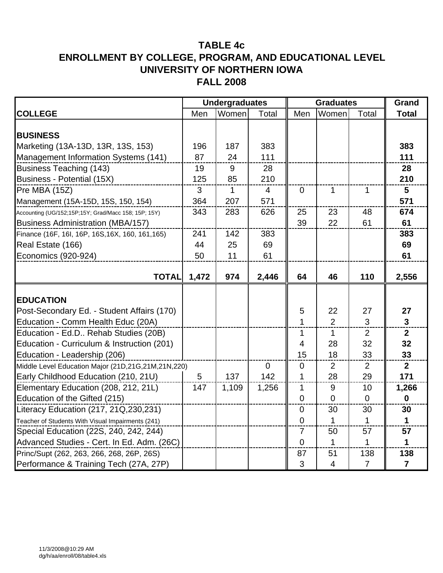|                                                      |       | <b>Undergraduates</b> |                |                  | <b>Graduates</b>         | Grand          |                  |
|------------------------------------------------------|-------|-----------------------|----------------|------------------|--------------------------|----------------|------------------|
| <b>COLLEGE</b>                                       | Men   | Women                 | Total          | Men              | Women                    | Total          | <b>Total</b>     |
|                                                      |       |                       |                |                  |                          |                |                  |
| <b>BUSINESS</b>                                      |       |                       |                |                  |                          |                |                  |
| Marketing (13A-13D, 13R, 13S, 153)                   | 196   | 187                   | 383            |                  |                          |                | 383              |
| Management Information Systems (141)                 | 87    | 24                    | 111            |                  |                          |                | 111              |
| <b>Business Teaching (143)</b>                       | 19    | 9                     | 28             |                  |                          |                | 28               |
| Business - Potential (15X)                           | 125   | 85                    | 210            |                  |                          |                | 210              |
| Pre MBA (15Z)                                        | 3     | $\mathbf 1$           | $\overline{4}$ | $\mathbf 0$      | 1                        | 1              | $5\phantom{.0}$  |
| Management (15A-15D, 15S, 150, 154)                  | 364   | 207                   | 571            |                  |                          |                | 571              |
| Accounting (UG/152;15P;15Y; Grad/Macc 158; 15P; 15Y) | 343   | 283                   | 626            | 25               | 23                       | 48             | 674              |
| <b>Business Administration (MBA/157)</b>             |       |                       |                | 39               | 22                       | 61             | 61               |
| Finance (16F, 16I, 16P, 16S, 16X, 160, 161, 165)     | 241   | 142                   | 383            |                  |                          |                | 383              |
| Real Estate (166)                                    | 44    | 25                    | 69             |                  |                          |                | 69               |
| Economics (920-924)                                  | 50    | 11                    | 61             |                  |                          |                | 61               |
|                                                      |       |                       |                |                  |                          |                |                  |
| <b>TOTAL</b>                                         | 1,472 | 974                   | 2,446          | 64               | 46                       | 110            | 2,556            |
|                                                      |       |                       |                |                  |                          |                |                  |
| <b>EDUCATION</b>                                     |       |                       |                |                  |                          |                |                  |
| Post-Secondary Ed. - Student Affairs (170)           |       |                       |                | 5                | 22                       | 27             | 27               |
| Education - Comm Health Educ (20A)                   |       |                       |                | $\mathbf{1}$     | $\overline{2}$           | 3              | $\mathbf{3}$     |
| Education - Ed.D Rehab Studies (20B)                 |       |                       |                | 1                | 1                        | 2              | $\mathbf{2}$     |
| Education - Curriculum & Instruction (201)           |       |                       |                | $\overline{4}$   | 28                       | 32             | 32               |
| Education - Leadership (206)                         |       |                       |                | 15               | 18                       | 33             | 33               |
| Middle Level Education Major (21D,21G,21M,21N,220)   |       |                       | $\mathbf 0$    | $\mathbf 0$      | $\overline{2}$           | 2              | $\overline{2}$   |
| Early Childhood Education (210, 21U)                 | 5     | 137                   | 142            | $\mathbf{1}$     | 28                       | 29             | 171              |
| Elementary Education (208, 212, 21L)                 | 147   | 1,109                 | 1,256          | 1                | 9                        | 10             | 1,266            |
| Education of the Gifted (215)                        |       |                       |                | $\mathbf 0$      | $\overline{0}$           | $\mathbf 0$    | $\boldsymbol{0}$ |
| Literacy Education (217, 21Q, 230, 231)              |       |                       |                | $\boldsymbol{0}$ | 30                       | 30             | 30               |
| Teacher of Students With Visual Impairments (241)    |       |                       |                | $\overline{0}$   | $\mathbf{1}$             | 1              | $\mathbf 1$      |
| Special Education (22S, 240, 242, 244)               |       |                       |                | $\overline{7}$   | 50                       | 57             | 57               |
| Advanced Studies - Cert. In Ed. Adm. (26C)           |       |                       |                | 0                | 1                        | 1              | 1                |
| Princ/Supt (262, 263, 266, 268, 26P, 26S)            |       |                       |                | 87               | 51                       | 138            | 138              |
| Performance & Training Tech (27A, 27P)               |       |                       |                | 3                | $\overline{\mathcal{A}}$ | $\overline{7}$ | $\overline{7}$   |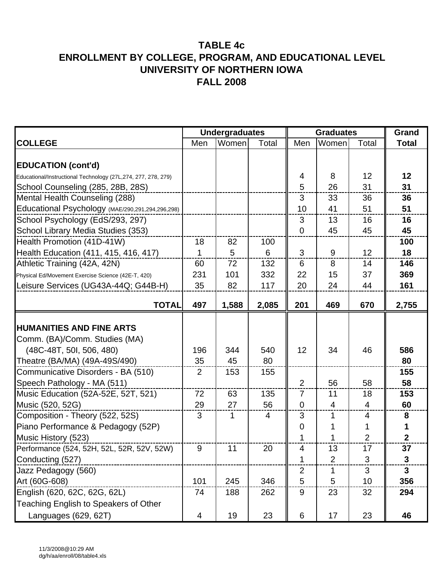|                                                               |     | <b>Graduates</b><br><b>Undergraduates</b> |       |                |                |                |              |
|---------------------------------------------------------------|-----|-------------------------------------------|-------|----------------|----------------|----------------|--------------|
| <b>COLLEGE</b>                                                | Men | Women                                     | Total | Men            | Women          | Total          | <b>Total</b> |
|                                                               |     |                                           |       |                |                |                |              |
| <b>EDUCATION (cont'd)</b>                                     |     |                                           |       |                |                |                |              |
| Educational/Instructional Technology (27L,274, 277, 278, 279) |     |                                           |       | 4              | 8              | 12             | 12           |
| School Counseling (285, 28B, 28S)                             |     |                                           |       | 5              | 26             | 31             | 31           |
| Mental Health Counseling (288)                                |     |                                           |       | 3              | 33             | 36             | 36           |
| Educational Psychology (MAE/290,291,294,296,298)              |     |                                           |       | 10             | 41             | 51             | 51           |
| School Psychology (EdS/293, 297)                              |     |                                           |       | 3              | 13             | 16             | 16           |
| School Library Media Studies (353)                            |     |                                           |       | $\overline{0}$ | 45             | 45             | 45           |
| Health Promotion (41D-41W)                                    | 18  | 82                                        | 100   |                |                |                | 100          |
| Health Education (411, 415, 416, 417)                         | 1   | 5                                         | 6     | 3              | 9              | 12             | 18           |
| Athletic Training (42A, 42N)                                  | 60  | 72                                        | 132   | 6              | 8              | 14             | 146          |
| Physical Ed/Movement Exercise Science (42E-T, 420)            | 231 | 101                                       | 332   | 22             | 15             | 37             | 369          |
| Leisure Services (UG43A-44Q; G44B-H)                          | 35  | 82                                        | 117   | 20             | 24             | 44             | 161          |
|                                                               |     |                                           |       |                |                |                |              |
| <b>TOTAL</b>                                                  | 497 | 1,588                                     | 2,085 | 201            | 469            | 670            | 2,755        |
|                                                               |     |                                           |       |                |                |                |              |
| <b>HUMANITIES AND FINE ARTS</b>                               |     |                                           |       |                |                |                |              |
| Comm. (BA)/Comm. Studies (MA)                                 |     |                                           |       |                |                |                |              |
| (48C-48T, 50I, 506, 480)                                      | 196 | 344                                       | 540   | 12             | 34             | 46             | 586          |
| Theatre (BA/MA) (49A-49S/490)                                 | 35  | 45                                        | 80    |                |                |                | 80           |
| Communicative Disorders - BA (510)                            | 2   | 153                                       | 155   |                |                |                | 155          |
| Speech Pathology - MA (511)                                   |     |                                           |       | 2              | 56             | 58             | 58           |
| Music Education (52A-52E, 52T, 521)                           | 72  | 63                                        | 135   | $\overline{7}$ | 11             | 18             | 153          |
| Music (520, 52G)                                              | 29  | 27                                        | 56    | $\overline{0}$ | $\overline{4}$ | $\overline{4}$ | 60           |
| Composition - Theory (522, 52S)                               | 3   | 1                                         | 4     | 3              | 1              | 4              | 8            |
| Piano Performance & Pedagogy (52P)                            |     |                                           |       | 0              |                |                |              |
| Music History (523)                                           |     |                                           |       |                |                | $\overline{2}$ | 2            |
| Performance (524, 52H, 52L, 52R, 52V, 52W)                    | 9   | 11                                        | 20    | Δ              | 13             | 17             | 37           |
| Conducting (527)                                              |     |                                           |       | $\mathbf{1}$   | $\overline{2}$ | 3              | $\mathbf{3}$ |
| Jazz Pedagogy (560)                                           |     |                                           |       | $\overline{2}$ | 1              | 3              | 3            |
| Art (60G-608)                                                 | 101 | 245                                       | 346   | 5              | 5              | 10             | 356          |
| English (620, 62C, 62G, 62L)                                  | 74  | 188                                       | 262   | 9              | 23             | 32             | 294          |
| Teaching English to Speakers of Other                         |     |                                           |       |                |                |                |              |
| Languages (629, 62T)                                          | 4   | 19                                        | 23    | 6              | 17             | 23             | 46           |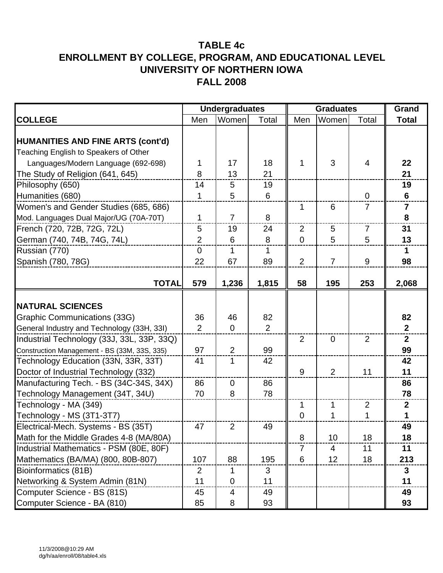|                                                                                   | <b>Undergraduates</b> |                |                | <b>Graduates</b> | Grand          |                |                         |
|-----------------------------------------------------------------------------------|-----------------------|----------------|----------------|------------------|----------------|----------------|-------------------------|
| <b>COLLEGE</b>                                                                    | Men                   | Women          | Total          | Men              | Women          | Total          | <b>Total</b>            |
| <b>HUMANITIES AND FINE ARTS (cont'd)</b><br>Teaching English to Speakers of Other |                       |                |                |                  |                |                |                         |
| Languages/Modern Language (692-698)                                               | 1                     | 17             | 18             | 1                | 3              | 4              | 22                      |
| The Study of Religion (641, 645)                                                  | 8                     | 13             | 21             |                  |                |                | 21                      |
| Philosophy (650)                                                                  | 14                    | 5              | 19             |                  |                |                | 19                      |
| Humanities (680)                                                                  | $\mathbf{1}$          | 5              | 6              |                  |                | $\overline{0}$ | 6                       |
| Women's and Gender Studies (685, 686)                                             |                       |                |                | 1                | 6              | 7              | $\overline{\mathbf{r}}$ |
| Mod. Languages Dual Major/UG (70A-70T)                                            | $\mathbf{1}$          | $\overline{7}$ | 8              |                  |                |                | 8                       |
| French (720, 72B, 72G, 72L)                                                       | 5                     | 19             | 24             | $\overline{2}$   | 5              | $\overline{7}$ | 31                      |
| German (740, 74B, 74G, 74L)                                                       | $\overline{2}$        | 6              | 8              | $\overline{0}$   | 5              | 5              | 13                      |
| Russian (770)                                                                     | $\mathbf 0$           | 1              | 1              |                  |                |                | 1                       |
| Spanish (780, 78G)                                                                | 22                    | 67             | 89             | $\overline{2}$   | $\overline{7}$ | 9              | 98                      |
|                                                                                   |                       |                |                |                  |                |                |                         |
| <b>TOTAL</b>                                                                      | 579                   | 1,236          | 1,815          | 58               | 195            | 253            | 2,068                   |
| <b>NATURAL SCIENCES</b>                                                           |                       |                |                |                  |                |                |                         |
| Graphic Communications (33G)                                                      | 36                    | 46             | 82             |                  |                |                | 82                      |
| General Industry and Technology (33H, 33I)                                        | $\overline{2}$        | $\overline{0}$ | $\overline{2}$ |                  |                |                | $\overline{2}$          |
| Industrial Technology (33J, 33L, 33P, 33Q)                                        |                       |                |                | $\overline{2}$   | $\mathbf 0$    | 2              | $\mathbf{2}$            |
| Construction Management - BS (33M, 33S, 335)                                      | 97                    | $\overline{2}$ | 99             |                  |                |                | 99                      |
| Technology Education (33N, 33R, 33T)                                              | 41                    | 1              | 42             |                  |                |                | 42                      |
| Doctor of Industrial Technology (332)                                             |                       |                |                | 9                | $\overline{2}$ | 11             | 11                      |
| Manufacturing Tech. - BS (34C-34S, 34X)                                           | 86                    | $\mathbf 0$    | 86             |                  |                |                | 86                      |
| Technology Management (34T, 34U)                                                  | 70                    | 8              | 78             |                  |                |                | 78                      |
| Technology - MA (349)                                                             |                       |                |                | 1                | 1              | $\overline{2}$ | $\mathbf{2}$            |
| Technology - MS (3T1-3T7)                                                         |                       |                |                | $\mathbf 0$      | 1              | 1              |                         |
| Electrical-Mech. Systems - BS (35T)                                               | 47                    | $\overline{2}$ | 49             |                  |                |                | 49                      |
| Math for the Middle Grades 4-8 (MA/80A)                                           |                       |                |                | 8                | 10             | 18             | 18                      |
| Industrial Mathematics - PSM (80E, 80F)                                           |                       |                |                | 7                | 4              | 11             | 11                      |
| Mathematics (BA/MA) (800, 80B-807)                                                | 107                   | 88             | 195            | 6                | 12             | 18             | 213                     |
| Bioinformatics (81B)                                                              | $\overline{2}$        | 1              | 3              |                  |                |                | 3                       |
| Networking & System Admin (81N)                                                   | 11                    | $\overline{0}$ | 11             |                  |                |                | 11                      |
| Computer Science - BS (81S)                                                       | 45                    | 4              | 49             |                  |                |                | 49                      |
| Computer Science - BA (810)                                                       | 85                    | 8              | 93             |                  |                |                | 93                      |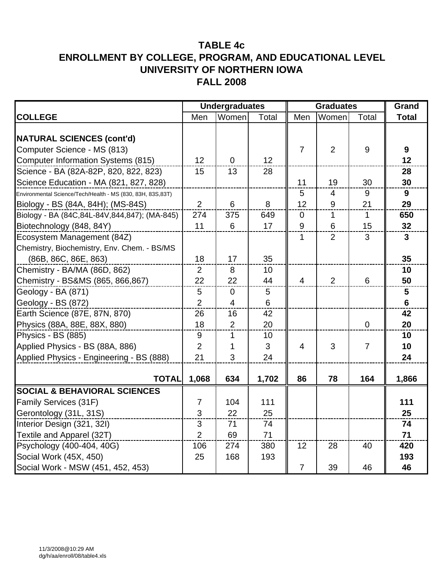|                                                                                 | <b>Undergraduates</b> |                |           | <b>Graduates</b>                   | Grand            |                  |                  |
|---------------------------------------------------------------------------------|-----------------------|----------------|-----------|------------------------------------|------------------|------------------|------------------|
| <b>COLLEGE</b>                                                                  | Men                   | Women          | Total     | Men                                | Women            | Total            | <b>Total</b>     |
| NATURAL SCIENCES (cont'd)<br>Computer Science - MS (813)                        |                       |                |           | $\overline{7}$                     | $\overline{2}$   | 9                | $\boldsymbol{9}$ |
| <b>Computer Information Systems (815)</b>                                       | 12                    | $\mathbf 0$    | 12        |                                    |                  |                  | 12               |
| Science - BA (82A-82P, 820, 822, 823)<br>Science Education - MA (821, 827, 828) | 15                    | 13             | 28        | 11                                 | 19               | 30               | 28<br>30         |
| Environmental Science/Tech/Health - MS (830, 83H, 83S,83T)                      |                       |                |           | 5                                  | $\overline{4}$   | 9                | $\mathbf{9}$     |
| Biology - BS (84A, 84H); (MS-84S)                                               | $\overline{2}$        | $6\phantom{1}$ | 8         | 12                                 | 9                | 21               | 29               |
| Biology - BA (84C, 84L-84V, 844, 847); (MA-845)<br>Biotechnology (848, 84Y)     | 274<br>11             | 375<br>6       | 649<br>17 | $\overline{0}$<br>$\boldsymbol{9}$ | $\mathbf 1$<br>6 | 1<br>15          | 650<br>32        |
| Ecosystem Management (84Z)                                                      |                       |                |           | 1                                  | 2                | 3                | $\mathbf{3}$     |
| Chemistry, Biochemistry, Env. Chem. - BS/MS<br>(86B, 86C, 86E, 863)             | 18                    | 17             | 35        |                                    |                  |                  | 35               |
| Chemistry - BA/MA (86D, 862)                                                    | $\overline{2}$        | 8              | 10        |                                    |                  |                  | 10               |
| Chemistry - BS&MS (865, 866,867)                                                | 22                    | 22             | 44        | $\overline{4}$                     | 2                | 6                | 50               |
| Geology - BA (871)                                                              | 5                     | $\overline{0}$ | 5         |                                    |                  |                  | 5                |
| Geology - BS (872)                                                              | $\overline{2}$        | $\overline{4}$ | 6         |                                    |                  |                  | $6\phantom{1}$   |
| Earth Science (87E, 87N, 870)                                                   | 26                    | 16             | 42        |                                    |                  |                  | 42               |
| Physics (88A, 88E, 88X, 880)                                                    | 18                    | $\overline{2}$ | 20        |                                    |                  | $\boldsymbol{0}$ | 20               |
| Physics - BS (885)                                                              | 9                     | $\mathbf{1}$   | 10        |                                    |                  |                  | 10               |
| Applied Physics - BS (88A, 886)                                                 | $\overline{2}$        | 1              | 3         | $\overline{4}$                     | 3                | $\overline{7}$   | 10               |
| Applied Physics - Engineering - BS (888)                                        | 21                    | 3              | 24        |                                    |                  |                  | 24               |
| <b>TOTAL</b>                                                                    | 1,068                 | 634            | 1,702     | 86                                 | 78               | 164              | 1,866            |
| <b>SOCIAL &amp; BEHAVIORAL SCIENCES</b>                                         |                       |                |           |                                    |                  |                  |                  |
| Family Services (31F)                                                           | $\overline{7}$        | 104            | 111       |                                    |                  |                  | 111              |
| Gerontology (31L, 31S)                                                          | 3                     | 22             | 25        |                                    |                  |                  | 25               |
| Interior Design (321, 32I)                                                      | 3                     | 71             | 74        |                                    |                  |                  | 74               |
| Textile and Apparel (32T)                                                       | $\overline{2}$        | 69             | 71        |                                    |                  |                  | 71               |
| Psychology (400-404, 40G)                                                       | 106                   | 274            | 380       | 12                                 | 28               | 40               | 420              |
| Social Work (45X, 450)                                                          | 25                    | 168            | 193       |                                    |                  |                  | 193              |
| Social Work - MSW (451, 452, 453)                                               |                       |                |           | $\overline{7}$                     | 39               | 46               | 46               |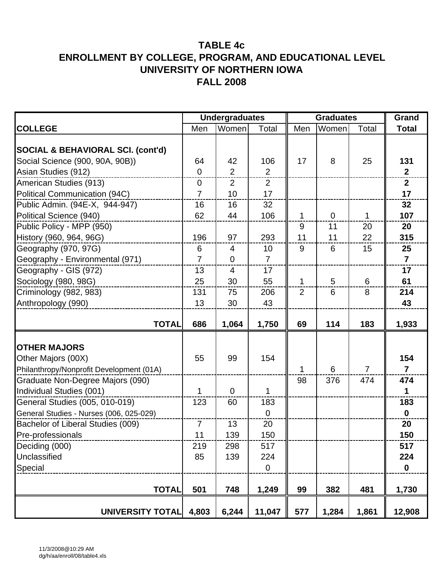|                                              | <b>Undergraduates</b> |                |                | <b>Graduates</b> |             |                | Grand          |
|----------------------------------------------|-----------------------|----------------|----------------|------------------|-------------|----------------|----------------|
| <b>COLLEGE</b>                               | Men                   | Women          | Total          | Men              | Women       | Total          | <b>Total</b>   |
|                                              |                       |                |                |                  |             |                |                |
| <b>SOCIAL &amp; BEHAVIORAL SCI. (cont'd)</b> |                       |                |                |                  |             |                |                |
| Social Science (900, 90A, 90B))              | 64                    | 42             | 106            | 17               | 8           | 25             | 131            |
| Asian Studies (912)                          | $\overline{0}$        | $\overline{2}$ | $\overline{2}$ |                  |             |                | $\overline{2}$ |
| American Studies (913)                       | 0                     | $\overline{2}$ | $\overline{2}$ |                  |             |                | $\overline{2}$ |
| Political Communication (94C)                | $\overline{7}$        | 10             | 17             |                  |             |                | 17             |
| Public Admin. (94E-X, 944-947)               | 16                    | 16             | 32             |                  |             |                | 32             |
| Political Science (940)                      | 62                    | 44             | 106            | 1                | $\mathbf 0$ | 1              | 107            |
| Public Policy - MPP (950)                    |                       |                |                | 9                | 11          | 20             | 20             |
| History (960, 964, 96G)                      | 196                   | 97             | 293            | 11               | 11          | 22             | 315            |
| Geography (970, 97G)                         | 6                     | $\overline{4}$ | 10             | 9                | 6           | 15             | 25             |
| Geography - Environmental (971)              | $\overline{7}$        | $\mathbf 0$    | $\overline{7}$ |                  |             |                | $\overline{7}$ |
| Geography - GIS (972)                        | 13                    | $\overline{4}$ | 17             |                  |             |                | 17             |
| Sociology (980, 98G)                         | 25                    | 30             | 55             | 1                | 5           | 6              | 61             |
| Criminology (982, 983)                       | 131                   | 75             | 206            | $\overline{2}$   | 6           | 8              | 214            |
| Anthropology (990)                           | 13                    | 30             | 43             |                  |             |                | 43             |
|                                              |                       |                |                |                  |             |                |                |
| <b>TOTAL</b>                                 | 686                   | 1,064          | 1,750          | 69               | 114         | 183            | 1,933          |
|                                              |                       |                |                |                  |             |                |                |
| <b>OTHER MAJORS</b>                          |                       |                |                |                  |             |                |                |
| Other Majors (00X)                           | 55                    | 99             | 154            |                  |             |                | 154            |
| Philanthropy/Nonprofit Development (01A)     |                       |                |                | 1                | 6           | $\overline{7}$ | $\overline{7}$ |
| Graduate Non-Degree Majors (090)             |                       |                |                | 98               | 376         | 474            | 474            |
| Individual Studies (001)                     | 1                     | $\overline{0}$ | 1              |                  |             |                | 1              |
| General Studies (005, 010-019)               | 123                   | 60             | 183            |                  |             |                | 183            |
| General Studies - Nurses (006, 025-029)      |                       |                | $\mathbf 0$    |                  |             |                | $\mathbf 0$    |
| Bachelor of Liberal Studies (009)            | $\overline{7}$        | 13             | 20             |                  |             |                | 20             |
| Pre-professionals                            | 11                    | 139            | 150            |                  |             |                | 150            |
| Deciding (000)                               | 219                   | 298            | 517            |                  |             |                | 517            |
| Unclassified                                 | 85                    | 139            | 224            |                  |             |                | 224            |
| Special                                      |                       |                | $\overline{0}$ |                  |             |                | $\mathbf 0$    |
| <b>TOTAL</b>                                 | 501                   | 748            | 1,249          | 99               | 382         | 481            | 1,730          |
| UNIVERSITY TOTAL                             | 4,803                 | 6,244          |                | 577              |             | 1,861          |                |
|                                              |                       |                | 11,047         |                  | 1,284       |                | 12,908         |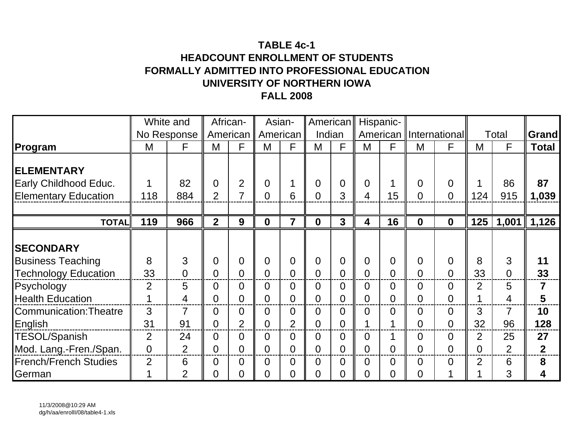# **TABLE 4c-1HEADCOUNT ENROLLMENT OF STUDENTSFORMALLY ADMITTED INTO PROFESSIONAL EDUCATION UNIVERSITY OF NORTHERN IOWAFALL 2008**

|                              | White and      |                |                | African-       |                | Asian-         | American         |                | Hispanic-      |                |                |                          |                |                |                |
|------------------------------|----------------|----------------|----------------|----------------|----------------|----------------|------------------|----------------|----------------|----------------|----------------|--------------------------|----------------|----------------|----------------|
|                              |                | No Response    |                | American       | American       |                | Indian           |                |                |                |                | American   International |                | Total          | <b>Grand</b>   |
| Program                      | M              | F              | M              | F              | M              | F              | M                | F              | M              | F              | M              | F                        | M              | F              | <b>Total</b>   |
|                              |                |                |                |                |                |                |                  |                |                |                |                |                          |                |                |                |
| <b>ELEMENTARY</b>            |                |                |                |                |                |                |                  |                |                |                |                |                          |                |                |                |
| Early Childhood Educ.        |                | 82             | $\Omega$       | $\overline{2}$ | $\overline{0}$ | 1              | $\overline{0}$   | $\overline{0}$ | $\overline{0}$ |                | $\Omega$       | $\overline{0}$           |                | 86             | 87             |
| <b>Elementary Education</b>  | 118            | 884            | $\overline{2}$ |                | $\Omega$       | 6              | 0                | 3              | 4              | 15             | $\overline{0}$ | $\overline{0}$           | 124            | 915            | 1,039          |
|                              |                |                |                |                |                |                |                  |                |                |                |                |                          |                |                |                |
| <b>TOTAL</b>                 | 119            | 966            | 2 <sup>2</sup> | 9              | $\mathbf 0$    | $\overline{7}$ | $\boldsymbol{0}$ | $\overline{3}$ | 4              | 16             | $\mathbf 0$    | $\mathbf 0$              | 125            | 1,001          | 1,126          |
|                              |                |                |                |                |                |                |                  |                |                |                |                |                          |                |                |                |
| <b>SECONDARY</b>             |                |                |                |                |                |                |                  |                |                |                |                |                          |                |                |                |
| <b>Business Teaching</b>     | 8              | 3              | $\Omega$       | $\overline{0}$ | $\overline{0}$ | $\overline{0}$ | $\overline{0}$   | 0              | $\overline{0}$ | $\overline{0}$ | $\overline{0}$ | $\overline{0}$           | 8              | 3              | 11             |
| <b>Technology Education</b>  | 33             | $\overline{0}$ | 0              | $\overline{0}$ | $\overline{0}$ | $\overline{0}$ | 0                | $\overline{0}$ | $\overline{0}$ | $\overline{0}$ | $\overline{0}$ | $\overline{0}$           | 33             | $\overline{0}$ | 33             |
| Psychology                   | 2              | 5              | $\Omega$       | $\overline{0}$ | $\overline{0}$ | $\overline{0}$ | $\overline{0}$   | 0              | $\overline{0}$ | $\overline{0}$ | $\overline{0}$ | $\overline{0}$           | $\overline{2}$ | 5              | $\overline{7}$ |
| <b>Health Education</b>      | 1              | 4              | 0              | 0              | 0              | $\overline{0}$ | 0                | 0              | $\overline{0}$ | $\overline{0}$ | $\overline{0}$ | $\overline{0}$           |                | 4              | 5              |
| Communication: Theatre       | 3              | $\overline{7}$ | 0              | $\overline{0}$ | 0              | $\overline{0}$ | $\Omega$         | 0              | $\overline{0}$ | $\overline{0}$ | $\overline{0}$ | $\overline{0}$           | 3              | $\overline{7}$ | 10             |
| English                      | 31             | 91             | 0              | $\overline{2}$ | 0              | $\overline{2}$ | $\overline{0}$   | 0              | 1              |                | $\overline{0}$ | $\overline{0}$           | 32             | 96             | 128            |
| <b>TESOL/Spanish</b>         | $\overline{2}$ | 24             | $\Omega$       | $\overline{0}$ | $\overline{0}$ | $\overline{0}$ | $\overline{0}$   | 0              | $\overline{0}$ |                | $\overline{0}$ | $\overline{0}$           | $\overline{2}$ | 25             | 27             |
| Mod. Lang.-Fren./Span.       | $\overline{0}$ | $\overline{2}$ | $\overline{0}$ | $\overline{0}$ | 0              | $\overline{0}$ | 0                | 0              | $\overline{0}$ | $\overline{0}$ | $\Omega$       | $\Omega$                 | $\Omega$       | 2              | $\mathbf 2$    |
| <b>French/French Studies</b> | $\overline{2}$ | 6              | 0              | $\overline{0}$ | 0              | $\overline{0}$ | 0                | 0              | $\overline{0}$ | $\overline{0}$ | $\overline{0}$ | $\overline{0}$           | $\overline{2}$ | 6              | 8              |
| German                       |                | $\overline{2}$ | 0              | 0              | $\overline{0}$ | $\overline{0}$ | 0                | 0              | $\overline{0}$ | 0              | 0              |                          |                | 3              | 4              |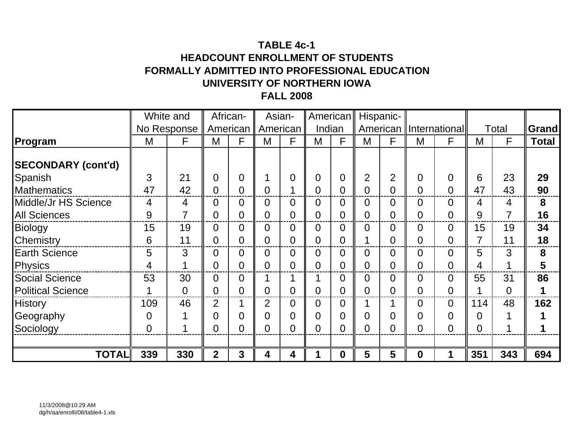# **TABLE 4c-1HEADCOUNT ENROLLMENT OF STUDENTSFORMALLY ADMITTED INTO PROFESSIONAL EDUCATION UNIVERSITY OF NORTHERN IOWAFALL 2008**

|                           |                | White and      |                | African-       |                | Asian-           | American       |                | Hispanic-      |   |                |                |                |                |              |
|---------------------------|----------------|----------------|----------------|----------------|----------------|------------------|----------------|----------------|----------------|---|----------------|----------------|----------------|----------------|--------------|
|                           |                | No Response    |                | American       |                | American         |                | Indian         | American       |   |                | Internationall |                | Total          | <b>Grand</b> |
| Program                   | M              | F              | M              | F              | M              | F                | M              | F              | M              | F | M              | F              | M              | F              | <b>Total</b> |
| <b>SECONDARY (cont'd)</b> |                |                |                |                |                |                  |                |                |                |   |                |                |                |                |              |
| Spanish                   | 3              | 21             | 0              | 0              |                | $\overline{0}$   | $\overline{0}$ | $\overline{0}$ | $\overline{2}$ | 2 | $\overline{0}$ | $\Omega$       | 6              | 23             | 29           |
| <b>Mathematics</b>        | 47             | 42             | $\Omega$       | $\Omega$       | $\overline{0}$ |                  | $\overline{0}$ | 0              | $\overline{0}$ | 0 | 0              | $\Omega$       | 47             | 43             | 90           |
| Middle/Jr HS Science      | 4              | 4              | $\Omega$       | 0              | 0              | $\boldsymbol{0}$ | $\overline{0}$ | 0              | $\overline{0}$ | 0 | 0              | $\overline{0}$ | 4              | 4              | 8            |
| <b>All Sciences</b>       | 9              | 7              | 0              | 0              | $\overline{0}$ | $\overline{0}$   | $\Omega$       | 0              | $\overline{0}$ | 0 | 0              | $\overline{0}$ | 9              | $\overline{7}$ | 16           |
| <b>Biology</b>            | 15             | 19             | 0              | 0              | 0              | $\overline{0}$   | $\overline{0}$ | 0              | $\overline{0}$ | 0 | 0              | $\overline{0}$ | 15             | 19             | 34           |
| Chemistry                 | 6              | 11             | $\overline{0}$ | $\overline{0}$ | $\overline{0}$ | $\overline{0}$   | $\overline{0}$ | 0              |                | 0 | $\overline{0}$ | $\overline{0}$ | 7              | 11             | 18           |
| <b>Earth Science</b>      | 5              | 3              | $\Omega$       | $\Omega$       | $\Omega$       | $\overline{0}$   | $\Omega$       | 0              | $\overline{0}$ | 0 | 0              | $\Omega$       | 5              | 3              | 8            |
| Physics                   | 4              |                | $\Omega$       | $\Omega$       | $\overline{0}$ | $\overline{0}$   | $\overline{0}$ | 0              | $\overline{0}$ | 0 | 0              | $\Omega$       | 4              |                | 5            |
| <b>Social Science</b>     | 53             | 30             | $\Omega$       | 0              |                | 1                |                | 0              | $\overline{0}$ | 0 | 0              | $\Omega$       | 55             | 31             | 86           |
| <b>Political Science</b>  |                | $\overline{0}$ | $\Omega$       | $\overline{0}$ | 0              | $\overline{0}$   | $\overline{0}$ | 0              | $\overline{0}$ | 0 | 0              | $\overline{0}$ | 4              | $\overline{0}$ | 1            |
| <b>History</b>            | 109            | 46             | $\overline{2}$ |                | $\overline{2}$ | $\overline{0}$   | 0              | 0              |                |   | 0              | $\Omega$       | 114            | 48             | 162          |
| Geography                 | $\overline{0}$ |                | $\Omega$       | $\Omega$       | $\Omega$       | $\overline{0}$   | $\overline{0}$ | 0              | $\overline{0}$ | 0 | 0              | $\overline{0}$ | 0              |                |              |
| Sociology                 | $\overline{0}$ |                | $\Omega$       | $\overline{0}$ | $\overline{0}$ | $\overline{0}$   | $\overline{0}$ | $\overline{0}$ | $\overline{0}$ | 0 | 0              | $\overline{0}$ | $\overline{0}$ |                |              |
|                           |                |                |                |                |                |                  |                |                |                |   |                |                |                |                |              |
| <b>TOTAL</b>              | 339            | 330            | $\overline{2}$ | $\overline{3}$ | 4              | 4                |                | 0              | $5\phantom{1}$ | 5 | 0              |                | 351            | 343            | 694          |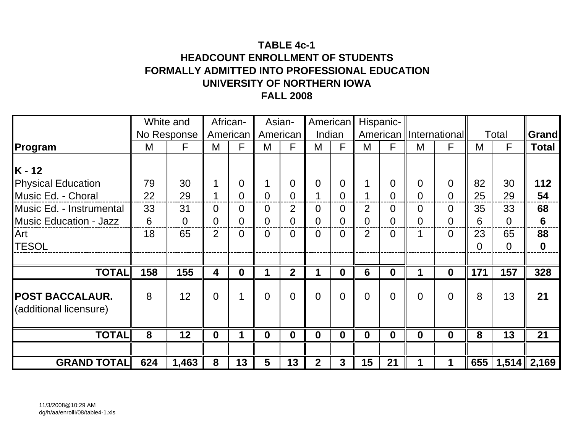# **TABLE 4c-1HEADCOUNT ENROLLMENT OF STUDENTSFORMALLY ADMITTED INTO PROFESSIONAL EDUCATION UNIVERSITY OF NORTHERN IOWAFALL 2008**

|                                                           |         | White and   |                | African- |                            | Asian-              |                | American     |                                  | Hispanic-                  |                      |                          |         |                      |               |
|-----------------------------------------------------------|---------|-------------|----------------|----------|----------------------------|---------------------|----------------|--------------|----------------------------------|----------------------------|----------------------|--------------------------|---------|----------------------|---------------|
|                                                           |         | No Response | American       |          |                            | American            |                | Indian       |                                  |                            |                      | American   International |         | Total                | <b>Grand</b>  |
| Program                                                   | M       | F           | M              | F        | M                          | F                   | M              | F            | M                                | F                          | M                    | F                        | M       | F                    | <b>Total</b>  |
| $K - 12$<br><b>Physical Education</b>                     | 79      | 30          |                | 0        | 1                          | 0                   | $\Omega$       | 0            | 1                                | $\Omega$                   | $\Omega$             | $\Omega$                 | 82      | 30                   | 112           |
| Music Ed. - Choral                                        | 22      | 29          |                | $\Omega$ | $\Omega$                   | $\overline{0}$      |                | 0            |                                  | $\Omega$                   | $\Omega$             | $\Omega$                 | 25      | 29                   | 54            |
| Music Ed. - Instrumental<br><b>Music Education - Jazz</b> | 33<br>6 | 31<br>0     | 0<br>0         | 0<br>0   | $\Omega$<br>$\overline{0}$ | $\overline{2}$<br>0 | $\Omega$<br>0  | 0<br>0       | $\overline{2}$<br>$\overline{0}$ | $\Omega$<br>$\overline{0}$ | $\Omega$<br>$\Omega$ | $\Omega$<br>0            | 35<br>6 | 33<br>$\overline{0}$ | 68<br>6       |
| Art                                                       | 18      | 65          | $\overline{2}$ | 0        | $\overline{0}$             | 0                   | $\overline{0}$ | 0            | $\overline{2}$                   | $\overline{0}$             | 1                    | $\overline{0}$           | 23      | 65                   | 88            |
| <b>TESOL</b>                                              |         |             |                |          |                            |                     |                |              |                                  |                            |                      |                          | 0       | 0                    | $\mathbf 0$   |
| <b>TOTAL</b>                                              | 158     | 155         | 4              | $\bf{0}$ | 1                          | $\overline{2}$      |                | 0            | 6                                | $\mathbf 0$                | 1                    | $\mathbf 0$              | 171     | 157                  | 328           |
| POST BACCALAUR.<br>(additional licensure)                 | 8       | 12          | $\overline{0}$ |          | $\overline{0}$             | $\mathbf 0$         | $\overline{0}$ | 0            | $\overline{0}$                   | $\Omega$                   | $\Omega$             | $\overline{0}$           | 8       | 13                   | 21            |
| <b>TOTAL</b>                                              | 8       | 12          | $\mathbf 0$    |          | $\bf{0}$                   | 0                   | $\bf{0}$       | 0            | $\bf{0}$                         | $\mathbf 0$                | $\bf{0}$             | $\boldsymbol{0}$         | 8       | 13                   | 21            |
|                                                           |         |             |                |          |                            |                     |                |              |                                  |                            |                      |                          |         |                      |               |
| <b>GRAND TOTAL</b>                                        | 624     | 1,463       | 8              | 13       | $\overline{\mathbf{5}}$    | 13                  | $\mathbf{2}$   | $\mathbf{3}$ | 15                               | 21                         | 1                    |                          | 655     |                      | $1,514$ 2,169 |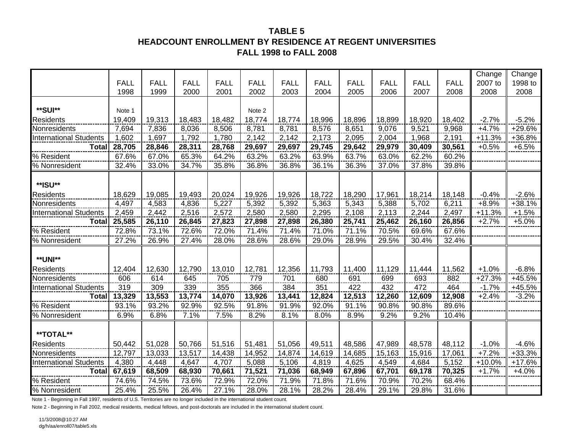### **TABLE 5HEADCOUNT ENROLLMENT BY RESIDENCE AT REGENT UNIVERSITIES FALL 1998 to FALL 2008**

|                               |             |             |             |             |             |             |             |             |             |             |             | Change   | Change   |
|-------------------------------|-------------|-------------|-------------|-------------|-------------|-------------|-------------|-------------|-------------|-------------|-------------|----------|----------|
|                               | <b>FALL</b> | <b>FALL</b> | <b>FALL</b> | <b>FALL</b> | <b>FALL</b> | <b>FALL</b> | <b>FALL</b> | <b>FALL</b> | <b>FALL</b> | <b>FALL</b> | <b>FALL</b> | 2007 to  | 1998 to  |
|                               | 1998        | 1999        | 2000        | 2001        | 2002        | 2003        | 2004        | 2005        | 2006        | 2007        | 2008        | 2008     | 2008     |
|                               |             |             |             |             |             |             |             |             |             |             |             |          |          |
| **SUI**                       | Note 1      |             |             |             | Note 2      |             |             |             |             |             |             |          |          |
| <b>Residents</b>              | 19,409      | 19,313      | 18,483      | 18,482      | 18,774      | 18,774      | 18,996      | 18,896      | 18,899      | 18,920      | 18,402      | $-2.7%$  | $-5.2%$  |
| Nonresidents                  | 7,694       | 7,836       | 8,036       | 8,506       | 8,781       | 8,781       | 8,576       | 8,651       | 9,076       | 9,521       | 9,968       | $+4.7%$  | +29.6%   |
| <b>International Students</b> | 1,602       | 1,697       | 1,792       | 1,780       | 2,142       | 2,142       | 2,173       | 2,095       | 2,004       | 1,968       | 2,191       | $+11.3%$ | +36.8%   |
| <b>Total</b>                  | 28,705      | 28,846      | 28,311      | 28,768      | 29,697      | 29,697      | 29,745      | 29,642      | 29,979      | 30,409      | 30,561      | $+0.5%$  | $+6.5%$  |
| % Resident                    | 67.6%       | 67.0%       | 65.3%       | 64.2%       | 63.2%       | 63.2%       | 63.9%       | 63.7%       | 63.0%       | 62.2%       | 60.2%       |          |          |
| % Nonresident                 | 32.4%       | 33.0%       | 34.7%       | 35.8%       | 36.8%       | 36.8%       | 36.1%       | 36.3%       | 37.0%       | 37.8%       | 39.8%       |          |          |
|                               |             |             |             |             |             |             |             |             |             |             |             |          |          |
| **ISU**                       |             |             |             |             |             |             |             |             |             |             |             |          |          |
| <b>Residents</b>              | 18,629      | 19,085      | 19,493      | 20,024      | 19,926      | 19,926      | 18,722      | 18,290      | 17,961      | 18,214      | 18,148      | $-0.4%$  | $-2.6%$  |
| Nonresidents                  | 4,497       | 4,583       | 4,836       | 5,227       | 5,392       | 5,392       | 5,363       | 5,343       | 5,388       | 5,702       | 6,211       | $+8.9%$  | $+38.1%$ |
| <b>International Students</b> | 2,459       | 2,442       | 2,516       | 2,572       | 2,580       | 2,580       | 2,295       | 2,108       | 2,113       | 2,244       | 2,497       | $+11.3%$ | $+1.5%$  |
| <b>Total</b>                  | 25,585      | 26,110      | 26,845      | 27,823      | 27,898      | 27,898      | 26,380      | 25,741      | 25,462      | 26,160      | 26,856      | $+2.7%$  | $+5.0%$  |
| % Resident                    | 72.8%       | 73.1%       | 72.6%       | 72.0%       | 71.4%       | 71.4%       | 71.0%       | 71.1%       | 70.5%       | 69.6%       | 67.6%       |          |          |
| % Nonresident                 | 27.2%       | 26.9%       | 27.4%       | 28.0%       | 28.6%       | 28.6%       | 29.0%       | 28.9%       | 29.5%       | 30.4%       | 32.4%       |          |          |
|                               |             |             |             |             |             |             |             |             |             |             |             |          |          |
| **UNI**                       |             |             |             |             |             |             |             |             |             |             |             |          |          |
| <b>Residents</b>              | 12,404      | 12,630      | 12,790      | 13,010      | 12,781      | 12,356      | 11,793      | 11,400      | 11,129      | 11,444      | 11,562      | $+1.0%$  | $-6.8%$  |
| Nonresidents                  | 606         | 614         | 645         | 705         | 779         | 701         | 680         | 691         | 699         | 693         | 882         | $+27.3%$ | +45.5%   |
| <b>International Students</b> | 319         | 309         | 339         | 355         | 366         | 384         | 351         | 422         | 432         | 472         | 464         | $-1.7%$  | +45.5%   |
| <b>Total</b>                  | 13,329      | 13,553      | 13,774      | 14,070      | 13,926      | 13,441      | 12,824      | 12,513      | 12,260      | 12,609      | 12,908      | $+2.4%$  | $-3.2%$  |
| % Resident                    | 93.1%       | 93.2%       | 92.9%       | 92.5%       | 91.8%       | 91.9%       | 92.0%       | 91.1%       | 90.8%       | 90.8%       | 89.6%       |          |          |
| % Nonresident                 | 6.9%        | 6.8%        | 7.1%        | 7.5%        | 8.2%        | 8.1%        | 8.0%        | 8.9%        | 9.2%        | 9.2%        | 10.4%       |          |          |
|                               |             |             |             |             |             |             |             |             |             |             |             |          |          |
| **TOTAL**                     |             |             |             |             |             |             |             |             |             |             |             |          |          |
| <b>Residents</b>              | 50,442      | 51,028      | 50,766      | 51,516      | 51,481      | 51,056      | 49,511      | 48,586      | 47,989      | 48,578      | 48,112      | $-1.0%$  | $-4.6%$  |
| Nonresidents                  | 12,797      | 13,033      | 13,517      | 14,438      | 14,952      | 14,874      | 14,619      | 14,685      | 15,163      | 15,916      | 17,061      | $+7.2%$  | $+33.3%$ |
| <b>International Students</b> | 4,380       | 4,448       | 4,647       | 4,707       | 5,088       | 5,106       | 4,819       | 4,625       | 4,549       | 4,684       | 5,152       | $+10.0%$ | $+17.6%$ |
| <b>Total</b>                  | 67,619      | 68,509      | 68,930      | 70,661      | 71,521      | 71,036      | 68,949      | 67,896      | 67,701      | 69,178      | 70,325      | $+1.7%$  | $+4.0%$  |
| % Resident                    | 74.6%       | 74.5%       | 73.6%       | 72.9%       | 72.0%       | 71.9%       | 71.8%       | 71.6%       | 70.9%       | 70.2%       | 68.4%       |          |          |
| % Nonresident                 | 25.4%       | 25.5%       | 26.4%       | 27.1%       | 28.0%       | 28.1%       | 28.2%       | 28.4%       | 29.1%       | 29.8%       | 31.6%       |          |          |

Note 1 - Beginning in Fall 1997, residents of U.S. Territories are no longer included in the international student count.

Note 2 - Beginning in Fall 2002, medical residents, medical fellows, and post-doctorals are included in the international student count.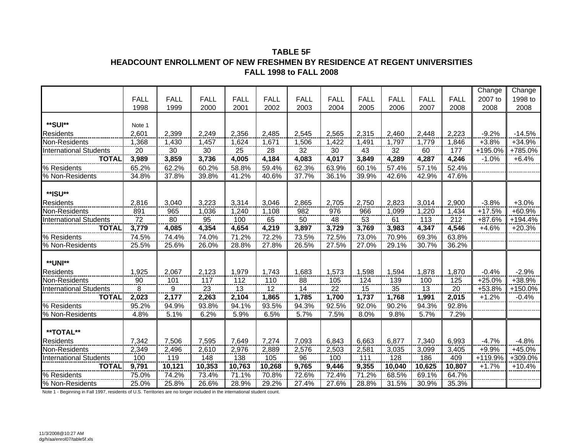### **TABLE 5FHEADCOUNT ENROLLMENT OF NEW FRESHMEN BY RESIDENCE AT REGENT UNIVERSITIES FALL 1998 to FALL 2008**

|                               |                 |             |             |             |             |             |             |             |             |             |             | Change   | Change   |
|-------------------------------|-----------------|-------------|-------------|-------------|-------------|-------------|-------------|-------------|-------------|-------------|-------------|----------|----------|
|                               | <b>FALL</b>     | <b>FALL</b> | <b>FALL</b> | <b>FALL</b> | <b>FALL</b> | <b>FALL</b> | <b>FALL</b> | <b>FALL</b> | <b>FALL</b> | <b>FALL</b> | <b>FALL</b> | 2007 to  | 1998 to  |
|                               | 1998            | 1999        | 2000        | 2001        | 2002        | 2003        | 2004        | 2005        | 2006        | 2007        | 2008        | 2008     | 2008     |
|                               |                 |             |             |             |             |             |             |             |             |             |             |          |          |
| **SUI**                       | Note 1          |             |             |             |             |             |             |             |             |             |             |          |          |
| <b>Residents</b>              | 2,601           | 2,399       | 2,249       | 2,356       | 2,485       | 2,545       | 2,565       | 2,315       | 2,460       | 2,448       | 2,223       | $-9.2%$  | $-14.5%$ |
| Non-Residents                 | 1,368           | 1,430       | 1,457       | 1,624       | 1,671       | 1,506       | 1,422       | 1,491       | 1,797       | 1,779       | 1,846       | $+3.8%$  | +34.9%   |
| <b>International Students</b> | 20              | 30          | 30          | 25          | 28          | 32          | 30          | 43          | 32          | 60          | 177         | +195.0%  | +785.0%  |
| <b>TOTAL</b>                  | 3,989           | 3,859       | 3,736       | 4,005       | 4,184       | 4,083       | 4,017       | 3,849       | 4,289       | 4,287       | 4,246       | $-1.0%$  | $+6.4%$  |
| % Residents                   | 65.2%           | 62.2%       | 60.2%       | 58.8%       | 59.4%       | 62.3%       | 63.9%       | 60.1%       | 57.4%       | 57.1%       | 52.4%       |          |          |
| % Non-Residents               | 34.8%           | 37.8%       | 39.8%       | 41.2%       | 40.6%       | 37.7%       | 36.1%       | 39.9%       | 42.6%       | 42.9%       | 47.6%       |          |          |
|                               |                 |             |             |             |             |             |             |             |             |             |             |          |          |
| **ISU**                       |                 |             |             |             |             |             |             |             |             |             |             |          |          |
| Residents                     | 2,816           | 3,040       | 3,223       | 3,314       | 3,046       | 2,865       | 2,705       | 2,750       | 2,823       | 3,014       | 2,900       | $-3.8%$  | $+3.0%$  |
| Non-Residents                 | 891             | 965         | 1,036       | 1,240       | 1,108       | 982         | 976         | 966         | 1,099       | 1,220       | 1,434       | $+17.5%$ | +60.9%   |
| <b>International Students</b> | $72\,$          | 80          | 95          | 100         | 65          | 50          | 48          | 53          | 61          | 113         | 212         | +87.6%   | +194.4%  |
| <b>TOTAL</b>                  | 3,779           | 4,085       | 4,354       | 4,654       | 4,219       | 3,897       | 3,729       | 3,769       | 3,983       | 4,347       | 4,546       | $+4.6%$  | $+20.3%$ |
| % Residents                   | 74.5%           | 74.4%       | 74.0%       | 71.2%       | 72.2%       | 73.5%       | 72.5%       | 73.0%       | 70.9%       | 69.3%       | 63.8%       |          |          |
| % Non-Residents               | 25.5%           | 25.6%       | 26.0%       | 28.8%       | 27.8%       | 26.5%       | 27.5%       | 27.0%       | 29.1%       | 30.7%       | 36.2%       |          |          |
|                               |                 |             |             |             |             |             |             |             |             |             |             |          |          |
| **UNI**                       |                 |             |             |             |             |             |             |             |             |             |             |          |          |
| Residents                     | 1,925           | 2,067       | 2,123       | 1,979       | 1,743       | 1,683       | 1,573       | 1,598       | 1,594       | 1,878       | 1,870       | $-0.4%$  | $-2.9%$  |
| Non-Residents                 | $\overline{90}$ | 101         | 117         | 112         | 110         | 88          | 105         | 124         | 139         | 100         | 125         | $+25.0%$ | +38.9%   |
| <b>International Students</b> | 8               | 9           | 23          | 13          | 12          | 14          | 22          | 15          | 35          | 13          | 20          | +53.8%   | +150.0%  |
| <b>TOTAL</b>                  | 2,023           | 2,177       | 2,263       | 2,104       | 1,865       | 1,785       | 1,700       | 1,737       | 1,768       | 1,991       | 2,015       | $+1.2%$  | $-0.4%$  |
| % Residents                   | 95.2%           | 94.9%       | 93.8%       | 94.1%       | 93.5%       | 94.3%       | 92.5%       | 92.0%       | 90.2%       | 94.3%       | 92.8%       |          |          |
| % Non-Residents               | 4.8%            | 5.1%        | 6.2%        | 5.9%        | 6.5%        | 5.7%        | 7.5%        | 8.0%        | 9.8%        | 5.7%        | 7.2%        |          |          |
|                               |                 |             |             |             |             |             |             |             |             |             |             |          |          |
| **TOTAL**                     |                 |             |             |             |             |             |             |             |             |             |             |          |          |
| <b>Residents</b>              | 7,342           | 7,506       | 7,595       | 7,649       | 7,274       | 7,093       | 6,843       | 6,663       | 6,877       | 7,340       | 6,993       | $-4.7%$  | $-4.8%$  |
| Non-Residents                 | 2,349           | 2,496       | 2,610       | 2,976       | 2,889       | 2,576       | 2,503       | 2,581       | 3,035       | 3,099       | 3,405       | $+9.9%$  | +45.0%   |
| <b>International Students</b> | 100             | 119         | 148         | 138         | 105         | 96          | 100         | 111         | 128         | 186         | 409         | +119.9%  | +309.0%  |
| <b>TOTAL</b>                  | 9,791           | 10,121      | 10,353      | 10,763      | 10,268      | 9,765       | 9,446       | 9,355       | 10,040      | 10,625      | 10,807      | $+1.7%$  | $+10.4%$ |
| % Residents                   | 75.0%           | 74.2%       | 73.4%       | 71.1%       | 70.8%       | 72.6%       | 72.4%       | 71.2%       | 68.5%       | 69.1%       | 64.7%       |          |          |
| % Non-Residents               | 25.0%           | 25.8%       | 26.6%       | 28.9%       | 29.2%       | 27.4%       | 27.6%       | 28.8%       | 31.5%       | 30.9%       | 35.3%       |          |          |

Note 1 - Beginning in Fall 1997, residents of U.S. Territories are no longer included in the international student count.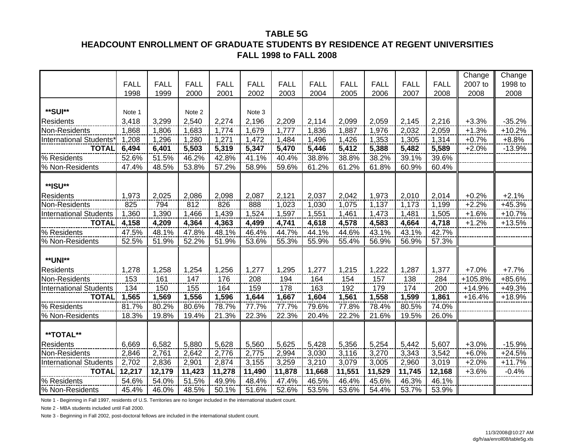#### **TABLE 5G**

### **HEADCOUNT ENROLLMENT OF GRADUATE STUDENTS BY RESIDENCE AT REGENT UNIVERSITIES FALL 1998 to FALL 2008**

|                               |             |             |             |             |             |             |             |             |             |             |             | Change   | Change   |
|-------------------------------|-------------|-------------|-------------|-------------|-------------|-------------|-------------|-------------|-------------|-------------|-------------|----------|----------|
|                               | <b>FALL</b> | <b>FALL</b> | <b>FALL</b> | <b>FALL</b> | <b>FALL</b> | <b>FALL</b> | <b>FALL</b> | <b>FALL</b> | <b>FALL</b> | <b>FALL</b> | <b>FALL</b> | 2007 to  | 1998 to  |
|                               | 1998        | 1999        | 2000        | 2001        | 2002        | 2003        | 2004        | 2005        | 2006        | 2007        | 2008        | 2008     | 2008     |
|                               |             |             |             |             |             |             |             |             |             |             |             |          |          |
| **SUI**                       | Note 1      |             | Note 2      |             | Note 3      |             |             |             |             |             |             |          |          |
| <b>Residents</b>              | 3,418       | 3,299       | 2,540       | 2,274       | 2,196       | 2,209       | 2,114       | 2,099       | 2,059       | 2,145       | 2,216       | $+3.3%$  | $-35.2%$ |
| Non-Residents                 | 1,868       | 1,806       | 1,683       | 1,774       | 1,679       | 1,777       | 1,836       | 1,887       | 1,976       | 2,032       | 2,059       | $+1.3%$  | $+10.2%$ |
| <b>International Students</b> | 1,208       | 1,296       | 1,280       | 1,271       | 1,472       | 1,484       | 1,496       | 1,426       | 1,353       | 1,305       | 1,314       | $+0.7%$  | $+8.8%$  |
| <b>TOTAL</b>                  | 6,494       | 6,401       | 5,503       | 5,319       | 5,347       | 5,470       | 5,446       | 5,412       | 5,388       | 5,482       | 5,589       | $+2.0%$  | $-13.9%$ |
| % Residents                   | 52.6%       | 51.5%       | 46.2%       | 42.8%       | 41.1%       | 40.4%       | 38.8%       | 38.8%       | 38.2%       | 39.1%       | 39.6%       |          |          |
| % Non-Residents               | 47.4%       | 48.5%       | 53.8%       | 57.2%       | 58.9%       | 59.6%       | 61.2%       | 61.2%       | 61.8%       | 60.9%       | 60.4%       |          |          |
|                               |             |             |             |             |             |             |             |             |             |             |             |          |          |
| **ISU**                       |             |             |             |             |             |             |             |             |             |             |             |          |          |
| <b>Residents</b>              | 1,973       | 2,025       | 2,086       | 2,098       | 2,087       | 2,121       | 2,037       | 2,042       | 1,973       | 2,010       | 2,014       | $+0.2%$  | $+2.1%$  |
| Non-Residents                 | 825         | 794         | 812         | 826         | 888         | 1,023       | 1,030       | 1,075       | 1,137       | 1,173       | 1,199       | $+2.2%$  | +45.3%   |
| <b>International Students</b> | 1,360       | 1,390       | 1,466       | 1,439       | 1,524       | 1,597       | 1,551       | 1,461       | 1,473       | 1,481       | 1,505       | $+1.6%$  | $+10.7%$ |
| <b>TOTAL</b>                  | 4,158       | 4,209       | 4,364       | 4,363       | 4,499       | 4,741       | 4,618       | 4,578       | 4,583       | 4,664       | 4,718       | $+1.2%$  | $+13.5%$ |
| % Residents                   | 47.5%       | 48.1%       | 47.8%       | 48.1%       | 46.4%       | 44.7%       | 44.1%       | 44.6%       | 43.1%       | 43.1%       | 42.7%       |          |          |
| % Non-Residents               | 52.5%       | 51.9%       | 52.2%       | 51.9%       | 53.6%       | 55.3%       | 55.9%       | 55.4%       | 56.9%       | 56.9%       | 57.3%       |          |          |
|                               |             |             |             |             |             |             |             |             |             |             |             |          |          |
| **UNI**                       |             |             |             |             |             |             |             |             |             |             |             |          |          |
| Residents                     | 1,278       | 1,258       | 1,254       | 1,256       | 1,277       | 1,295       | 1,277       | 1,215       | 1,222       | 1,287       | 1,377       | $+7.0%$  | $+7.7%$  |
| Non-Residents                 | 153         | 161         | 147         | 176         | 208         | 194         | 164         | 154         | 157         | 138         | 284         | +105.8%  | +85.6%   |
| <b>International Students</b> | 134         | 150         | 155         | 164         | 159         | 178         | 163         | 192         | 179         | 174         | 200         | $+14.9%$ | +49.3%   |
| <b>TOTAL</b>                  | 1,565       | 1,569       | 1,556       | 1,596       | 1,644       | 1,667       | 1,604       | 1,561       | 1,558       | 1,599       | 1,861       | $+16.4%$ | +18.9%   |
| % Residents                   | 81.7%       | 80.2%       | 80.6%       | 78.7%       | 77.7%       | 77.7%       | 79.6%       | 77.8%       | 78.4%       | 80.5%       | 74.0%       |          |          |
| % Non-Residents               | 18.3%       | 19.8%       | 19.4%       | 21.3%       | 22.3%       | 22.3%       | 20.4%       | 22.2%       | 21.6%       | 19.5%       | 26.0%       |          |          |
|                               |             |             |             |             |             |             |             |             |             |             |             |          |          |
| **TOTAL**                     |             |             |             |             |             |             |             |             |             |             |             |          |          |
| <b>Residents</b>              | 6,669       | 6,582       | 5,880       | 5,628       | 5,560       | 5,625       | 5,428       | 5,356       | 5,254       | 5,442       | 5,607       | $+3.0%$  | $-15.9%$ |
| Non-Residents                 | 2,846       | 2,761       | 2,642       | 2,776       | 2,775       | 2,994       | 3,030       | 3,116       | 3,270       | 3,343       | 3,542       | $+6.0%$  | $+24.5%$ |
| <b>International Students</b> | 2,702       | 2,836       | 2,901       | 2,874       | 3,155       | 3,259       | 3,210       | 3,079       | 3,005       | 2,960       | 3,019       | $+2.0%$  | $+11.7%$ |
| <b>TOTAL</b>                  | 12,217      | 12,179      | 11,423      | 11,278      | 11,490      | 11,878      | 11,668      | 11,551      | 11,529      | 11,745      | 12,168      | $+3.6%$  | $-0.4%$  |
| % Residents                   | 54.6%       | 54.0%       | 51.5%       | 49.9%       | 48.4%       | 47.4%       | 46.5%       | 46.4%       | 45.6%       | 46.3%       | 46.1%       |          |          |
| % Non-Residents               | 45.4%       | 46.0%       | 48.5%       | 50.1%       | 51.6%       | 52.6%       | 53.5%       | 53.6%       | 54.4%       | 53.7%       | 53.9%       |          |          |

Note 1 - Beginning in Fall 1997, residents of U.S. Territories are no longer included in the international student count.

Note 2 - MBA students included until Fall 2000.

Note 3 - Beginning in Fall 2002, post-doctoral fellows are included in the international student count.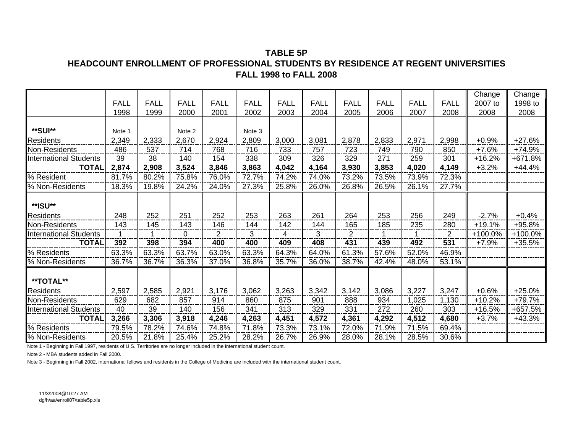### **TABLE 5PHEADCOUNT ENROLLMENT OF PROFESSIONAL STUDENTS BY RESIDENCE AT REGENT UNIVERSITIESFALL 1998 to FALL 2008**

|                               |             |             |             |                |             |             |             |                |             |             |                | Change   | Change     |
|-------------------------------|-------------|-------------|-------------|----------------|-------------|-------------|-------------|----------------|-------------|-------------|----------------|----------|------------|
|                               | <b>FALL</b> | <b>FALL</b> | <b>FALL</b> | <b>FALL</b>    | <b>FALL</b> | <b>FALL</b> | <b>FALL</b> | <b>FALL</b>    | <b>FALL</b> | <b>FALL</b> | <b>FALL</b>    | 2007 to  | 1998 to    |
|                               | 1998        | 1999        | 2000        | 2001           | 2002        | 2003        | 2004        | 2005           | 2006        | 2007        | 2008           | 2008     | 2008       |
| **SUI**                       | Note 1      |             | Note 2      |                | Note 3      |             |             |                |             |             |                |          |            |
| <b>Residents</b>              | 2,349       | 2,333       | 2,670       | 2,924          | 2,809       | 3,000       | 3,081       | 2,878          | 2,833       | 2,971       | 2,998          | $+0.9%$  | $+27.6%$   |
| Non-Residents                 | 486         | 537         | 714         | 768            | 716         | 733         | 757         | 723            | 749         | 790         | 850            | $+7.6%$  | $+74.9%$   |
| <b>International Students</b> | 39          | 38          | 140         | 154            | 338         | 309         | 326         | 329            | 271         | 259         | 301            | $+16.2%$ | +671.8%    |
| <b>TOTAL</b>                  | 2,874       | 2,908       | 3,524       | 3,846          | 3,863       | 4,042       | 4,164       | 3,930          | 3,853       | 4,020       | 4,149          | $+3.2%$  | $+44.4%$   |
| % Resident                    | 81.7%       | 80.2%       | 75.8%       | 76.0%          | 72.7%       | 74.2%       | 74.0%       | 73.2%          | 73.5%       | 73.9%       | 72.3%          |          |            |
| % Non-Residents               | 18.3%       | 19.8%       | 24.2%       | 24.0%          | 27.3%       | 25.8%       | 26.0%       | 26.8%          | 26.5%       | 26.1%       | 27.7%          |          |            |
| **ISU**                       |             |             |             |                |             |             |             |                |             |             |                |          |            |
| <b>Residents</b>              | 248         | 252         | 251         | 252            | 253         | 263         | 261         | 264            | 253         | 256         | 249            | $-2.7%$  | $+0.4%$    |
| Non-Residents                 | 143         | 145         | 143         | 146            | 144         | 142         | 144         | 165            | 185         | 235         | 280            | $+19.1%$ | +95.8%     |
| <b>International Students</b> |             | 1           | 0           | $\overline{2}$ | 3           | 4           | 3           | $\overline{2}$ |             | 1           | $\overline{2}$ | +100.0%  | $+100.0\%$ |
| <b>TOTAL</b>                  | 392         | 398         | 394         | 400            | 400         | 409         | 408         | 431            | 439         | 492         | 531            | $+7.9%$  | $+35.5%$   |
| % Residents                   | 63.3%       | 63.3%       | 63.7%       | 63.0%          | 63.3%       | 64.3%       | 64.0%       | 61.3%          | 57.6%       | 52.0%       | 46.9%          |          |            |
| % Non-Residents               | 36.7%       | 36.7%       | 36.3%       | 37.0%          | 36.8%       | 35.7%       | 36.0%       | 38.7%          | 42.4%       | 48.0%       | 53.1%          |          |            |
| **TOTAL**                     |             |             |             |                |             |             |             |                |             |             |                |          |            |
| <b>Residents</b>              | 2,597       | 2,585       | 2,921       | 3,176          | 3,062       | 3,263       | 3,342       | 3,142          | 3,086       | 3,227       | 3,247          | $+0.6%$  | $+25.0%$   |
| Non-Residents                 | 629         | 682         | 857         | 914            | 860         | 875         | 901         | 888            | 934         | 1,025       | 1,130          | $+10.2%$ | +79.7%     |
| <b>International Students</b> | 40          | 39          | 140         | 156            | 341         | 313         | 329         | 331            | 272         | 260         | 303            | $+16.5%$ | $+657.5%$  |
| <b>TOTAL</b>                  | 3,266       | 3,306       | 3,918       | 4,246          | 4,263       | 4,451       | 4,572       | 4,361          | 4,292       | 4,512       | 4,680          | $+3.7%$  | $+43.3%$   |
| % Residents                   | 79.5%       | 78.2%       | 74.6%       | 74.8%          | 71.8%       | 73.3%       | 73.1%       | 72.0%          | 71.9%       | 71.5%       | 69.4%          |          |            |
| % Non-Residents               | 20.5%       | 21.8%       | 25.4%       | 25.2%          | 28.2%       | 26.7%       | 26.9%       | 28.0%          | 28.1%       | 28.5%       | 30.6%          |          |            |

Note 1 - Beginning in Fall 1997, residents of U.S. Territories are no longer included in the international student count.

Note 2 - MBA students added in Fall 2000.

Note 3 - Beginning in Fall 2002, international fellows and residents in the College of Medicine are included with the international student count.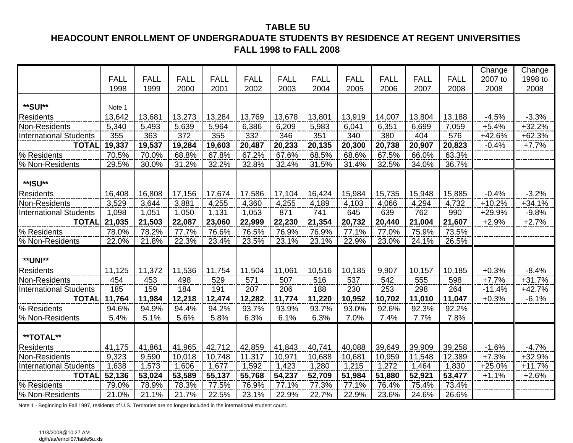### **TABLE 5U HEADCOUNT ENROLLMENT OF UNDERGRADUATE STUDENTS BY RESIDENCE AT REGENT UNIVERSITIES FALL 1998 to FALL 2008**

|                               |             |             |             |             |             |             |             |             |             |             |             | Change   | Change   |
|-------------------------------|-------------|-------------|-------------|-------------|-------------|-------------|-------------|-------------|-------------|-------------|-------------|----------|----------|
|                               | <b>FALL</b> | <b>FALL</b> | <b>FALL</b> | <b>FALL</b> | <b>FALL</b> | <b>FALL</b> | <b>FALL</b> | <b>FALL</b> | <b>FALL</b> | <b>FALL</b> | <b>FALL</b> | 2007 to  | 1998 to  |
|                               | 1998        | 1999        | 2000        | 2001        | 2002        | 2003        | 2004        | 2005        | 2006        | 2007        | 2008        | 2008     | 2008     |
|                               |             |             |             |             |             |             |             |             |             |             |             |          |          |
| **SUI**                       | Note 1      |             |             |             |             |             |             |             |             |             |             |          |          |
| <b>Residents</b>              | 13,642      | 13,681      | 13,273      | 13,284      | 13,769      | 13,678      | 13,801      | 13,919      | 14,007      | 13,804      | 13,188      | $-4.5%$  | $-3.3%$  |
| Non-Residents                 | 5,340       | 5,493       | 5,639       | 5,964       | 6,386       | 6,209       | 5,983       | 6,041       | 6,351       | 6,699       | 7,059       | $+5.4%$  | $+32.2%$ |
| <b>International Students</b> | 355         | 363         | 372         | 355         | 332         | 346         | 351         | 340         | 380         | 404         | 576         | +42.6%   | $+62.3%$ |
| <b>TOTAL</b>                  | 19,337      | 19,537      | 19,284      | 19,603      | 20,487      | 20,233      | 20,135      | 20,300      | 20,738      | 20,907      | 20,823      | $-0.4%$  | $+7.7%$  |
| % Residents                   | 70.5%       | 70.0%       | 68.8%       | 67.8%       | 67.2%       | 67.6%       | 68.5%       | 68.6%       | 67.5%       | 66.0%       | 63.3%       |          |          |
| % Non-Residents               | 29.5%       | 30.0%       | 31.2%       | 32.2%       | 32.8%       | 32.4%       | 31.5%       | 31.4%       | 32.5%       | 34.0%       | 36.7%       |          |          |
|                               |             |             |             |             |             |             |             |             |             |             |             |          |          |
| **ISU**                       |             |             |             |             |             |             |             |             |             |             |             |          |          |
| <b>Residents</b>              | 16,408      | 16,808      | 17,156      | 17,674      | 17,586      | 17,104      | 16,424      | 15,984      | 15,735      | 15,948      | 15,885      | $-0.4%$  | $-3.2%$  |
| Non-Residents                 | 3,529       | 3,644       | 3,881       | 4,255       | 4,360       | 4,255       | 4,189       | 4,103       | 4,066       | 4,294       | 4,732       | $+10.2%$ | $+34.1%$ |
| <b>International Students</b> | 1,098       | 1,051       | 1,050       | 1,131       | 1,053       | 871         | 741         | 645         | 639         | 762         | 990         | +29.9%   | $-9.8%$  |
| <b>TOTAL</b>                  | 21,035      | 21,503      | 22,087      | 23,060      | 22,999      | 22,230      | 21,354      | 20,732      | 20,440      | 21,004      | 21,607      | $+2.9%$  | $+2.7%$  |
| % Residents                   | 78.0%       | 78.2%       | 77.7%       | 76.6%       | 76.5%       | 76.9%       | 76.9%       | 77.1%       | 77.0%       | 75.9%       | 73.5%       |          |          |
| % Non-Residents               | 22.0%       | 21.8%       | 22.3%       | 23.4%       | 23.5%       | 23.1%       | 23.1%       | 22.9%       | 23.0%       | 24.1%       | 26.5%       |          |          |
|                               |             |             |             |             |             |             |             |             |             |             |             |          |          |
| <b>**UNI**</b>                |             |             |             |             |             |             |             |             |             |             |             |          |          |
| <b>Residents</b>              | 11,125      | 11,372      | 11,536      | 11,754      | 11,504      | 11,061      | 10,516      | 10,185      | 9,907       | 10,157      | 10,185      | $+0.3%$  | $-8.4%$  |
| Non-Residents                 | 454         | 453         | 498         | 529         | 571         | 507         | 516         | 537         | 542         | 555         | 598         | $+7.7%$  | $+31.7%$ |
| <b>International Students</b> | 185         | 159         | 184         | 191         | 207         | 206         | 188         | 230         | 253         | 298         | 264         | $-11.4%$ | $+42.7%$ |
| <b>TOTAL</b>                  | 11,764      | 11,984      | 12,218      | 12,474      | 12,282      | 11,774      | 11,220      | 10,952      | 10,702      | 11,010      | 11,047      | $+0.3%$  | $-6.1%$  |
| % Residents                   | 94.6%       | 94.9%       | 94.4%       | 94.2%       | 93.7%       | 93.9%       | 93.7%       | 93.0%       | 92.6%       | 92.3%       | 92.2%       |          |          |
| % Non-Residents               | 5.4%        | 5.1%        | 5.6%        | 5.8%        | 6.3%        | 6.1%        | 6.3%        | 7.0%        | 7.4%        | 7.7%        | 7.8%        |          |          |
|                               |             |             |             |             |             |             |             |             |             |             |             |          |          |
| **TOTAL**                     |             |             |             |             |             |             |             |             |             |             |             |          |          |
| <b>Residents</b>              | 41,175      | 41,861      | 41,965      | 42,712      | 42,859      | 41,843      | 40,741      | 40,088      | 39,649      | 39,909      | 39,258      | $-1.6%$  | $-4.7%$  |
| Non-Residents                 | 9,323       | 9,590       | 10,018      | 10,748      | 11,317      | 10,971      | 10,688      | 10,681      | 10,959      | 11,548      | 12,389      | $+7.3%$  | +32.9%   |
| <b>International Students</b> | 1,638       | 1,573       | 1,606       | 1,677       | 1,592       | 1,423       | 1,280       | 1,215       | 1,272       | 1,464       | 1,830       | $+25.0%$ | $+11.7%$ |
| <b>TOTAL</b>                  | 52,136      | 53,024      | 53,589      | 55,137      | 55,768      | 54,237      | 52,709      | 51,984      | 51,880      | 52,921      | 53,477      | $+1.1%$  | $+2.6%$  |
| % Residents                   | 79.0%       | 78.9%       | 78.3%       | 77.5%       | 76.9%       | 77.1%       | 77.3%       | 77.1%       | 76.4%       | 75.4%       | 73.4%       |          |          |
| % Non-Residents               | 21.0%       | 21.1%       | 21.7%       | 22.5%       | 23.1%       | 22.9%       | 22.7%       | 22.9%       | 23.6%       | 24.6%       | 26.6%       |          |          |

Note 1 - Beginning in Fall 1997, residents of U.S. Territories are no longer included in the international student count.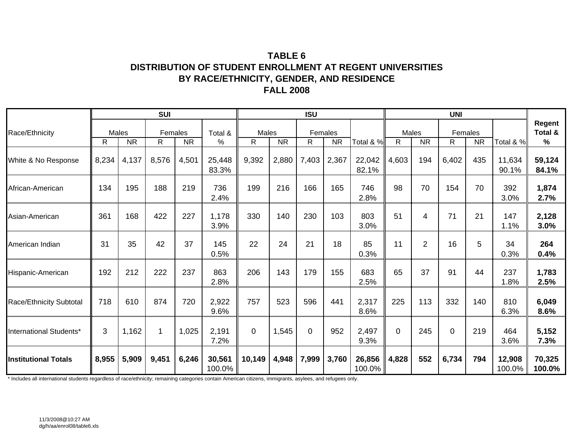### **TABLE 6DISTRIBUTION OF STUDENT ENROLLMENT AT REGENT UNIVERSITIES BY RACE/ETHNICITY, GENDER, AND RESIDENCE FALL 2008**

|                             |       |                    | <b>SUI</b>   |           |                  |            |           | <b>ISU</b>  |                      |                  |            |                | <b>UNI</b>    |           |                     |                        |
|-----------------------------|-------|--------------------|--------------|-----------|------------------|------------|-----------|-------------|----------------------|------------------|------------|----------------|---------------|-----------|---------------------|------------------------|
| Race/Ethnicity              | R     | Males<br><b>NR</b> | Females<br>R | <b>NR</b> | Total &<br>%     | Males<br>R | <b>NR</b> | R           | Females<br><b>NR</b> | Total & %        | Males<br>R | <b>NR</b>      | Females<br>R. | <b>NR</b> | Total & %           | Regent<br>Total &<br>% |
| White & No Response         | 8,234 | 4,137              | 8,576        | 4,501     | 25,448<br>83.3%  | 9,392      | 2,880     | 7,403       | 2,367                | 22,042<br>82.1%  | 4,603      | 194            | 6,402         | 435       | 11,634<br>90.1%     | 59,124<br>84.1%        |
| African-American            | 134   | 195                | 188          | 219       | 736<br>2.4%      | 199        | 216       | 166         | 165                  | 746<br>2.8%      | 98         | 70             | 154           | 70        | 392<br>3.0%         | 1,874<br>2.7%          |
| Asian-American              | 361   | 168                | 422          | 227       | 1,178<br>3.9%    | 330        | 140       | 230         | 103                  | 803<br>3.0%      | 51         | 4              | 71            | 21        | 147<br>1.1%         | 2,128<br>3.0%          |
| American Indian             | 31    | 35                 | 42           | 37        | 145<br>0.5%      | 22         | 24        | 21          | 18                   | 85<br>0.3%       | 11         | $\overline{2}$ | 16            | 5         | 34<br>0.3%          | 264<br>0.4%            |
| Hispanic-American           | 192   | 212                | 222          | 237       | 863<br>2.8%      | 206        | 143       | 179         | 155                  | 683<br>2.5%      | 65         | 37             | 91            | 44        | 237<br>1.8%         | 1,783<br>2.5%          |
| Race/Ethnicity Subtotal     | 718   | 610                | 874          | 720       | 2,922<br>9.6%    | 757        | 523       | 596         | 441                  | 2,317<br>8.6%    | 225        | 113            | 332           | 140       | 810<br>6.3%         | 6,049<br>8.6%          |
| International Students*     | 3     | 1,162              | 1            | 1,025     | 2,191<br>7.2%    | $\Omega$   | 1,545     | $\mathbf 0$ | 952                  | 2,497<br>9.3%    | $\Omega$   | 245            | $\Omega$      | 219       | 464<br>3.6%         | 5,152<br>7.3%          |
| <b>Institutional Totals</b> | 8,955 | 5,909              | 9,451        | 6,246     | 30,561<br>100.0% | 10,149     | 4,948     | 7,999       | 3,760                | 26,856<br>100.0% | 4,828      | 552            | 6,734         | 794       | 12,908<br>$100.0\%$ | 70,325<br>100.0%       |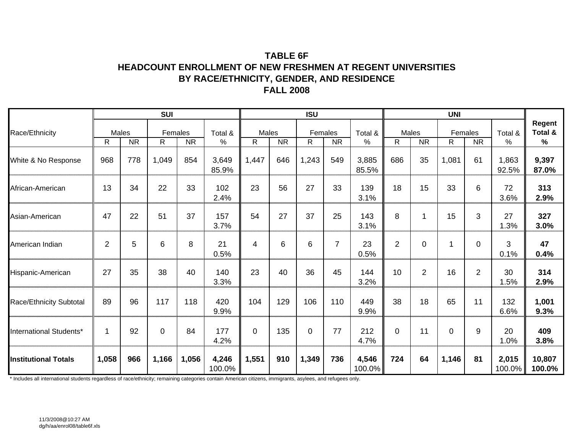### **TABLE 6FHEADCOUNT ENROLLMENT OF NEW FRESHMEN AT REGENT UNIVERSITIES BY RACE/ETHNICITY, GENDER, AND RESIDENCE FALL 2008**

|                             |                |                    | <b>SUI</b>   |           |                 |                |           | <b>ISU</b>   |                |                 |                |                    | <b>UNI</b>    |                |                 |                                    |
|-----------------------------|----------------|--------------------|--------------|-----------|-----------------|----------------|-----------|--------------|----------------|-----------------|----------------|--------------------|---------------|----------------|-----------------|------------------------------------|
| Race/Ethnicity              | R              | Males<br><b>NR</b> | Females<br>R | <b>NR</b> | Total &<br>$\%$ | Males<br>R.    | <b>NR</b> | Females<br>R | <b>NR</b>      | Total &<br>%    | R.             | Males<br><b>NR</b> | Females<br>R. | <b>NR</b>      | Total &<br>%    | Regent<br>Total &<br>$\frac{9}{6}$ |
| White & No Response         | 968            | 778                | 1,049        | 854       | 3,649<br>85.9%  | 1,447          | 646       | 1,243        | 549            | 3,885<br>85.5%  | 686            | 35                 | 1,081         | 61             | 1,863<br>92.5%  | 9,397<br>87.0%                     |
| African-American            | 13             | 34                 | 22           | 33        | 102<br>2.4%     | 23             | 56        | 27           | 33             | 139<br>3.1%     | 18             | 15                 | 33            | 6              | 72<br>3.6%      | 313<br>2.9%                        |
| Asian-American              | 47             | 22                 | 51           | 37        | 157<br>3.7%     | 54             | 27        | 37           | 25             | 143<br>3.1%     | 8              | 1                  | 15            | 3              | 27<br>1.3%      | 327<br>3.0%                        |
| American Indian             | $\overline{2}$ | 5                  | 6            | 8         | 21<br>0.5%      | 4              | 6         | 6            | $\overline{7}$ | 23<br>0.5%      | $\overline{2}$ | $\Omega$           | 1             | $\Omega$       | 3<br>0.1%       | 47<br>0.4%                         |
| Hispanic-American           | 27             | 35                 | 38           | 40        | 140<br>3.3%     | 23             | 40        | 36           | 45             | 144<br>3.2%     | 10             | $\overline{2}$     | 16            | $\overline{2}$ | 30<br>1.5%      | 314<br>2.9%                        |
| Race/Ethnicity Subtotal     | 89             | 96                 | 117          | 118       | 420<br>9.9%     | 104            | 129       | 106          | 110            | 449<br>9.9%     | 38             | 18                 | 65            | 11             | 132<br>6.6%     | 1,001<br>9.3%                      |
| International Students*     | 1              | 92                 | $\mathbf 0$  | 84        | 177<br>4.2%     | $\overline{0}$ | 135       | $\mathbf 0$  | 77             | 212<br>4.7%     | $\mathbf 0$    | 11                 | $\mathbf 0$   | 9              | 20<br>1.0%      | 409<br>3.8%                        |
| <b>Institutional Totals</b> | 1,058          | 966                | 1,166        | 1,056     | 4,246<br>100.0% | 1,551          | 910       | 1,349        | 736            | 4,546<br>100.0% | 724            | 64                 | 1,146         | 81             | 2,015<br>100.0% | 10,807<br>100.0%                   |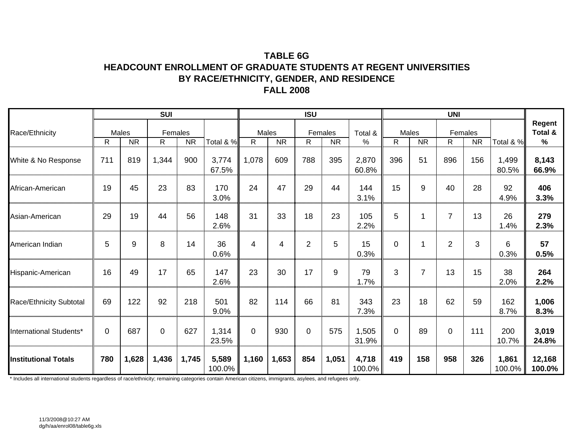### **TABLE 6GHEADCOUNT ENROLLMENT OF GRADUATE STUDENTS AT REGENT UNIVERSITIES BY RACE/ETHNICITY, GENDER, AND RESIDENCE FALL 2008**

|                             |              |                    | <b>SUI</b>    |           |                 |                       |           | <b>ISU</b>     |                      |                 |              |                    | <b>UNI</b>     |                      |                 |                                    |
|-----------------------------|--------------|--------------------|---------------|-----------|-----------------|-----------------------|-----------|----------------|----------------------|-----------------|--------------|--------------------|----------------|----------------------|-----------------|------------------------------------|
| Race/Ethnicity              | $\mathsf{R}$ | Males<br><b>NR</b> | Females<br>R. | <b>NR</b> | Total & %       | Males<br>$\mathsf{R}$ | <b>NR</b> | R              | Females<br><b>NR</b> | Total &<br>%    | $\mathsf{R}$ | Males<br><b>NR</b> | R              | Females<br><b>NR</b> | Total & %       | Regent<br>Total &<br>$\frac{9}{6}$ |
| White & No Response         | 711          | 819                | 1,344         | 900       | 3,774<br>67.5%  | 1,078                 | 609       | 788            | 395                  | 2,870<br>60.8%  | 396          | 51                 | 896            | 156                  | 1,499<br>80.5%  | 8,143<br>66.9%                     |
| African-American            | 19           | 45                 | 23            | 83        | 170<br>3.0%     | 24                    | 47        | 29             | 44                   | 144<br>3.1%     | 15           | 9                  | 40             | 28                   | 92<br>4.9%      | 406<br>3.3%                        |
| Asian-American              | 29           | 19                 | 44            | 56        | 148<br>2.6%     | 31                    | 33        | 18             | 23                   | 105<br>2.2%     | 5            |                    | 7              | 13                   | 26<br>1.4%      | 279<br>2.3%                        |
| American Indian             | 5            | 9                  | 8             | 14        | 36<br>0.6%      | 4                     | 4         | $\overline{2}$ | 5                    | 15<br>0.3%      | $\mathbf 0$  |                    | $\overline{2}$ | 3                    | 6<br>0.3%       | 57<br>0.5%                         |
| Hispanic-American           | 16           | 49                 | 17            | 65        | 147<br>2.6%     | 23                    | 30        | 17             | 9                    | 79<br>1.7%      | 3            | $\overline{7}$     | 13             | 15                   | 38<br>2.0%      | 264<br>2.2%                        |
| Race/Ethnicity Subtotal     | 69           | 122                | 92            | 218       | 501<br>9.0%     | 82                    | 114       | 66             | 81                   | 343<br>7.3%     | 23           | 18                 | 62             | 59                   | 162<br>8.7%     | 1,006<br>8.3%                      |
| International Students*     | 0            | 687                | $\mathbf 0$   | 627       | 1,314<br>23.5%  | $\Omega$              | 930       | $\mathbf 0$    | 575                  | 1,505<br>31.9%  | $\mathbf 0$  | 89                 | $\mathbf 0$    | 111                  | 200<br>10.7%    | 3,019<br>24.8%                     |
| <b>Institutional Totals</b> | 780          | 1,628              | 1,436         | 1,745     | 5,589<br>100.0% | 1,160                 | 1,653     | 854            | 1,051                | 4,718<br>100.0% | 419          | 158                | 958            | 326                  | 1,861<br>100.0% | 12,168<br>100.0%                   |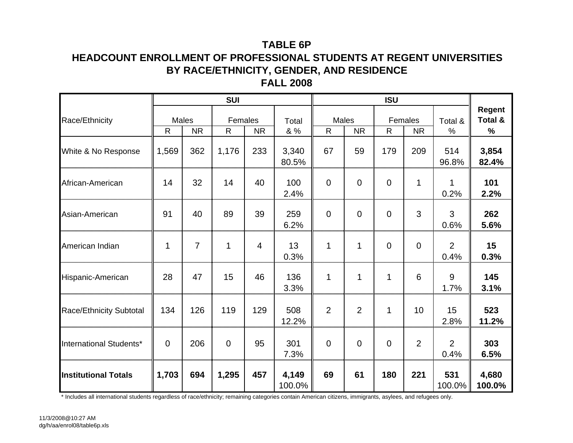# **TABLE 6P**

## **HEADCOUNT ENROLLMENT OF PROFESSIONAL STUDENTS AT REGENT UNIVERSITIES BY RACE/ETHNICITY, GENDER, AND RESIDENCE FALL 2008**

|                                |                |                           | <b>SUI</b>              |           |                 |                              |                | <b>ISU</b>     |                      |                          |                                           |
|--------------------------------|----------------|---------------------------|-------------------------|-----------|-----------------|------------------------------|----------------|----------------|----------------------|--------------------------|-------------------------------------------|
| Race/Ethnicity                 | $\mathsf{R}$   | <b>Males</b><br><b>NR</b> | Females<br>$\mathsf{R}$ | <b>NR</b> | Total<br>& %    | <b>Males</b><br>$\mathsf{R}$ | <b>NR</b>      | R.             | Females<br><b>NR</b> | Total &<br>$\frac{0}{0}$ | <b>Regent</b><br>Total &<br>$\frac{0}{0}$ |
| White & No Response            | 1,569          | 362                       | 1,176                   | 233       | 3,340<br>80.5%  | 67                           | 59             | 179            | 209                  | 514<br>96.8%             | 3,854<br>82.4%                            |
| African-American               | 14             | 32                        | 14                      | 40        | 100<br>2.4%     | $\overline{0}$               | $\Omega$       | $\overline{0}$ | 1                    | 1<br>0.2%                | 101<br>2.2%                               |
| Asian-American                 | 91             | 40                        | 89                      | 39        | 259<br>6.2%     | $\overline{0}$               | $\Omega$       | $\Omega$       | 3                    | 3<br>0.6%                | 262<br>5.6%                               |
| American Indian                |                | $\overline{7}$            | 1                       | 4         | 13<br>0.3%      | 1                            | 1              | $\Omega$       | $\Omega$             | $\overline{2}$<br>0.4%   | 15<br>0.3%                                |
| Hispanic-American              | 28             | 47                        | 15                      | 46        | 136<br>3.3%     | 1                            | 1              | 1              | 6                    | 9<br>1.7%                | 145<br>3.1%                               |
| <b>Race/Ethnicity Subtotal</b> | 134            | 126                       | 119                     | 129       | 508<br>12.2%    | 2                            | $\overline{2}$ | 1              | 10                   | 15<br>2.8%               | 523<br>11.2%                              |
| International Students*        | $\overline{0}$ | 206                       | $\overline{0}$          | 95        | 301<br>7.3%     | $\overline{0}$               | $\overline{0}$ | $\overline{0}$ | 2                    | 2<br>0.4%                | 303<br>6.5%                               |
| <b>Institutional Totals</b>    | 1,703          | 694                       | 1,295                   | 457       | 4,149<br>100.0% | 69                           | 61             | 180            | 221                  | 531<br>100.0%            | 4,680<br>100.0%                           |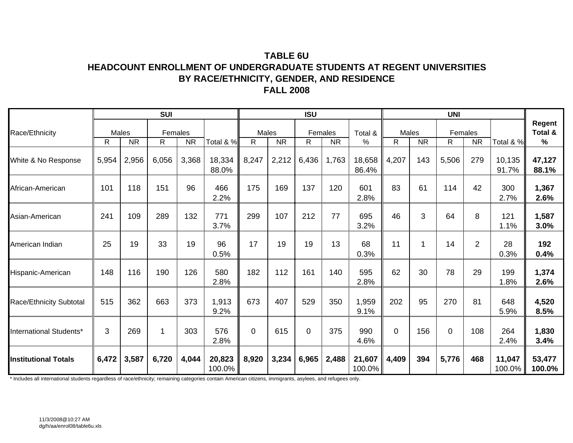### **TABLE 6UHEADCOUNT ENROLLMENT OF UNDERGRADUATE STUDENTS AT REGENT UNIVERSITIES BY RACE/ETHNICITY, GENDER, AND RESIDENCE FALL 2008**

|                                |       |                    | <b>SUI</b>    |           |                  |            |           | <b>ISU</b>   |           |                  |                       |           | <b>UNI</b>              |                |                  |                                    |
|--------------------------------|-------|--------------------|---------------|-----------|------------------|------------|-----------|--------------|-----------|------------------|-----------------------|-----------|-------------------------|----------------|------------------|------------------------------------|
| Race/Ethnicity                 | R.    | Males<br><b>NR</b> | Females<br>R. | <b>NR</b> | Total & %        | Males<br>R | <b>NR</b> | Females<br>R | <b>NR</b> | Total &<br>%     | Males<br>$\mathsf{R}$ | <b>NR</b> | Females<br>$\mathsf{R}$ | <b>NR</b>      | Total & %        | Regent<br>Total &<br>$\frac{9}{6}$ |
| White & No Response            | 5,954 | 2,956              | 6,056         | 3,368     | 18,334<br>88.0%  | 8,247      | 2,212     | 6,436        | 1,763     | 18,658<br>86.4%  | 4,207                 | 143       | 5,506                   | 279            | 10,135<br>91.7%  | 47,127<br>88.1%                    |
| African-American               | 101   | 118                | 151           | 96        | 466<br>2.2%      | 175        | 169       | 137          | 120       | 601<br>2.8%      | 83                    | 61        | 114                     | 42             | 300<br>2.7%      | 1,367<br>2.6%                      |
| Asian-American                 | 241   | 109                | 289           | 132       | 771<br>3.7%      | 299        | 107       | 212          | 77        | 695<br>3.2%      | 46                    | 3         | 64                      | 8              | 121<br>1.1%      | 1,587<br>3.0%                      |
| American Indian                | 25    | 19                 | 33            | 19        | 96<br>0.5%       | 17         | 19        | 19           | 13        | 68<br>0.3%       | 11                    |           | 14                      | $\overline{2}$ | 28<br>0.3%       | 192<br>0.4%                        |
| Hispanic-American              | 148   | 116                | 190           | 126       | 580<br>2.8%      | 182        | 112       | 161          | 140       | 595<br>2.8%      | 62                    | 30        | 78                      | 29             | 199<br>1.8%      | 1,374<br>2.6%                      |
| <b>Race/Ethnicity Subtotal</b> | 515   | 362                | 663           | 373       | 1,913<br>9.2%    | 673        | 407       | 529          | 350       | 1,959<br>9.1%    | 202                   | 95        | 270                     | 81             | 648<br>5.9%      | 4,520<br>8.5%                      |
| International Students*        | 3     | 269                | $\mathbf 1$   | 303       | 576<br>2.8%      | $\Omega$   | 615       | $\mathbf 0$  | 375       | 990<br>4.6%      | $\mathbf 0$           | 156       | $\Omega$                | 108            | 264<br>2.4%      | 1,830<br>3.4%                      |
| <b>Institutional Totals</b>    | 6,472 | 3,587              | 6,720         | 4,044     | 20,823<br>100.0% | 8,920      | 3,234     | 6,965        | 2,488     | 21,607<br>100.0% | 4,409                 | 394       | 5,776                   | 468            | 11,047<br>100.0% | 53,477<br>100.0%                   |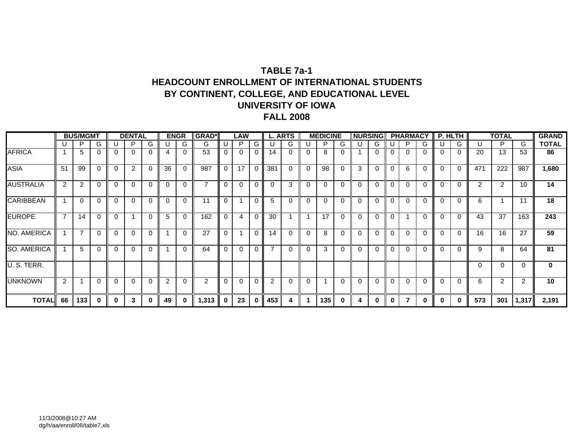### **TABLE 7a-1HEADCOUNT ENROLLMENT OF INTERNATIONAL STUDENTS BY CONTINENT, COLLEGE, AND EDUCATIONAL LEVEL UNIVERSITY OF IOWAFALL 2008**

|                    |                | <b>BUS/MGMT</b> |          |          | <b>DENTAL</b> |          |                | <b>ENGR</b> | <b>IGRAD*</b>  |          | LAW      |             |                | <b>L. ARTS</b> |                | <b>MEDICINE</b> |          | <b>INURSING</b> |   |             | <b>PHARMACY</b> |          |             | P. HLTH  |     | <b>TOTAL</b> |                | <b>GRAND</b> |
|--------------------|----------------|-----------------|----------|----------|---------------|----------|----------------|-------------|----------------|----------|----------|-------------|----------------|----------------|----------------|-----------------|----------|-----------------|---|-------------|-----------------|----------|-------------|----------|-----|--------------|----------------|--------------|
|                    |                | P               | G        |          | P             | G        |                | G           | G              |          | P        | G           |                | G.             |                | P               | G        |                 | G |             | P               | G        |             | G        | U   | P.           | G              | <b>TOTAL</b> |
| <b>AFRICA</b>      |                | 5               | 0        |          | $\Omega$      | $\Omega$ |                |             | 53             | $\Omega$ | $\Omega$ | $\Omega$    | 14             | 0              | $\Omega$       | 8               |          |                 |   | $\Omega$    |                 | 0        | $\Omega$    | 0        | 20  | 13           | 53             | 86           |
| <b>ASIA</b>        | 51             | 99              |          | 0        | 2             | $\Omega$ | 36             | $\Omega$    | 987            | $\Omega$ | 17       | $\mathbf 0$ | 381            | $\Omega$       | $\overline{0}$ | 98              | 0        | 3               |   | $\Omega$    | 6               | $\Omega$ | $\mathbf 0$ | $\Omega$ | 471 | 222          | 987            | 1,680        |
| <b>AUSTRALIA</b>   | $\overline{2}$ | 2               |          | 0        | $\Omega$      | $\Omega$ | $\Omega$       |             | 7              | $\Omega$ | $\Omega$ | 0           | $\Omega$       | 3              | $\Omega$       | $\Omega$        |          | $\Omega$        | 0 | $\Omega$    | ∩               | $\Omega$ | $\Omega$    | 0        | 2   | 2            | 10             | 14           |
| <b>CARIBBEAN</b>   |                | $\Omega$        |          | $\Omega$ | $\Omega$      | $\Omega$ | $\Omega$       | $\Omega$    | 11             | $\Omega$ |          | $\Omega$    | 5              | $\Omega$       | - 0            | $\Omega$        | $\Omega$ | $\Omega$        | 0 | $\Omega$    | $\Omega$        | $\Omega$ | $\Omega$    | $\Omega$ | 6   |              | 11             | 18           |
| <b>EUROPE</b>      |                | 14              |          | $\Omega$ |               | $\Omega$ | 5              |             | 162            | 0        | 4        | 0           | 30             |                |                | 17              |          | $\Omega$        |   | $\Omega$    |                 | 0        | $\Omega$    | 0        | 43  | 37           | 163            | 243          |
| NO. AMERICA        |                | $\overline{7}$  | $\Omega$ | 0        | $\Omega$      | $\Omega$ |                | $\Omega$    | 27             | $\Omega$ |          | $\Omega$    | 14             | 0              | $\Omega$       | 8               |          | $\Omega$        | 0 | $\Omega$    | $\Omega$        | $\Omega$ | $\Omega$    | $\Omega$ | 16  | 16           | 27             | 59           |
| <b>SO. AMERICA</b> |                | 5               |          | $\Omega$ | $\Omega$      | $\Omega$ |                | $\Omega$    | 64             | $\Omega$ | $\Omega$ | $\Omega$    | 7              | 0              | $\Omega$       | 3               | $\Omega$ | $\Omega$        | 0 | $\Omega$    | $\Omega$        | $\Omega$ | $\Omega$    | 0        | 9   | 8            | 64             | 81           |
| U. S. TERR.        |                |                 |          |          |               |          |                |             |                |          |          |             |                |                |                |                 |          |                 |   |             |                 |          |             |          | 0   | $\Omega$     | 0              | $\mathbf 0$  |
| <b>UNKNOWN</b>     | $\overline{2}$ |                 | $\Omega$ | $\Omega$ | $\Omega$      | $\Omega$ | $\overline{2}$ | 0           | $\overline{2}$ | $\Omega$ | $\Omega$ | $\Omega$    | $\overline{2}$ | 0              | $\Omega$       |                 | $\Omega$ | $\Omega$        | 0 | $\Omega$    | $\Omega$        | $\Omega$ | $\Omega$    | 0        | 6   | 2            | $\overline{2}$ | 10           |
| <b>TOTAL</b>       | 66             | 133             | 0        | $\bf{0}$ | 3             | $\bf{0}$ | 49             | $\bf{0}$    | 1,313          | $\bf{0}$ | 23       | $\bf{0}$    | 453            | 4              |                | 135             | 0        | 4               | 0 | $\mathbf 0$ |                 | 0        | $\mathbf 0$ | 0        | 573 | 301          | 1,317          | 2,191        |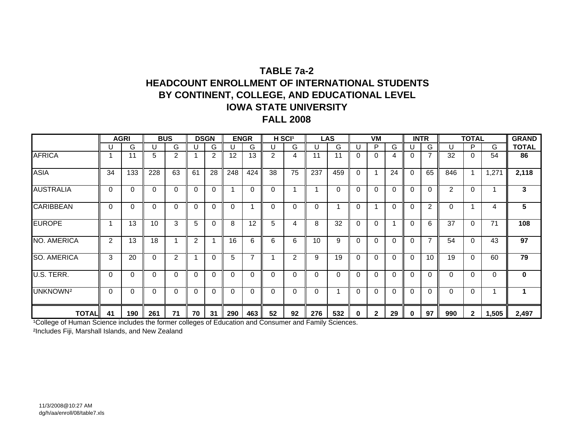# **TABLE 7a-2HEADCOUNT ENROLLMENT OF INTERNATIONAL STUDENTSBY CONTINENT, COLLEGE, AND EDUCATIONAL LEVEL IOWA STATE UNIVERSITYFALL 2008**

|                      |                | <b>AGRI</b> |          | <b>BUS</b> |              | <b>DSGN</b>    |          | <b>ENGR</b>    |          | H SCI <sup>1</sup> |          | LAS |          | VM           |          | <b>INTR</b> |                |     | <b>TOTAL</b> |       | <b>GRAND</b> |
|----------------------|----------------|-------------|----------|------------|--------------|----------------|----------|----------------|----------|--------------------|----------|-----|----------|--------------|----------|-------------|----------------|-----|--------------|-------|--------------|
|                      |                | G           | U        | G          | U            | G              | U        | G              | U        | G                  |          | G   |          | P            | G        |             | G              | U   | P            | G     | <b>TOTAL</b> |
| <b>AFRICA</b>        |                | 11          | 5        | 2          |              | $\overline{2}$ | 12       | 13             | 2        | 4                  | 11       | 11  | 0        | $\Omega$     | 4        | 0           | $\overline{7}$ | 32  | $\Omega$     | 54    | 86           |
| <b>ASIA</b>          | 34             | 133         | 228      | 63         | 61           | 28             | 248      | 424            | 38       | 75                 | 237      | 459 | $\Omega$ | -1           | 24       | $\Omega$    | 65             | 846 | $\mathbf 1$  | 1,271 | 2,118        |
| <b>AUSTRALIA</b>     | $\Omega$       | 0           | 0        | $\Omega$   | $\Omega$     | 0              |          | $\Omega$       | 0        |                    |          | 0   | 0        | $\Omega$     | $\Omega$ | $\Omega$    | $\Omega$       | 2   | $\Omega$     |       | 3            |
| <b>CARIBBEAN</b>     | $\Omega$       | 0           | 0        | $\Omega$   | $\mathbf{0}$ | 0              | $\Omega$ |                | $\Omega$ | $\Omega$           | $\Omega$ |     | 0        |              | $\Omega$ | $\Omega$    | $\overline{2}$ | 0   | 1            | 4     | 5            |
| <b>EUROPE</b>        |                | 13          | 10       | 3          | 5            | 0              | 8        | 12             | 5        | 4                  | 8        | 32  | 0        | $\Omega$     |          | $\Omega$    | 6              | 37  | $\Omega$     | 71    | 108          |
| NO. AMERICA          | $\overline{2}$ | 13          | 18       |            | 2            |                | 16       | 6              | 6        | 6                  | 10       | 9   | 0        | $\mathbf{0}$ | $\Omega$ | 0           | $\overline{7}$ | 54  | $\mathbf{0}$ | 43    | 97           |
| <b>SO. AMERICA</b>   | 3              | 20          | $\Omega$ | 2          |              | $\Omega$       | 5        | $\overline{7}$ |          | 2                  | 9        | 19  | $\Omega$ | $\mathbf{0}$ | $\Omega$ | $\Omega$    | 10             | 19  | $\mathbf 0$  | 60    | 79           |
| U.S. TERR.           | $\Omega$       | 0           | $\Omega$ | $\Omega$   | $\Omega$     |                | 0        | 0              | 0        | 0                  | 0        | 0   | 0        | 0            | $\Omega$ | $\Omega$    | $\Omega$       | O   | $\Omega$     | 0     | 0            |
| UNKNOWN <sup>2</sup> | $\Omega$       | 0           | $\Omega$ | $\Omega$   | $\Omega$     | 0              | $\Omega$ | $\mathbf 0$    | $\Omega$ | $\Omega$           | $\Omega$ |     | $\Omega$ | $\mathbf{0}$ | $\Omega$ | $\Omega$    | $\Omega$       | 0   | $\mathbf{0}$ |       |              |
| <b>TOTAL</b>         | 41             | 190         | 261      | 71         | 70           | 31             | 290      | 463            | 52       | 92                 | 276      | 532 |          | $\mathbf{2}$ | 29       | $\Omega$    | 97             | 990 | $\mathbf{2}$ | 1,505 | 2,497        |

<sup>1</sup>College of Human Science includes the former colleges of Education and Consumer and Family Sciences.

²Includes Fiji, Marshall Islands, and New Zealand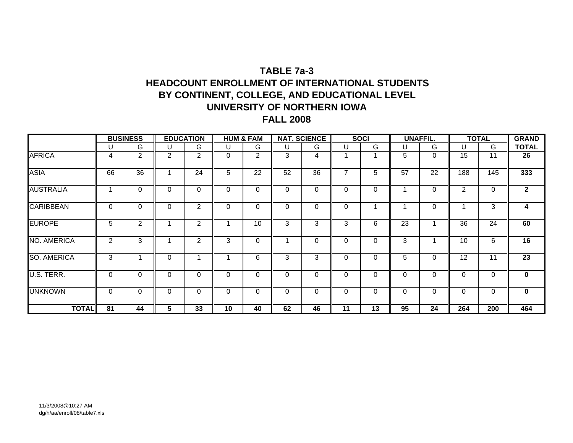# **TABLE 7a-3HEADCOUNT ENROLLMENT OF INTERNATIONAL STUDENTSBY CONTINENT, COLLEGE, AND EDUCATIONAL LEVEL UNIVERSITY OF NORTHERN IOWA FALL 2008**

|                    |          | <b>BUSINESS</b> |          | <b>EDUCATION</b> |    | <b>HUM &amp; FAM</b> |          | <b>NAT. SCIENCE</b> |          | <b>SOCI</b> |             | <b>UNAFFIL.</b> |                | <b>TOTAL</b> | <b>GRAND</b> |
|--------------------|----------|-----------------|----------|------------------|----|----------------------|----------|---------------------|----------|-------------|-------------|-----------------|----------------|--------------|--------------|
|                    | U        | G               | U        | G                | U  | G                    | U        | G                   |          | G           | U           | G               | U              | G            | <b>TOTAL</b> |
| <b>AFRICA</b>      | 4        | $\overline{2}$  | 2        | $\overline{2}$   | 0  | 2                    | 3        | 4                   |          |             | 5           | $\Omega$        | 15             | 11           | 26           |
| <b>ASIA</b>        | 66       | 36              | 1        | 24               | 5  | 22                   | 52       | 36                  | 7        | 5           | 57          | 22              | 188            | 145          | 333          |
| <b>AUSTRALIA</b>   |          | $\mathbf 0$     | 0        | $\Omega$         | 0  | 0                    | $\Omega$ | 0                   | $\Omega$ | 0           |             | 0               | $\overline{2}$ | 0            | $\mathbf{2}$ |
| <b>CARIBBEAN</b>   | 0        | $\Omega$        | $\Omega$ | $\overline{2}$   | 0  | $\Omega$             | 0        | $\Omega$            | $\Omega$ |             |             | $\Omega$        |                | 3            | 4            |
| <b>EUROPE</b>      | 5        | 2               |          | $\overline{2}$   |    | 10                   | 3        | 3                   | 3        | 6           | 23          |                 | 36             | 24           | 60           |
| NO. AMERICA        | 2        | 3               | и        | 2                | 3  | $\Omega$             |          | $\mathbf 0$         | 0        | 0           | 3           | и               | 10             | 6            | 16           |
| <b>SO. AMERICA</b> | 3        |                 | 0        |                  |    | 6                    | 3        | 3                   | 0        | 0           | 5           | 0               | 12             | 11           | 23           |
| U.S. TERR.         | 0        | $\Omega$        | 0        | 0                | 0  | $\Omega$             | $\Omega$ | 0                   | 0        | $\Omega$    | $\Omega$    | 0               | $\Omega$       | 0            | $\mathbf{0}$ |
| <b>UNKNOWN</b>     | $\Omega$ | $\mathbf 0$     | $\Omega$ | $\Omega$         | 0  | $\mathbf 0$          | $\Omega$ | $\Omega$            | $\Omega$ | 0           | $\mathbf 0$ | $\Omega$        | $\Omega$       | 0            | $\mathbf 0$  |
| <b>TOTAL</b>       | 81       | 44              | 5        | 33               | 10 | 40                   | 62       | 46                  | 11       | 13          | 95          | 24              | 264            | 200          | 464          |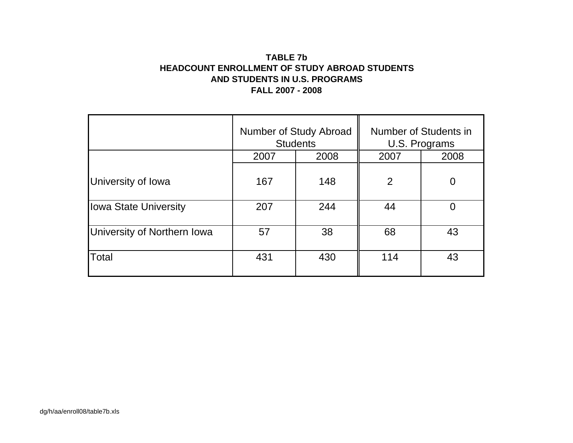### **TABLE 7bHEADCOUNT ENROLLMENT OF STUDY ABROAD STUDENTS AND STUDENTS IN U.S. PROGRAMS FALL 2007 - 2008**

|                              |      | <b>Number of Study Abroad</b><br><b>Students</b> |      | Number of Students in<br>U.S. Programs |
|------------------------------|------|--------------------------------------------------|------|----------------------------------------|
|                              | 2007 | 2008                                             | 2007 | 2008                                   |
| University of Iowa           | 167  | 148                                              | 2    | $\overline{0}$                         |
| <b>Iowa State University</b> | 207  | 244                                              | 44   | $\Omega$                               |
| University of Northern Iowa  | 57   | 38                                               | 68   | 43                                     |
| Total                        | 431  | 430                                              | 114  | 43                                     |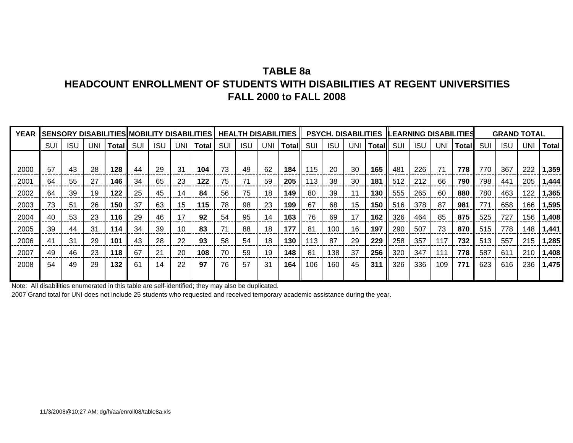# **TABLE 8aHEADCOUNT ENROLLMENT OF STUDENTS WITH DISABILITIES AT REGENT UNIVERSITIESFALL 2000 to FALL 2008**

| YEAR |     |            |     |                  |    |            |            |              |     |            |            |              |        |            |     | SENSORY DISABILITIES  MOBILITY DISABILITIES   HEALTH DISABILITIES     PSYCH. DISABILITIES   LEARNING DISABILITIES |     |            |            |        |     | <b>GRAND TOTAL</b> |            |              |
|------|-----|------------|-----|------------------|----|------------|------------|--------------|-----|------------|------------|--------------|--------|------------|-----|-------------------------------------------------------------------------------------------------------------------|-----|------------|------------|--------|-----|--------------------|------------|--------------|
|      | SUI | <b>ISU</b> | UNI | <b>Total</b> SUI |    | <b>ISU</b> | <b>UNI</b> | <b>Total</b> | SUI | <b>ISU</b> | <b>UNI</b> | <b>Total</b> | SUI    | <b>ISU</b> | UNI | Total                                                                                                             | SUI | <b>ISU</b> | <b>UNI</b> | Totall | SUI | <b>ISU</b>         | <b>UNI</b> | <b>Total</b> |
|      |     |            |     |                  |    |            |            |              |     |            |            |              |        |            |     |                                                                                                                   |     |            |            |        |     |                    |            |              |
| 2000 | 57  | 43         | 28  | 128              | 44 | 29         | 31         | 104          | 73  | 49         | 62         | 184          | ll 115 | 20         | 30  | 165                                                                                                               | 481 | 226        | 71         | 778    | 770 | 367                | 222        | 1,359        |
| 2001 | 64  | 55         | 27  | 146              | 34 | 65         | 23         | 122          | 75  | 71         | 59         | 205          | 113    | 38         | 30  | 181                                                                                                               | 512 | 212        | 66         | 790    | 798 | 441                | 205        | 1,444        |
| 2002 | 64  | 39         | 19  | 122              | 25 | 45         | 14         | 84           | 56  | 75         | 18         | 149          | 80     | 39         | 11  | 130                                                                                                               | 555 | 265        | 60         | 880    | 780 | 463                | 122        | 1,365        |
| 2003 | 73  | 51         | 26  | 150              | 37 | 63         | 15         | 115          | 78  | 98         | 23         | 199          | 67     | 68         | 15  | 150                                                                                                               | 516 | 378        | 87         | 981    | 771 | 658                | 166        | 1,595        |
| 2004 | 40  | 53         | 23  | 116              | 29 | 46         |            | 92           | 54  | 95         | 14         | 163          | 76     | 69         | 17  | 162                                                                                                               | 326 | 464        | 85         | 875    | 525 | 727                | 156        | 1,408        |
| 2005 | 39  | 44         | 31  | 114              | 34 | 39         | 10         | 83           |     | 88         | 18         | 177          | -81    | 100        | 16  | 197                                                                                                               | 290 | 507        | 73         | 870    | 515 | 778                | 148        | 1,441        |
| 2006 | 41  | 31         | 29  | 101              | 43 | 28         | 22         | 93           | 58  | 54         | 18         | 130          | 113    | 87         | 29  | 229                                                                                                               | 258 | 357        | 117        | 732    | 513 | 557                | 215        | 1,285        |
| 2007 | 49  | 46         | 23  | 118              | 67 | 21         | 20         | 108          | 70  | 59         | 19         | 148          | 81     | 138        | 37  | 256                                                                                                               | 320 | 347        | 111        | 778    | 587 | 611                | 210        | 1,408        |
| 2008 | 54  | 49         | 29  | 132              | 61 | 14         | 22         | 97           | 76  | 57         | 31         | 164          | 106    | 160        | 45  | 311                                                                                                               | 326 | 336        | 109        | 771    | 623 | 616                | 236        | 1,475        |
|      |     |            |     |                  |    |            |            |              |     |            |            |              |        |            |     |                                                                                                                   |     |            |            |        |     |                    |            |              |

Note: All disabilities enumerated in this table are self-identified; they may also be duplicated.

2007 Grand total for UNI does not include 25 students who requested and received temporary academic assistance during the year.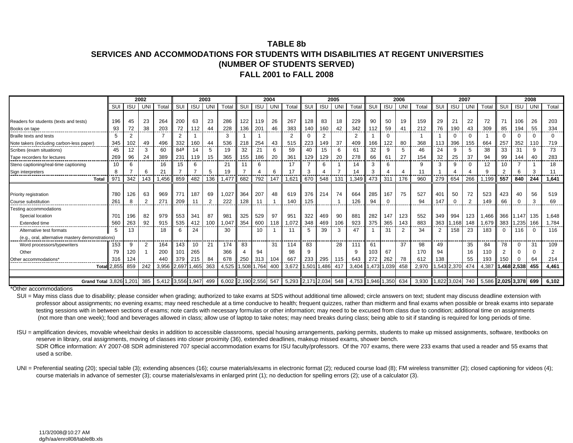#### **TABLE 8bSERVICES AND ACCOMMODATIONS FOR STUDENTS WITH DISABILITIES AT REGENT UNIVERSITIES(NUMBER OF STUDENTS SERVED) FALL 2001 to FALL 2008**

|                                                  |              |                | 2002           |                   |                 |            | 2003           |                       |     |              | 2004 |                           |          |            | 2005       |                       |       |            | 2006 |       |                 |            | 2007      |                   |                |             | 2008 |               |
|--------------------------------------------------|--------------|----------------|----------------|-------------------|-----------------|------------|----------------|-----------------------|-----|--------------|------|---------------------------|----------|------------|------------|-----------------------|-------|------------|------|-------|-----------------|------------|-----------|-------------------|----------------|-------------|------|---------------|
|                                                  | SUI          | <b>ISU</b>     | UN             | Total             | SUI             | <b>ISU</b> | UNI            | Total                 | SUI | <b>ISU</b>   | UN   | Total                     | SUI      | <b>ISU</b> | <b>UNI</b> | Total                 | SUI   | <b>ISU</b> | UNI  | Total | SUI             | <b>ISU</b> | <b>UN</b> | Total             | SUI            | <b>ISU</b>  | UNI  | Total         |
|                                                  |              |                |                |                   |                 |            |                |                       |     |              |      |                           |          |            |            |                       |       |            |      |       |                 |            |           |                   |                |             |      |               |
| Readers for students (texts and tests)           | 196          | 45             | 23             | 264               | 200             | 63         | 23             | 286                   | 122 | 119          | 26   | 267                       | 128      | 83         | 18         | 229                   | 90    | 50         | 19   | 159   | 29              | 21         | 22        | 72                | 71             | 106         | 26   | 203           |
| Books on tape                                    | 93           | 72             | 38             | 203               | 72              | 112        | 44             | 228                   | 136 | $20^{\circ}$ | 46   | 383                       | 140      | 160        | 42         | 342                   | 112   | 59         | 41   | 212   | 76              | 190        | 43        | 309               | 85             | 194         | 55   | 334           |
| Braille texts and tests                          | 5            | $\overline{2}$ |                |                   | 2               |            |                | 3                     |     |              |      | 2                         | $\Omega$ | 2          |            | 2                     |       |            |      |       |                 | $\Omega$   | $\Omega$  |                   | $\Omega$       | $\Omega$    |      |               |
| Note takers (including carbon-less paper)        | 345          | 102            | 49             | 496               | 332             | 160        | 44             | 536                   | 218 | 254          | 43   | 515                       | 223      | 149        | 37         | 409                   | 166   | 122        | 80   | 368   | 113             | 396        | 155       | 664               | 257            | 352         | 110  | 719           |
| Scribes (exam situations)                        | 45           | 12             | 3              | 60                | 84 <sup>a</sup> | 14         | 5              | 19                    | 32  | 21           | 6    | 59                        | 40       | 15         | 6          | 61                    | 32    | 9          | 5    | 46    | 24              | 9          | 5         | 38                | 33             | 31          | 9    | 73            |
| Tape recorders for lectures                      | 269          | 96             | 24             | 389               | 231             | 119        | 15             | 365                   | 155 | 186          | 20   | 361                       | 129      | 129        | 20         | 278                   | 66    | 61         | 27   | 154   | 32              | 25         | 37        | 94                | 99             | 144         | 40   | 283           |
| Steno captioning/real-time captioning            | 10           |                |                | 16                | 15              | 6          |                | 21                    |     | 6            |      | 17                        |          | 6          |            | 14                    | 3     | 6          |      | ٩     | 3               | 9          | $\Omega$  | 12                |                |             |      | 18            |
| Sign interpreters                                |              |                | 6              | 21                |                 |            | 5              | 19                    |     |              | ี    | -17                       | 3        |            |            |                       | 3     |            |      |       |                 |            |           | q                 |                |             |      |               |
| Total                                            | 971          | 342            | 143            | 1,456             | 859             | 482        | 136            | 1,477                 | 682 | 792          | 147  | 1,621                     | 670      | 548        | 13'        | 1,349                 | 473   | 31         | 176  | 960   | 279             | 654        | 266       | .199              | 557            | 840         | 244  | 1,641         |
|                                                  |              |                |                |                   |                 |            |                |                       |     |              |      |                           |          |            |            |                       |       |            |      |       |                 |            |           |                   |                |             |      |               |
| Priority registration                            | 780          | 126            | 63             | 969               | 771             | 187        | 69             | 1.027                 | 364 | 207          | 48   | 619                       | 376      | 214        | 74         | 664                   | 285   | 167        | 75   | 527   | 401             | 50         | 72        | 523               | 423            | 40          | 56   | 519           |
| Course substitution                              | 261<br>----- | 8              | $\overline{2}$ | 271               | 209             | 11         | $\overline{2}$ | 222<br>-----          | 128 | 11           |      | 140                       | 125      |            |            | 126                   | 94    |            |      | 94    | 147             | $\Omega$   | 2         | 149               | 66             |             |      | 69<br>------- |
| Testing accommodations                           |              |                |                |                   |                 |            |                |                       |     |              |      |                           |          |            |            |                       |       |            |      |       |                 |            |           |                   |                |             |      |               |
| Special location                                 | 701          | 196            | 82             | 979               | 553             | 341        | 87             | 981                   | 325 | 529          | 97   | 951                       | 322      | 469        | 90         | 881                   | 282   | 147        | 123  | 552   | 349             | 994        | 123       | .466              | 366            | 1.147       | 135  | 1.648         |
| <b>Extended time</b>                             | 560          | 263            | 92             | 915               | 535             | 412        | 100            | 1,047                 | 354 | 600          | 118  | 1,072                     | 348      | 469        | 106        | 923                   | 375   | 365        | 143  | 883   | 363             | 168.       | 148       | .679              | 383            | 1,235       | 166  | 1,784         |
| Alternative test formats                         | 5            | 13             |                | 18                | 6               | 24         |                | 30                    |     | 10           |      | 11                        | 5        | 39         | 3          | 47                    |       | 31         | 2    | 34    | $\overline{2}$  | 158        | 23        | 183               | $\Omega$       | 116         |      | 116           |
| (e.g., oral, alternative mastery demonstrations) |              |                |                |                   |                 |            |                |                       |     |              |      |                           |          |            |            |                       |       |            |      |       |                 |            |           |                   |                |             |      |               |
| Word processors/typewriters                      | 153          | 9              | $\overline{2}$ | 164               | 143             | 10         | 21             | 174                   | 83  |              | 31   | 114                       | 83       |            | 28         | 111                   | 61    |            | 37   | 98    | 49              |            | 35        | 84                | 78             | 0           | 31   | 109           |
| Other                                            | 79           | 120            |                | 200               | 101             | 265        |                | 366                   |     | 94           |      | 98                        | -9       |            |            | a                     | 103   | 67         |      | 170   | 94              |            | 16        | 110               | $\overline{2}$ |             |      |               |
| Other accommodations                             | 316          | 124            |                | 440               | 379             | 215        | 84             | 678                   | 250 | 313          | 104  | 667                       | 233      | 295        | 115        | 643                   | 272   | 262        | 78   | 612   | 138             |            | 55        | 193               | 150            |             | 64   | 214           |
| <b>Total</b>                                     | 2,855        | 859            | 242            | 3,956             | 2,697           | 1,465      | 363            | 4,525                 |     | 1,508 1,764  | 400  | 3,672                     | 1,501    | 1,486      | 417        | 3,404                 | 1,473 | 1,039      | 458  | 2,970 |                 | ,543 2,370 | 474       | 4,387             |                | 1,468 2,538 | 455  | 4,461         |
|                                                  |              |                |                |                   |                 |            |                |                       |     |              |      |                           |          |            |            |                       |       |            |      |       |                 |            |           |                   |                |             |      |               |
| Grand Total 3,826 1,201                          |              |                | 385            | 5,412 3,556 1,947 |                 |            | 499            | 6,002 2,190 2,556 547 |     |              |      | $\vert$ 5,293 2,171 2,034 |          |            | 548        | 4,753 1,946 1,350 634 |       |            |      | 3,930 | 1,822 3,024 740 |            |           | 5,586 2,025 3,378 |                |             | 699  | 6.102         |
|                                                  |              |                |                |                   |                 |            |                |                       |     |              |      |                           |          |            |            |                       |       |            |      |       |                 |            |           |                   |                |             |      |               |

\*Other accommodations

SUI = May miss class due to disability; please consider when grading; authorized to take exams at SDS without additional time allowed; circle answers on text; student may discuss deadline extension with professor about assignments; no evening exams; may need reschedule at a time conducive to health; frequent quizzes, rather than midterm and final exams when possible or break exams into separate testing sessions with in between sections of exams; note cards with necessary formulas or other information; may need to be excused from class due to condition; additional time on assignments (not more than one week); food and beverages allowed in class; allow use of laptop to take notes; may need breaks during class; being able to sit if standing is required for long periods of time.

 ISU = amplification devices, movable wheelchair desks in addition to accessible classrooms, special housing arrangements, parking permits, students to make up missed assignments, software, textbooks on reserve in library, oral assignments, moving of classes into closer proximity (36), extended deadlines, makeup missed exams, shower bench. SDR Office information: AY 2007-08 SDR administered 707 special accommodation exams for ISU faculty/professors. Of the 707 exams, there were 233 exams that used a reader and 55 exams that used a scribe.

UNI = Preferential seating (20); special table (3); extending absences (16); course materials/exams in electronic format (2); reduced course load (8); FM wireless transmitter (2); closed captioning for videos (4); course materials in advance of semester (3); course materials/exams in enlarged print (1); no deduction for spelling errors (2); use of a calculator (3).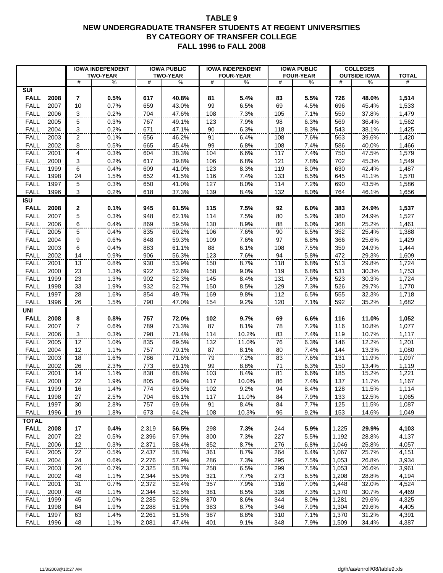#### **TABLE 9 NEW UNDERGRADUATE TRANSFER STUDENTS AT REGENT UNIVERSITIES BY CATEGORY OF TRANSFER COLLEGE FALL 1996 to FALL 2008**

|                                                |                         | <b>IOWA INDEPENDENT</b> |                | <b>IOWA PUBLIC</b> |            | <b>IOWA INDEPENDENT</b> |            | <b>IOWA PUBLIC</b> |                | <b>COLLEGES</b>     |                |
|------------------------------------------------|-------------------------|-------------------------|----------------|--------------------|------------|-------------------------|------------|--------------------|----------------|---------------------|----------------|
|                                                |                         | <b>TWO-YEAR</b>         |                | <b>TWO-YEAR</b>    |            | <b>FOUR-YEAR</b>        |            | <b>FOUR-YEAR</b>   |                | <b>OUTSIDE IOWA</b> | <b>TOTAL</b>   |
|                                                | #                       | $\%$                    | #              | $\%$               | #          | $\%$                    | #          | %                  | #              | %                   | #              |
| $\overline{\text{SUI}}$<br><b>FALL</b><br>2008 | 7                       | 0.5%                    | 617            | 40.8%              | 81         | 5.4%                    | 83         | 5.5%               | 726            | 48.0%               | 1,514          |
| <b>FALL</b><br>2007                            | 10                      | 0.7%                    | 659            | 43.0%              | 99         | 6.5%                    | 69         | 4.5%               | 696            | 45.4%               | 1,533          |
| 2006<br><b>FALL</b>                            | 3                       | 0.2%                    | 704            | 47.6%              | 108        | 7.3%                    | 105        | 7.1%               | 559            | 37.8%               | 1,479          |
| <b>FALL</b><br>2005                            | $\overline{5}$          | 0.3%                    | 767            | 49.1%              | 123        | 7.9%                    | 98         | 6.3%               | 569            | 36.4%               | 1,562          |
| <b>FALL</b><br>2004                            | $\overline{\mathbf{3}}$ | 0.2%                    | 671            | 47.1%              | 90         | 6.3%                    | 118        | 8.3%               | 543            | 38.1%               | 1,425          |
| <b>FALL</b><br>2003                            | $\overline{2}$          | 0.1%                    | 656            | 46.2%              | 91         | 6.4%                    | 108        | 7.6%               | 563            | 39.6%               | 1,420          |
| <b>FALL</b><br>2002                            | 8                       | 0.5%                    | 665            | 45.4%              | 99         | 6.8%                    | 108        | 7.4%               | 586            | 40.0%               | 1,466          |
| <b>FALL</b><br>2001                            | 4                       | 0.3%                    | 604            | 38.3%              | 104        | 6.6%                    | 117        | 7.4%               | 750            | 47.5%               | 1,579          |
| FALL<br>2000                                   | 3                       | 0.2%                    | 617            | 39.8%              | 106        | 6.8%                    | 121        | 7.8%               | 702            | 45.3%               | 1,549          |
| 1999<br><b>FALL</b>                            | 6                       | 0.4%                    | 609            | 41.0%              | 123        | 8.3%                    | 119        | 8.0%               | 630            | 42.4%               | 1,487          |
| <b>FALL</b><br>1998                            | 24                      | 1.5%                    | 652            | 41.5%              | 116        | 7.4%                    | 133        | 8.5%               | 645            | 41.1%               | 1,570          |
| <b>FALL</b><br>1997                            | 5                       | 0.3%                    | 650            | 41.0%              | 127        | 8.0%                    | 114        | 7.2%               | 690            | 43.5%               | 1,586          |
| <b>FALL</b><br>1996                            | 3                       | 0.2%                    | 618            | 37.3%              | 139        | 8.4%                    | 132        | 8.0%               | 764            | 46.1%               | 1,656          |
| <b>ISU</b>                                     |                         |                         |                |                    |            |                         |            |                    |                |                     |                |
| <b>FALL</b><br>2008                            | $\mathbf 2$             | 0.1%                    | 945            | 61.5%              | 115        | 7.5%                    | 92         | 6.0%               | 383            | 24.9%               | 1,537          |
| <b>FALL</b><br>2007                            | 5                       | 0.3%                    | 948            | 62.1%              | 114        | 7.5%                    | 80         | 5.2%               | 380            | 24.9%               | 1,527          |
| <b>FALL</b><br>2006                            | 6                       | 0.4%                    | 869            | 59.5%              | 130        | 8.9%                    | 88         | 6.0%               | 368            | 25.2%               | 1,461          |
| <b>FALL</b><br>2005                            | 5                       | 0.4%                    | 835            | 60.2%              | 106        | 7.6%                    | 90         | 6.5%               | 352            | 25.4%               | 1,388          |
| FALL<br>2004                                   | 9                       | 0.6%                    | 848            | 59.3%              | 109        | 7.6%                    | 97         | 6.8%               | 366            | 25.6%               | 1,429          |
| <b>FALL</b><br>2003                            | 6                       | 0.4%                    | 883            | 61.1%              | 88         | 6.1%                    | 108        | 7.5%               | 359            | 24.9%               | 1,444          |
| <b>FALL</b><br>2002                            | 14                      | 0.9%                    | 906            | 56.3%              | 123        | 7.6%                    | 94         | 5.8%               | 472            | 29.3%               | 1,609          |
| <b>FALL</b><br>2001                            | 13                      | 0.8%                    | 930            | 53.9%              | 150        | 8.7%                    | 118        | 6.8%               | 513            | 29.8%               | 1,724          |
| 2000<br><b>FALL</b><br>FALL<br>1999            | 23<br>$\overline{23}$   | 1.3%<br>1.3%            | 922<br>902     | 52.6%<br>52.3%     | 158<br>145 | 9.0%<br>8.4%            | 119<br>131 | 6.8%<br>7.6%       | 531<br>523     | 30.3%<br>30.3%      | 1,753<br>1,724 |
| <b>FALL</b><br>1998                            | 33                      | 1.9%                    | 932            | 52.7%              | 150        | 8.5%                    | 129        | 7.3%               | 526            | 29.7%               | 1,770          |
| <b>FALL</b><br>1997                            | 28                      | 1.6%                    | 854            | 49.7%              | 169        | 9.8%                    | 112        | 6.5%               | 555            | 32.3%               | 1,718          |
| <b>FALL</b><br>1996                            | 26                      | 1.5%                    | 790            | 47.0%              | 154        | 9.2%                    | 120        | 7.1%               | 592            | 35.2%               | 1,682          |
| <b>UNI</b>                                     |                         |                         |                |                    |            |                         |            |                    |                |                     |                |
| <b>FALL</b><br>2008                            | 8                       | 0.8%                    | 757            | 72.0%              | 102        | 9.7%                    | 69         | 6.6%               | 116            | 11.0%               | 1,052          |
| <b>FALL</b><br>2007                            | $\overline{7}$          | 0.6%                    | 789            | 73.3%              | 87         | 8.1%                    | 78         | 7.2%               | 116            | 10.8%               | 1,077          |
| 2006<br><b>FALL</b>                            | 3                       | 0.3%                    | 798            | 71.4%              | 114        | 10.2%                   | 83         | 7.4%               | 119            | 10.7%               | 1,117          |
| <b>FALL</b><br>2005                            | 12                      | 1.0%                    | 835            | 69.5%              | 132        | 11.0%                   | 76         | 6.3%               | 146            | 12.2%               | 1,201          |
| <b>FALL</b><br>2004                            | 12                      | 1.1%                    | 757            | 70.1%              | 87         | 8.1%                    | 80         | 7.4%               | 144            | 13.3%               | 1,080          |
| <b>FALL</b><br>2003                            | 18                      | 1.6%                    | 786            | 71.6%              | 79         | 7.2%                    | 83         | 7.6%               | 131            | 11.9%               | 1,097          |
| 2002<br><b>FALL</b>                            | 26                      | 2.3%                    | 773            | 69.1%              | 99         | 8.8%                    | 71         | 6.3%               | 150            | 13.4%               | 1,119          |
| <b>FALL</b><br>2001                            | 14                      | 1.1%                    | 838            | 68.6%              | 103        | 8.4%                    | 81         | 6.6%               | 185            | 15.2%               | 1,221          |
| <b>FALL</b><br>2000                            | 22                      | 1.9%                    | 805            | 69.0%              | 117        | 10.0%                   | 86         | 7.4%               | 137            | 11.7%               | 1,167          |
| <b>FALL</b><br>1999                            | $\overline{16}$         | 1.4%                    | 774            | 69.5%              | 102        | 9.2%                    | 94         | 8.4%               | 128            | 11.5%               | 1,114          |
| <b>FALL</b><br>1998                            | 27                      | 2.5%                    | 704            | 66.1%              | 117        | 11.0%                   | 84         | 7.9%               | 133            | 12.5%               | 1,065          |
| <b>FALL</b><br>1997                            | 30                      | 2.8%                    | 757            | 69.6%              | 91         | 8.4%                    | 84         | 7.7%               | 125            | 11.5%               | 1,087          |
| <b>FALL</b><br>1996                            | 19                      | 1.8%                    | 673            | 64.2%              | 108        | 10.3%                   | 96         | 9.2%               | 153            | 14.6%               | 1,049          |
| <b>TOTAL</b>                                   |                         |                         |                |                    |            |                         |            |                    |                |                     |                |
| <b>FALL</b><br>2008                            | 17                      | 0.4%                    | 2,319          | 56.5%              | 298        | 7.3%                    | 244        | 5.9%               | 1,225          | 29.9%               | 4,103          |
| <b>FALL</b><br>2007                            | 22                      | 0.5%                    | 2,396          | 57.9%              | 300        | 7.3%                    | 227        | 5.5%               | 1,192          | 28.8%               | 4,137          |
| <b>FALL</b><br>2006                            | 12                      | 0.3%                    | 2,371          | 58.4%              | 352        | 8.7%                    | 276        | 6.8%               | 1,046          | 25.8%               | 4,057          |
| <b>FALL</b><br>2005<br>2004<br><b>FALL</b>     | 22<br>24                | 0.5%<br>0.6%            | 2,437<br>2,276 | 58.7%<br>57.9%     | 361<br>286 | 8.7%<br>7.3%            | 264<br>295 | 6.4%<br>7.5%       | 1,067<br>1,053 | 25.7%<br>26.8%      | 4,151<br>3,934 |
| <b>FALL</b><br>2003                            | 26                      | 0.7%                    |                | 58.7%              | 258        | 6.5%                    | 299        | 7.5%               |                | 26.6%               |                |
| <b>FALL</b><br>2002                            | 48                      | 1.1%                    | 2,325<br>2,344 | 55.9%              | 321        | 7.7%                    | 273        | 6.5%               | 1,053<br>1,208 | 28.8%               | 3,961<br>4,194 |
| <b>FALL</b><br>2001                            | 31                      | 0.7%                    | 2,372          | 52.4%              | 357        | 7.9%                    | 316        | 7.0%               | 1,448          | 32.0%               | 4,524          |
| <b>FALL</b><br>2000                            | 48                      | 1.1%                    | 2,344          | 52.5%              | 381        | 8.5%                    | 326        | 7.3%               | 1,370          | 30.7%               | 4,469          |
| <b>FALL</b><br>1999                            | 45                      | 1.0%                    | 2,285          | 52.8%              | 370        | 8.6%                    | 344        | 8.0%               | 1,281          | 29.6%               | 4,325          |
| <b>FALL</b><br>1998                            | 84                      | 1.9%                    | 2,288          | 51.9%              | 383        | 8.7%                    | 346        | 7.9%               | 1,304          | 29.6%               | 4,405          |
| FALL<br>1997                                   | 63                      | 1.4%                    | 2,261          | 51.5%              | 387        | 8.8%                    | 310        | 7.1%               | 1,370          | 31.2%               | 4,391          |
| <b>FALL</b><br>1996                            | 48                      | 1.1%                    | 2,081          | 47.4%              | 401        | 9.1%                    | 348        | 7.9%               | 1,509          | 34.4%               | 4,387          |
|                                                |                         |                         |                |                    |            |                         |            |                    |                |                     |                |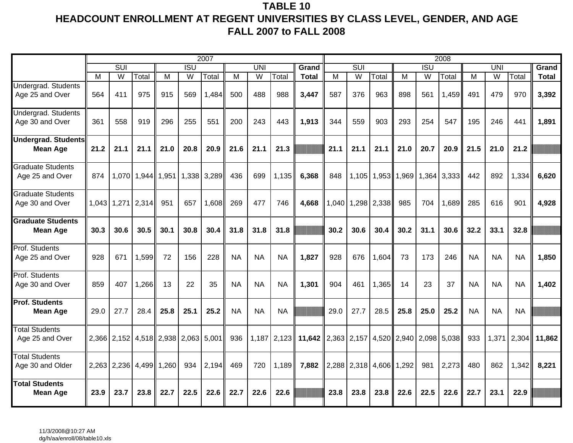# **TABLE 10 HEADCOUNT ENROLLMENT AT REGENT UNIVERSITIES BY CLASS LEVEL, GENDER, AND AGE FALL 2007 to FALL 2008**

|                                               |      |                         |                         |                                                 |            | 2007        |           |            |             |                                                                                           |       |                         |             |                       |                  | 2008        |           |            |             |              |
|-----------------------------------------------|------|-------------------------|-------------------------|-------------------------------------------------|------------|-------------|-----------|------------|-------------|-------------------------------------------------------------------------------------------|-------|-------------------------|-------------|-----------------------|------------------|-------------|-----------|------------|-------------|--------------|
|                                               |      | $\overline{\text{SUI}}$ |                         |                                                 | <b>ISU</b> |             |           | <b>UNI</b> |             | Grand                                                                                     |       | $\overline{\text{SUI}}$ |             |                       | $\overline{ISU}$ |             |           | <b>UNI</b> |             | Grand        |
|                                               | м    | W                       | Total                   | м                                               | W          | Total       | м         | W          | Total       | <b>Total</b>                                                                              | M     | $\overline{W}$          | Total       | м                     | W                | Total       | М         | W          | Total       | <b>Total</b> |
| Undergrad. Students<br>Age 25 and Over        | 564  | 411                     | 975                     | 915                                             | 569        | 1,484       | 500       | 488        | 988         | 3,447                                                                                     | 587   | 376                     | 963         | 898                   | 561              | 1,459       | 491       | 479        | 970         | 3,392        |
| Undergrad. Students<br>Age 30 and Over        | 361  | 558                     | 919                     | 296                                             | 255        | 551         | 200       | 243        | 443         | 1,913                                                                                     | 344   | 559                     | 903         | 293                   | 254              | 547         | 195       | 246        | 441         | 1,891        |
| <b>Undergrad. Students</b><br><b>Mean Age</b> | 21.2 | 21.1                    | 21.1                    | 21.0                                            | 20.8       | 20.9        | 21.6      | 21.1       | 21.3        |                                                                                           | 21.1  | 21.1                    | 21.1        | 21.0                  | 20.7             | 20.9        | 21.5      | 21.0       | 21.2        |              |
| <b>Graduate Students</b><br>Age 25 and Over   | 874  |                         | 1,070 1,944 1,951       |                                                 |            | 1,338 3,289 | 436       | 699        | 1,135       | 6,368                                                                                     | 848   |                         |             | 1,105   1,953   1,969 |                  | 1,364 3,333 | 442       | 892        | 1,334       | 6,620        |
| <b>Graduate Students</b><br>Age 30 and Over   |      |                         | $1,043$ 1,271 2,314     | 951                                             | 657        | 1,608       | 269       | 477        | 746         | 4,668                                                                                     | 1,040 |                         | 1,298 2,338 | 985                   | 704              | 1,689       | 285       | 616        | 901         | 4,928        |
| <b>Graduate Students</b><br><b>Mean Age</b>   | 30.3 | 30.6                    | 30.5                    | 30.1                                            | 30.8       | 30.4        | 31.8      | 31.8       | 31.8        |                                                                                           | 30.2  | 30.6                    | 30.4        | 30.2                  | 31.1             | 30.6        | 32.2      | 33.1       | 32.8        |              |
| Prof. Students<br>Age 25 and Over             | 928  | 671                     | 1,599                   | 72                                              | 156        | 228         | <b>NA</b> | <b>NA</b>  | <b>NA</b>   | 1,827                                                                                     | 928   | 676                     | 1,604       | 73                    | 173              | 246         | <b>NA</b> | <b>NA</b>  | <b>NA</b>   | 1,850        |
| Prof. Students<br>Age 30 and Over             | 859  | 407                     | 1,266                   | 13                                              | 22         | 35          | <b>NA</b> | <b>NA</b>  | <b>NA</b>   | 1,301                                                                                     | 904   | 461                     | 1,365       | 14                    | 23               | 37          | <b>NA</b> | <b>NA</b>  | <b>NA</b>   | 1,402        |
| <b>Prof. Students</b><br><b>Mean Age</b>      | 29.0 | 27.7                    | 28.4                    | 25.8                                            | 25.1       | 25.2        | <b>NA</b> | <b>NA</b>  | <b>NA</b>   |                                                                                           | 29.0  | 27.7                    | 28.5        | 25.8                  | 25.0             | 25.2        | <b>NA</b> | <b>NA</b>  | <b>NA</b>   |              |
| <b>Total Students</b><br>Age 25 and Over      |      |                         |                         | $2,366$ $2,152$ $4,518$ $2,938$ $2,063$ $5,001$ |            |             | 936       |            | 1,187 2,123 | 11,642 $\left  2,363 \right  2,157 \left  4,520 \right  2,940 \left  2,098 \right  5,038$ |       |                         |             |                       |                  |             | 933       |            | 1,371 2,304 | 11,862       |
| <b>Total Students</b><br>Age 30 and Older     |      |                         | 2,263 2,236 4,499 1,260 |                                                 | 934        | 2,194       | 469       | 720        | 1,189       | 7,882                                                                                     |       | 2,288 2,318 4,606       |             | 1,292                 | 981              | 2,273       | 480       | 862        | 1,342       | 8,221        |
| <b>Total Students</b><br><b>Mean Age</b>      | 23.9 | 23.7                    | 23.8                    | 22.7                                            | 22.5       | 22.6        | 22.7      | 22.6       | 22.6        |                                                                                           | 23.8  | 23.8                    | 23.8        | 22.6                  | 22.5             | 22.6        | 22.7      | 23.1       | 22.9        |              |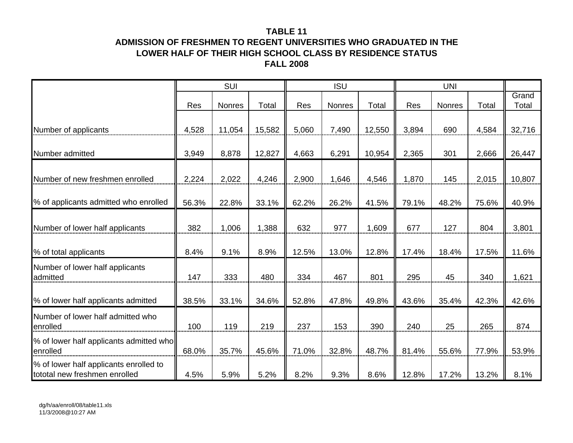### **TABLE 11**

### **ADMISSION OF FRESHMEN TO REGENT UNIVERSITIES WHO GRADUATED IN THE LOWER HALF OF THEIR HIGH SCHOOL CLASS BY RESIDENCE STATUS FALL 2008**

|                                                                         |       | SUI    |        |       | <b>ISU</b> |        |       | <b>UNI</b> |       |                |
|-------------------------------------------------------------------------|-------|--------|--------|-------|------------|--------|-------|------------|-------|----------------|
|                                                                         | Res   | Nonres | Total  | Res   | Nonres     | Total  | Res   | Nonres     | Total | Grand<br>Total |
| Number of applicants                                                    | 4,528 | 11,054 | 15,582 | 5,060 | 7,490      | 12,550 | 3,894 | 690        | 4,584 | 32,716         |
| Number admitted                                                         | 3,949 | 8,878  | 12,827 | 4,663 | 6,291      | 10,954 | 2,365 | 301        | 2,666 | 26,447         |
| Number of new freshmen enrolled                                         | 2,224 | 2,022  | 4,246  | 2,900 | 1,646      | 4,546  | 1,870 | 145        | 2,015 | 10,807         |
| % of applicants admitted who enrolled                                   | 56.3% | 22.8%  | 33.1%  | 62.2% | 26.2%      | 41.5%  | 79.1% | 48.2%      | 75.6% | 40.9%          |
| Number of lower half applicants                                         | 382   | 1,006  | 1,388  | 632   | 977        | 1,609  | 677   | 127        | 804   | 3,801          |
| % of total applicants                                                   | 8.4%  | 9.1%   | 8.9%   | 12.5% | 13.0%      | 12.8%  | 17.4% | 18.4%      | 17.5% | 11.6%          |
| Number of lower half applicants<br>admitted                             | 147   | 333    | 480    | 334   | 467        | 801    | 295   | 45         | 340   | 1,621          |
| % of lower half applicants admitted                                     | 38.5% | 33.1%  | 34.6%  | 52.8% | 47.8%      | 49.8%  | 43.6% | 35.4%      | 42.3% | 42.6%          |
| Number of lower half admitted who<br>enrolled                           | 100   | 119    | 219    | 237   | 153        | 390    | 240   | 25         | 265   | 874            |
| % of lower half applicants admitted who<br>enrolled                     | 68.0% | 35.7%  | 45.6%  | 71.0% | 32.8%      | 48.7%  | 81.4% | 55.6%      | 77.9% | 53.9%          |
| % of lower half applicants enrolled to<br>tototal new freshmen enrolled | 4.5%  | 5.9%   | 5.2%   | 8.2%  | 9.3%       | 8.6%   | 12.8% | 17.2%      | 13.2% | 8.1%           |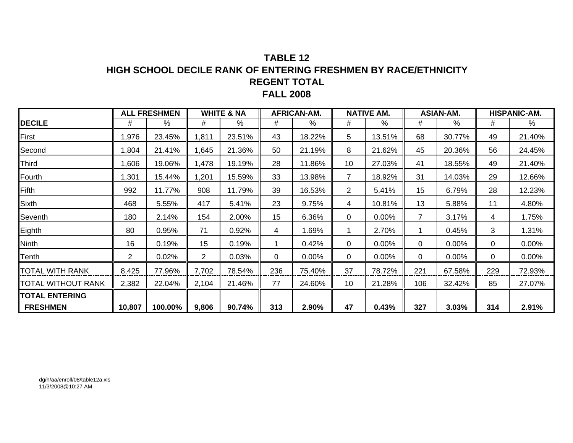# **TABLE 12HIGH SCHOOL DECILE RANK OF ENTERING FRESHMEN BY RACE/ETHNICITYREGENT TOTAL FALL 2008**

|                       |        | <b>ALL FRESHMEN</b> |                | <b>WHITE &amp; NA</b> |     | <b>AFRICAN-AM.</b> |                | <b>NATIVE AM.</b> |                | <b>ASIAN-AM.</b> |     | HISPANIC-AM. |
|-----------------------|--------|---------------------|----------------|-----------------------|-----|--------------------|----------------|-------------------|----------------|------------------|-----|--------------|
| <b>DECILE</b>         | #      | $\%$                | #              | $\frac{0}{0}$         | #   | $\%$               | #              | $\%$              | #              | %                | #   | %            |
| First                 | .976   | 23.45%              | 1,811          | 23.51%                | 43  | 18.22%             | 5              | 13.51%            | 68             | 30.77%           | 49  | 21.40%       |
| Second                | ,804   | 21.41%              | 645, ا         | 21.36%                | 50  | 21.19%             | 8              | 21.62%            | 45             | 20.36%           | 56  | 24.45%       |
| Third                 | ,606   | 19.06%              | 1,478          | 19.19%                | 28  | 11.86%             | 10             | 27.03%            | 41             | 18.55%           | 49  | 21.40%       |
| Fourth                | ,301   | 15.44%              | 1,201          | 15.59%                | 33  | 13.98%             | $\overline{7}$ | 18.92%            | 31             | 14.03%           | 29  | 12.66%       |
| Fifth                 | 992    | 11.77%              | 908            | 11.79%                | 39  | 16.53%             | $\overline{2}$ | 5.41%             | 15             | 6.79%            | 28  | 12.23%       |
| Sixth                 | 468    | 5.55%               | 417            | 5.41%                 | 23  | 9.75%              | 4              | 10.81%            | 13             | 5.88%            | 11  | 4.80%        |
| Seventh               | 180    | 2.14%               | 154            | 2.00%                 | 15  | 6.36%              | 0              | 0.00%             | $\overline{7}$ | 3.17%            | 4   | 1.75%        |
| Eighth                | 80     | 0.95%               | 71             | 0.92%                 | 4   | 1.69%              | 1              | 2.70%             | 1              | 0.45%            | 3   | 1.31%        |
| Ninth                 | 16     | 0.19%               | 15             | 0.19%                 |     | 0.42%              | 0              | 0.00%             | 0              | 0.00%            | 0   | $0.00\%$     |
| Tenth                 | 2      | 0.02%               | $\overline{2}$ | 0.03%                 | 0   | 0.00%              | 0              | 0.00%             | 0              | 0.00%            | 0   | 0.00%        |
| TOTAL WITH RANK       | 8,425  | 77.96%              | 7,702          | 78.54%                | 236 | 75.40%             | 37             | 78.72%            | 221            | 67.58%           | 229 | 72.93%       |
| TOTAL WITHOUT RANK    | 2,382  | 22.04%              | 2,104          | 21.46%                | 77  | 24.60%             | 10             | 21.28%            | 106            | 32.42%           | 85  | 27.07%       |
| <b>TOTAL ENTERING</b> |        |                     |                |                       |     |                    |                |                   |                |                  |     |              |
| <b>FRESHMEN</b>       | 10,807 | 100.00%             | 9,806          | 90.74%                | 313 | 2.90%              | 47             | 0.43%             | 327            | 3.03%            | 314 | 2.91%        |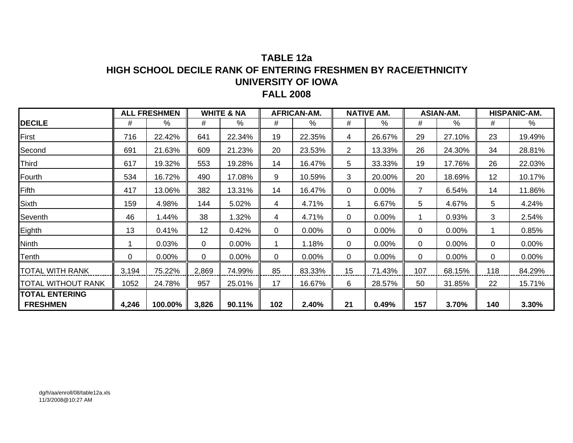# **TABLE 12aHIGH SCHOOL DECILE RANK OF ENTERING FRESHMEN BY RACE/ETHNICITYUNIVERSITY OF IOWA FALL 2008**

|                    |       | <b>ALL FRESHMEN</b> |          | <b>WHITE &amp; NA</b> |     | <b>AFRICAN-AM.</b> |                       | <b>NATIVE AM.</b> |                | <b>ASIAN-AM.</b> |     | HISPANIC-AM. |
|--------------------|-------|---------------------|----------|-----------------------|-----|--------------------|-----------------------|-------------------|----------------|------------------|-----|--------------|
| <b>DECILE</b>      | #     | $\frac{0}{0}$       | #        | %                     | #   | $\%$               | #                     | %                 | #              | $\%$             | #   | %            |
| First              | 716   | 22.42%              | 641      | 22.34%                | 19  | 22.35%             | 4                     | 26.67%            | 29             | 27.10%           | 23  | 19.49%       |
| Second             | 691   | 21.63%              | 609      | 21.23%                | 20  | 23.53%             | $\mathbf{2}^{\prime}$ | 13.33%            | 26             | 24.30%           | 34  | 28.81%       |
| Third              | 617   | 19.32%              | 553      | 19.28%                | 14  | 16.47%             | 5                     | 33.33%            | 19             | 17.76%           | 26  | 22.03%       |
| Fourth             | 534   | 16.72%              | 490      | 17.08%                | 9   | 10.59%             | 3                     | 20.00%            | 20             | 18.69%           | 12  | 10.17%       |
| Fifth              | 417   | 13.06%              | 382      | 13.31%                | 14  | 16.47%             | 0                     | 0.00%             | $\overline{7}$ | 6.54%            | 14  | 11.86%       |
| <b>Sixth</b>       | 159   | 4.98%               | 144      | 5.02%                 | 4   | 4.71%              |                       | 6.67%             | 5              | 4.67%            | 5   | 4.24%        |
| Seventh            | 46    | 1.44%               | 38       | .32%                  | 4   | 4.71%              | 0                     | $0.00\%$          |                | 0.93%            | 3   | 2.54%        |
| Eighth             | 13    | 0.41%               | 12       | 0.42%                 | 0   | 0.00%              | 0                     | 0.00%             | 0              | 0.00%            |     | 0.85%        |
| Ninth              |       | 0.03%               | $\Omega$ | $0.00\%$              |     | 1.18%              | 0                     | 0.00%             | 0              | $0.00\%$         | 0   | $0.00\%$     |
| Tenth              | 0     | 0.00%               | $\Omega$ | 0.00%                 | 0   | 0.00%              | 0                     | 0.00%             | 0              | 0.00%            | 0   | $0.00\%$     |
| TOTAL WITH RANK    | 3,194 | 75.22%              | 2,869    | 74.99%                | 85  | 83.33%             | 15                    | 71.43%            | 107            | 68.15%           | 118 | 84.29%       |
| TOTAL WITHOUT RANK | 1052  | 24.78%              | 957      | 25.01%                | 17  | 16.67%             | 6                     | 28.57%            | 50             | 31.85%           | 22  | 15.71%       |
| TOTAL ENTERING     |       |                     |          |                       |     |                    |                       |                   |                |                  |     |              |
| <b>FRESHMEN</b>    | 4,246 | 100.00%             | 3,826    | 90.11%                | 102 | 2.40%              | 21                    | 0.49%             | 157            | 3.70%            | 140 | 3.30%        |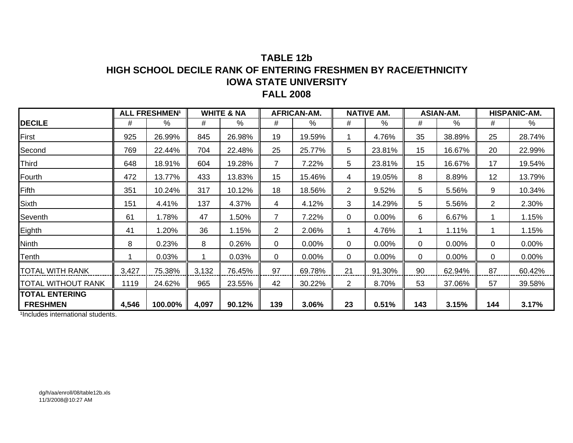## **TABLE 12bHIGH SCHOOL DECILE RANK OF ENTERING FRESHMEN BY RACE/ETHNICITY IOWA STATE UNIVERSITY FALL 2008**

|                           |       | <b>ALL FRESHMEN<sup>1</sup></b> |       | <b>WHITE &amp; NA</b> |                | AFRICAN-AM. |                | <b>NATIVE AM.</b> |     | <b>ASIAN-AM.</b> |                | HISPANIC-AM. |
|---------------------------|-------|---------------------------------|-------|-----------------------|----------------|-------------|----------------|-------------------|-----|------------------|----------------|--------------|
| <b>DECILE</b>             | #     | %                               | #     | %                     | #              | %           | #              | %                 | #   | $\%$             | #              | %            |
| First                     | 925   | 26.99%                          | 845   | 26.98%                | 19             | 19.59%      |                | 4.76%             | 35  | 38.89%           | 25             | 28.74%       |
| Second                    | 769   | 22.44%                          | 704   | 22.48%                | 25             | 25.77%      | 5              | 23.81%            | 15  | 16.67%           | 20             | 22.99%       |
| Third                     | 648   | 18.91%                          | 604   | 19.28%                | $\overline{7}$ | 7.22%       | 5              | 23.81%            | 15  | 16.67%           | 17             | 19.54%       |
| Fourth                    | 472   | 13.77%                          | 433   | 13.83%                | 15             | 15.46%      | 4              | 19.05%            | 8   | 8.89%            | 12             | 13.79%       |
| Fifth                     | 351   | 10.24%                          | 317   | 10.12%                | 18             | 18.56%      | $\overline{2}$ | 9.52%             | 5   | 5.56%            | 9              | 10.34%       |
| <b>Sixth</b>              | 151   | 4.41%                           | 137   | 4.37%                 | 4              | 4.12%       | 3              | 14.29%            | 5   | 5.56%            | $\overline{2}$ | 2.30%        |
| Seventh                   | 61    | 1.78%                           | 47    | 1.50%                 | $\overline{7}$ | 7.22%       | 0              | 0.00%             | 6   | 6.67%            |                | 1.15%        |
| Eighth                    | 41    | 1.20%                           | 36    | 1.15%                 | $\overline{2}$ | 2.06%       | 1.             | 4.76%             | 1   | 1.11%            | 1              | 1.15%        |
| <b>Ninth</b>              | 8     | 0.23%                           | 8     | 0.26%                 | 0              | 0.00%       | 0              | 0.00%             | 0   | $0.00\%$         | 0              | $0.00\%$     |
| Tenth                     |       | 0.03%                           | 1.    | 0.03%                 | 0              | $0.00\%$    | 0              | 0.00%             | 0   | 0.00%            | 0              | 0.00%        |
| <b>TOTAL WITH RANK</b>    | 3,427 | 75.38%                          | 3,132 | 76.45%                | 97             | 69.78%      | 21             | 91.30%            | 90  | 62.94%           | 87             | 60.42%       |
| <b>TOTAL WITHOUT RANK</b> | 1119  | 24.62%                          | 965   | 23.55%                | 42             | 30.22%      | $\overline{2}$ | 8.70%             | 53  | 37.06%           | 57             | 39.58%       |
| <b>TOTAL ENTERING</b>     |       |                                 |       |                       |                |             |                |                   |     |                  |                |              |
| <b>FRESHMEN</b>           | 4,546 | 100.00%                         | 4,097 | 90.12%                | 139            | 3.06%       | 23             | 0.51%             | 143 | 3.15%            | 144            | 3.17%        |

<sup>1</sup>Includes international students.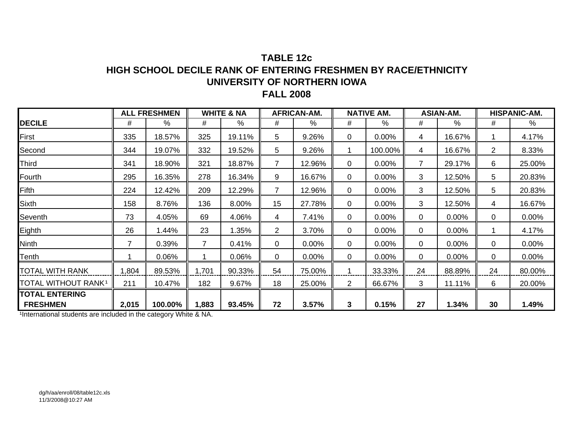## **TABLE 12cHIGH SCHOOL DECILE RANK OF ENTERING FRESHMEN BY RACE/ETHNICITY UNIVERSITY OF NORTHERN IOWA FALL 2008**

|                                 |                | <b>ALL FRESHMEN</b> |                | <b>WHITE &amp; NA</b> |                | AFRICAN-AM. |                | <b>NATIVE AM.</b> |                | <b>ASIAN-AM.</b> |                | <b>HISPANIC-AM.</b> |
|---------------------------------|----------------|---------------------|----------------|-----------------------|----------------|-------------|----------------|-------------------|----------------|------------------|----------------|---------------------|
| <b>DECILE</b>                   | #              | %                   | #              | %                     | #              | %           | #              | $\%$              | #              | $\%$             | #              | %                   |
| First                           | 335            | 18.57%              | 325            | 19.11%                | 5              | 9.26%       | 0              | 0.00%             | 4              | 16.67%           |                | 4.17%               |
| Second                          | 344            | 19.07%              | 332            | 19.52%                | 5              | 9.26%       | 1              | 100.00%           | 4              | 16.67%           | $\overline{2}$ | 8.33%               |
| Third                           | 341            | 18.90%              | 321            | 18.87%                | 7              | 12.96%      | 0              | $0.00\%$          | $\overline{7}$ | 29.17%           | 6              | 25.00%              |
| Fourth                          | 295            | 16.35%              | 278            | 16.34%                | 9              | 16.67%      | 0              | $0.00\%$          | 3              | 12.50%           | 5              | 20.83%              |
| Fifth                           | 224            | 12.42%              | 209            | 12.29%                | $\overline{7}$ | 12.96%      | 0              | 0.00%             | 3              | 12.50%           | 5              | 20.83%              |
| Sixth                           | 158            | 8.76%               | 136            | 8.00%                 | 15             | 27.78%      | 0              | 0.00%             | 3              | 12.50%           | 4              | 16.67%              |
| Seventh                         | 73             | 4.05%               | 69             | 4.06%                 | 4              | 7.41%       | 0              | 0.00%             | 0              | 0.00%            | 0              | 0.00%               |
| Eighth                          | 26             | 1.44%               | 23             | 1.35%                 | $\overline{2}$ | 3.70%       | 0              | 0.00%             | 0              | 0.00%            |                | 4.17%               |
| Ninth                           | $\overline{7}$ | 0.39%               | $\overline{7}$ | 0.41%                 | 0              | 0.00%       | 0              | 0.00%             | 0              | 0.00%            | 0              | 0.00%               |
| Tenth                           |                | 0.06%               |                | 0.06%                 | 0              | 0.00%       | 0              | 0.00%             | 0              | 0.00%            | 0              | 0.00%               |
| TOTAL WITH RANK                 | 1,804          | 89.53%              | 1,701          | 90.33%                | 54             | 75.00%      |                | 33.33%            | 24             | 88.89%           | 24             | 80.00%              |
| TOTAL WITHOUT RANK <sup>1</sup> | 211            | 10.47%              | 182            | 9.67%                 | 18             | 25.00%      | $\overline{2}$ | 66.67%            | 3              | 11.11%           | 6              | 20.00%              |
| <b>TOTAL ENTERING</b>           |                |                     |                |                       |                |             |                |                   |                |                  |                |                     |
| <b>FRESHMEN</b>                 | 2,015          | 100.00%             | 1,883          | 93.45%                | 72             | 3.57%       | 3              | 0.15%             | 27             | 1.34%            | 30             | 1.49%               |

1International students are included in the category White & NA.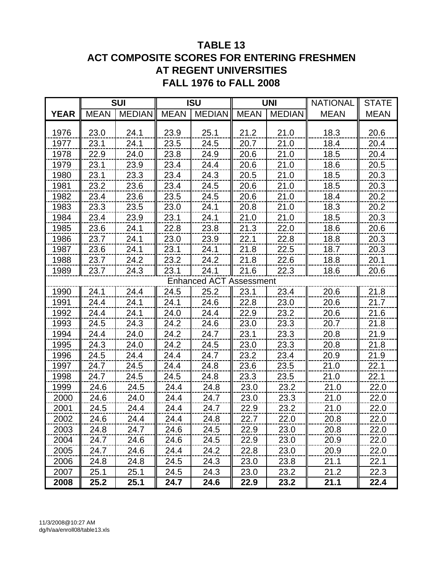# **TABLE 13 ACT COMPOSITE SCORES FOR ENTERING FRESHMEN AT REGENT UNIVERSITIES FALL 1976 to FALL 2008**

|             |             | <b>SUI</b>    |             | <b>ISU</b>                     |             | <b>UNI</b>    | <b>NATIONAL</b> | <b>STATE</b> |
|-------------|-------------|---------------|-------------|--------------------------------|-------------|---------------|-----------------|--------------|
| <b>YEAR</b> | <b>MEAN</b> | <b>MEDIAN</b> | <b>MEAN</b> | <b>MEDIAN</b>                  | <b>MEAN</b> | <b>MEDIAN</b> | <b>MEAN</b>     | <b>MEAN</b>  |
|             |             |               |             |                                |             |               |                 |              |
| 1976        | 23.0        | 24.1          | 23.9        | 25.1                           | 21.2        | 21.0          | 18.3            | 20.6         |
| 1977        | 23.1        | 24.1          | 23.5        | 24.5                           | 20.7        | 21.0          | 18.4            | 20.4         |
| 1978        | 22.9        | 24.0          | 23.8        | 24.9                           | 20.6        | 21.0          | 18.5            | 20.4         |
| 1979        | 23.1        | 23.9          | 23.4        | 24.4                           | 20.6        | 21.0          | 18.6            | 20.5         |
| 1980        | 23.1        | 23.3          | 23.4        | 24.3                           | 20.5        | 21.0          | 18.5            | 20.3         |
| 1981        | 23.2        | 23.6          | 23.4        | 24.5                           | 20.6        | 21.0          | 18.5            | 20.3         |
| 1982        | 23.4        | 23.6          | 23.5        | 24.5                           | 20.6        | 21.0          | 18.4            | 20.2         |
| 1983        | 23.3        | 23.5          | 23.0        | 24.1                           | 20.8        | 21.0          | 18.3            | 20.2         |
| 1984        | 23.4        | 23.9          | 23.1        | 24.1                           | 21.0        | 21.0          | 18.5            | 20.3         |
| 1985        | 23.6        | 24.1          | 22.8        | 23.8                           | 21.3        | 22.0          | 18.6            | 20.6         |
| 1986        | 23.7        | 24.1          | 23.0        | 23.9                           | 22.1        | 22.8          | 18.8            | 20.3         |
| 1987        | 23.6        | 24.1          | 23.1        | 24.1                           | 21.8        | 22.5          | 18.7            | 20.3         |
| 1988        | 23.7        | 24.2          | 23.2        | 24.2                           | 21.8        | 22.6          | 18.8            | 20.1         |
| 1989        | 23.7        | 24.3          | 23.1        | 24.1                           | 21.6        | 22.3          | 18.6            | 20.6         |
|             |             |               |             | <b>Enhanced ACT Assessment</b> |             |               |                 |              |
| 1990        | 24.1        | 24.4          | 24.5        | 25.2                           | 23.1        | 23.4          | 20.6            | 21.8         |
| 1991        | 24.4        | 24.1          | 24.1        | 24.6                           | 22.8        | 23.0          | 20.6            | 21.7         |
| 1992        | 24.4        | 24.1          | 24.0        | 24.4                           | 22.9        | 23.2          | 20.6            | 21.6         |
| 1993        | 24.5        | 24.3          | 24.2        | 24.6                           | 23.0        | 23.3          | 20.7            | 21.8         |
| 1994        | 24.4        | 24.0          | 24.2        | 24.7                           | 23.1        | 23.3          | 20.8            | 21.9         |
| 1995        | 24.3        | 24.0          | 24.2        | 24.5                           | 23.0        | 23.3          | 20.8            | 21.8         |
| 1996        | 24.5        | 24.4          | 24.4        | 24.7                           | 23.2        | 23.4          | 20.9            | 21.9         |
| 1997        | 24.7        | 24.5          | 24.4        | 24.8                           | 23.6        | 23.5          | 21.0            | 22.1         |
| 1998        | 24.7        | 24.5          | 24.5        | 24.8                           | 23.3        | 23.5          | 21.0            | 22.1         |
| 1999        | 24.6        | 24.5          | 24.4        | 24.8                           | 23.0        | 23.2          | 21.0            | 22.0         |
| 2000        | 24.6        | 24.0          | 24.4        | 24.7                           | 23.0        | 23.3          | 21.0            | 22.0         |
| 2001        | 24.5        | 24.4          | 24.4        | 24.7                           | 22.9        | 23.2          | 21.0            | 22.0         |
| 2002        | 24.6        | 24.4          | 24.4        | 24.8                           | 22.7        | 22.0          | 20.8            | 22.0         |
| 2003        | 24.8        | 24.7          | 24.6        | 24.5                           | 22.9        | 23.0          | 20.8            | 22.0         |
| 2004        | 24.7        | 24.6          | 24.6        | 24.5                           | 22.9        | 23.0          | 20.9            | 22.0         |
| 2005        | 24.7        | 24.6          | 24.4        | 24.2                           | 22.8        | 23.0          | 20.9            | 22.0         |
| 2006        | 24.8        | 24.8          | 24.5        | 24.3                           | 23.0        | 23.8          | 21.1            | 22.1         |
| 2007        | 25.1        | 25.1          | 24.5        | 24.3                           | 23.0        | 23.2          | 21.2            | 22.3         |
| 2008        | 25.2        | 25.1          | 24.7        | 24.6                           | 22.9        | 23.2          | 21.1            | 22.4         |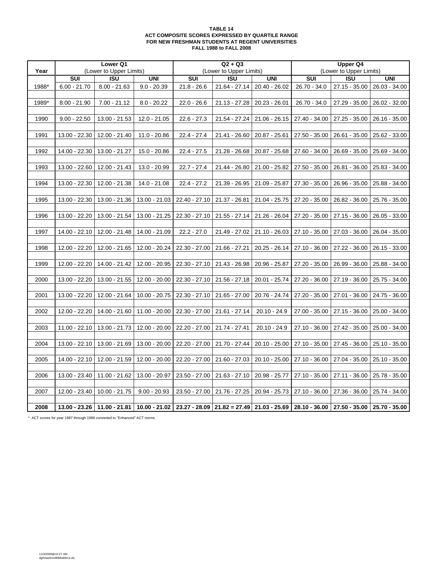#### **TABLE 14 ACT COMPOSITE SCORES EXPRESSED BY QUARTILE RANGE FOR NEW FRESHMAN STUDENTS AT REGENT UNIVERSITIES FALL 1988 to FALL 2008**

|       |                 | Lower Q1                  |                 |                         | $Q2 + Q3$               |                                                                                                                   |                 | <b>Upper Q4</b>               |                 |
|-------|-----------------|---------------------------|-----------------|-------------------------|-------------------------|-------------------------------------------------------------------------------------------------------------------|-----------------|-------------------------------|-----------------|
| Year  |                 | (Lower to Upper Limits)   |                 |                         | (Lower to Upper Limits) |                                                                                                                   |                 | (Lower to Upper Limits)       |                 |
|       | <b>SUI</b>      | $\overline{\mathsf{ISU}}$ | <b>UNI</b>      | $\overline{\text{SUI}}$ | $\overline{150}$        | <b>UNI</b>                                                                                                        | SUI             | $\overline{\mathsf{ISU}}$     | <b>UNI</b>      |
| 1988* | $6.00 - 21.70$  | $8.00 - 21.63$            | $9.0 - 20.39$   | $21.8 - 26.6$           | 21.64 - 27.14           | 20.40 - 26.02                                                                                                     | 26.70 - 34.0    | 27.15 - 35.00                 | $26.03 - 34.00$ |
|       |                 |                           |                 |                         |                         |                                                                                                                   |                 |                               |                 |
| 1989* | $8.00 - 21.90$  | $7.00 - 21.12$            | $8.0 - 20.22$   | $22.0 - 26.6$           | 21.13 - 27.28           | $20.23 - 26.01$                                                                                                   | 26.70 - 34.0    | 27.29 - 35.00                 | 26.02 - 32.00   |
|       |                 |                           |                 |                         |                         |                                                                                                                   |                 |                               |                 |
| 1990  | $9.00 - 22.50$  | 13.00 - 21.53             | $12.0 - 21.05$  | $22.6 - 27.3$           | 21.54 - 27.24           | $21.06 - 26.15$                                                                                                   | 27.40 - 34.00   | 27.25 - 35.00                 | 26.16 - 35.00   |
|       |                 |                           |                 |                         |                         |                                                                                                                   |                 |                               |                 |
| 1991  | 13.00 - 22.30   | 12.00 - 21.40             | 11.0 - 20.86    | $22.4 - 27.4$           | 21.41 - 26.60           | 20.87 - 25.61                                                                                                     | 27.50 - 35.00   | 26.61 - 35.00                 | 25.62 - 33.00   |
|       |                 |                           |                 |                         |                         |                                                                                                                   |                 |                               |                 |
| 1992  | 14.00 - 22.30   | 13.00 - 21.27             | 15.0 - 20.86    | $22.4 - 27.5$           | 21.28 - 26.68           | 20.87 - 25.68                                                                                                     |                 | 27.60 - 34.00   26.69 - 35.00 | 25.69 - 34.00   |
|       |                 |                           |                 |                         |                         |                                                                                                                   |                 |                               |                 |
| 1993  | 13.00 - 22.60   | 12.00 - 21.43             | 13.0 - 20.99    | $22.7 - 27.4$           | 21.44 - 26.80           | 21.00 - 25.82                                                                                                     | 27.50 - 35.00   | 26.81 - 36.00                 | 25.83 - 34.00   |
|       |                 |                           |                 |                         |                         |                                                                                                                   |                 |                               |                 |
| 1994  | 13.00 - 22.30   | 12.00 - 21.38             | 14.0 - 21.08    | $22.4 - 27.2$           | 21.39 - 26.95           | 21.09 - 25.87                                                                                                     | $27.30 - 35.00$ | 26.96 - 35.00                 | 25.88 - 34.00   |
|       |                 |                           |                 |                         |                         |                                                                                                                   |                 |                               |                 |
| 1995  | 13.00 - 22.30   | 13.00 - 21.36             | 13.00 - 21.03   | 22.40 - 27.10           | 21.37 - 26.81           | 21.04 - 25.75                                                                                                     | 27.20 - 35.00   | 26.82 - 36.00                 | 25.76 - 35.00   |
|       |                 |                           |                 |                         |                         |                                                                                                                   |                 |                               |                 |
| 1996  | 13.00 - 22.20   | 13.00 - 21.54             | 13.00 - 21.25   | 22.30 - 27.10           | $21.55 - 27.14$         | 21.26 - 26.04                                                                                                     |                 | 27.20 - 35.00   27.15 - 36.00 | 26.05 - 33.00   |
|       |                 |                           |                 |                         |                         |                                                                                                                   |                 |                               |                 |
|       |                 |                           |                 |                         |                         |                                                                                                                   |                 |                               |                 |
| 1997  | 14.00 - 22.10   | 12.00 - 21.48             | 14.00 - 21.09   | $22.2 - 27.0$           | 21.49 - 27.02           | 21.10 - 26.03                                                                                                     | 27.10 - 35.00   | 27.03 - 36.00                 | 26.04 - 35.00   |
|       |                 |                           |                 |                         |                         |                                                                                                                   |                 |                               |                 |
| 1998  | 12.00 - 22.20   | 12.00 - 21.65             | 12.00 - 20.24   | 22.30 - 27.00           | 21.66 - 27.21           | $20.25 - 26.14$                                                                                                   |                 | 27.10 - 36.00   27.22 - 36.00 | $26.15 - 33.00$ |
|       |                 |                           |                 |                         |                         |                                                                                                                   |                 |                               |                 |
| 1999  | 12.00 - 22.20   | 14.00 - 21.42             | 12.00 - 20.95   | 22.30 - 27.10           | 21.43 - 26.98           | 20.96 - 25.87                                                                                                     | 27.20 - 35.00   | 26.99 - 36.00                 | 25.88 - 34.00   |
|       |                 |                           |                 |                         |                         |                                                                                                                   |                 |                               |                 |
| 2000  | 13.00 - 22.20   | 13.00 - 21.55             | $12.00 - 20.00$ | 22.30 - 27.10           | 21.56 - 27.18           | $20.01 - 25.74$                                                                                                   | 27.20 - 36.00   | $27.19 - 36.00$               | 25.75 - 34.00   |
|       |                 |                           |                 |                         |                         |                                                                                                                   |                 |                               |                 |
| 2001  | 13.00 - 22.20   | 12.00 - 21.64             | 10.00 - 20.75   | 22.30 - 27.10           | 21.65 - 27.00           | 20.76 - 24.74                                                                                                     |                 | 27.20 - 35.00   27.01 - 36.00 | 24.75 - 36.00   |
|       |                 |                           |                 |                         |                         |                                                                                                                   |                 |                               |                 |
| 2002  | 12.00 - 22.20   | 14.00 - 21.60             | 11.00 - 20.00   | 22.30 - 27.00           | 21.61 - 27.14           | 20.10 - 24.9                                                                                                      |                 | 27.00 - 35.00   27.15 - 36.00 | 25.00 - 34.00   |
|       |                 |                           |                 |                         |                         |                                                                                                                   |                 |                               |                 |
| 2003  | $11.00 - 22.10$ | 13.00 - 21.73             | 12.00 - 20.00   | $22.20 - 27.00$         | 21.74 - 27.41           | $20.10 - 24.9$                                                                                                    |                 | 27.10 - 36.00   27.42 - 35.00 | 25.00 - 34.00   |
|       |                 |                           |                 |                         |                         |                                                                                                                   |                 |                               |                 |
| 2004  | 13.00 - 22.10   | 13.00 - 21.69             | 13.00 - 20.00   | 22.20 - 27.00           | 21.70 - 27.44           | $20.10 - 25.00$                                                                                                   | 27.10 - 35.00   | 27.45 - 36.00                 | $25.10 - 35.00$ |
|       |                 |                           |                 |                         |                         |                                                                                                                   |                 |                               |                 |
| 2005  | 14.00 - 22.10   | 12.00 - 21.59             | 12.00 - 20.00   | 22.20 - 27.00           | 21.60 - 27.03           | $20.10 - 25.00$                                                                                                   | 27.10 - 36.00   | 27.04 - 35.00                 | $25.10 - 35.00$ |
|       |                 |                           |                 |                         |                         |                                                                                                                   |                 |                               |                 |
| 2006  | 13.00 - 23.40   | 11.00 - 21.62             | 13.00 - 20.97   | 23.50 - 27.00           | 21.63 - 27.10           | 20.98 - 25.77                                                                                                     | 27.10 - 35.00   | 27.11 - 36.00                 | 25.78 - 35.00   |
|       |                 |                           |                 |                         |                         |                                                                                                                   |                 |                               |                 |
| 2007  | 12.00 - 23.40   | $10.00 - 21.75$           | $9.00 - 20.93$  | $23.50 - 27.00$         | 21.76 - 27.25           | 20.94 - 25.73                                                                                                     | $27.10 - 36.00$ | $27.36 - 36.00$               | 25.74 - 34.00   |
|       |                 |                           |                 |                         |                         |                                                                                                                   |                 |                               |                 |
| 2008  |                 |                           |                 |                         |                         | $13.00 - 23.26$ 11.00 - 21.81 10.00 - 21.02 23.27 - 28.09 21.82 = 27.49 21.03 - 25.69 28.10 - 36.00 27.50 - 35.00 |                 |                               | 25.70 - 35.00   |

\* ACT scores for year 1987 through 1989 converted to "Enhanced" ACT norms.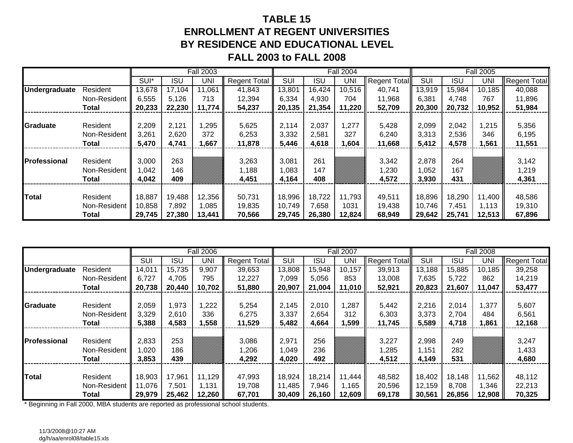# **TABLE 15ENROLLMENT AT REGENT UNIVERSITIESBY RESIDENCE AND EDUCATIONAL LEVEL FALL 2003 to FALL 2008**

|                      |              |        |            | <b>Fall 2003</b> |                     |        |            | <b>Fall 2004</b> |                     |        |            | <b>Fall 2005</b> |                     |
|----------------------|--------------|--------|------------|------------------|---------------------|--------|------------|------------------|---------------------|--------|------------|------------------|---------------------|
|                      |              | SUI*   | <b>ISU</b> | UNI              | <b>Regent Total</b> | SUI    | <b>ISU</b> | UNI              | <b>Regent Total</b> | SUI    | <b>ISU</b> | UNI              | <b>Regent Total</b> |
| <b>Undergraduate</b> | Resident     | 13,678 | 17,104     | 11,061           | 41,843              | 13,801 | 16,424     | 10,516           | 40,741              | 13,919 | 15,984     | 10,185           | 40,088              |
|                      | Non-Resident | 6,555  | 5,126      | 713              | 12,394              | 6,334  | 4,930      | 704              | 11,968              | 6,381  | 4,748      | 767              | 11,896              |
|                      | Total        | 20,233 | 22,230     | 11,774           | 54,237              | 20,135 | 21,354     | 11,220           | 52,709              | 20,300 | 20.732     | 10,952           | 51,984              |
|                      |              |        |            |                  |                     |        |            |                  |                     |        |            |                  |                     |
| Graduate             | Resident     | 2,209  | 2,121      | ,295             | 5,625               | 2,114  | 2,037      | ,277             | 5,428               | 2,099  | 2,042      | 1,215            | 5,356               |
|                      | Non-Resident | 3,261  | 2,620      | 372              | 6,253               | 3,332  | 2,581      | 327              | 6,240               | 3,313  | 2,536      | 346              | 6,195               |
|                      | Total        | 5,470  | 4,741      | ,667             | 11,878              | 5,446  | 4,618      | 1,604            | 11,668              | 5,412  | 4,578      | 561,ا            | 11,551              |
|                      |              |        |            |                  |                     |        |            |                  |                     |        |            |                  |                     |
| <b>Professional</b>  | Resident     | 3,000  | 263        |                  | 3,263               | 3,081  | 261        |                  | 3,342               | 2,878  | 264        |                  | 3,142               |
|                      | Non-Resident | 1,042  | 146        |                  | 1,188               | 083, ا | 147        |                  | 1,230               | ,052   | 167        |                  | 1,219               |
|                      | <b>Total</b> | 4,042  | 409        |                  | 4,451               | 4,164  | 408        |                  | 4,572               | 3,930  | 431        |                  | 4,361               |
|                      |              |        |            |                  |                     |        |            |                  |                     |        |            |                  |                     |
| <b>Total</b>         | Resident     | 18,887 | 19,488     | 12,356           | 50,731              | 18,996 | 18,722     | 11,793           | 49,511              | 18,896 | 18,290     | 11,400           | 48,586              |
|                      | Non-Resident | 10,858 | 7,892      | 1,085            | 19,835              | 10,749 | 7,658      | 1031             | 19,438              | 10,746 | 7,451      | 1,113            | 19,310              |
|                      | Total        | 29,745 | 27,380     | 13,441           | 70,566              | 29,745 | 26,380     | 12,824           | 68,949              | 29,642 | 25,741     | 12,513           | 67,896              |

|                     |                                          |                            |                           | <b>Fall 2006</b>          |                            |                            |                           | <b>Fall 2007</b>          |                            |                            |                           | <b>Fall 2008</b>          |                            |
|---------------------|------------------------------------------|----------------------------|---------------------------|---------------------------|----------------------------|----------------------------|---------------------------|---------------------------|----------------------------|----------------------------|---------------------------|---------------------------|----------------------------|
|                     |                                          | SUI                        | <b>ISU</b>                | UNI                       | <b>Regent Total</b>        | SUI                        | <b>ISU</b>                | UNI                       | Regent Total               | <b>SUI</b>                 | ISU                       | UNI                       | <b>Regent Total</b>        |
| Undergraduate       | Resident                                 | 14,011                     | 15,735                    | 9,907                     | 39,653                     | 13,808                     | 15,948                    | 10,157                    | 39,913                     | 13,188                     | 15,885                    | 10,185                    | 39,258                     |
|                     | Non-Resident                             | 6,727                      | 4,705                     | 795                       | 12,227                     | 7,099                      | 5,056                     | 853                       | 13,008                     | 7,635                      | 5,722                     | 862                       | 14,219                     |
|                     | <b>Total</b>                             | 20,738                     | 20,440                    | 10,702                    | 51,880                     | 20,907                     | 21,004                    | 11,010                    | 52,921                     | 20,823                     | 21,607                    | 11.047                    | 53,477                     |
|                     |                                          |                            |                           |                           |                            |                            |                           |                           |                            |                            |                           |                           |                            |
| <b>Graduate</b>     | Resident                                 | 2,059                      | 1,973                     | ,222                      | 5,254                      | 2,145                      | 2,010                     | ,287                      | 5,442                      | 2,216                      | 2,014                     | 1,377                     | 5,607                      |
|                     | Non-Resident                             | 3,329                      | 2,610                     | 336                       | 6,275                      | 3,337                      | 2,654                     | 312                       | 6,303                      | 3,373                      | 2,704                     | 484                       | 6,561                      |
|                     | Total                                    | 5,388                      | 4,583                     | 1,558                     | 11,529                     | 5,482                      | 4,664                     | ,599                      | 11,745                     | 5,589                      | 4,718                     | 1,861                     | 12,168                     |
| <b>Professional</b> | Resident<br>Non-Resident<br><b>Total</b> | 2,833<br>1,020<br>3,853    | 253<br>186<br>439         |                           | 3,086<br>1,206<br>4,292    | 2,971<br>1,049<br>4,020    | 256<br>236<br>492         |                           | 3,227<br>1,285<br>4,512    | 2,998<br>1,151<br>4,149    | 249<br>282<br>531         |                           | 3,247<br>1,433<br>4,680    |
| <b>Total</b>        | Resident<br>Non-Resident<br><b>Total</b> | 18,903<br>11,076<br>29,979 | 17,961<br>7,501<br>25,462 | 11,129<br>1,131<br>12,260 | 47,993<br>19,708<br>67,701 | 18,924<br>11,485<br>30,409 | 18,214<br>7,946<br>26,160 | 11,444<br>1,165<br>12,609 | 48,582<br>20,596<br>69,178 | 18,402<br>12,159<br>30,561 | 18,148<br>8,708<br>26,856 | 11,562<br>1,346<br>12,908 | 48,112<br>22,213<br>70,325 |

\* Beginning in Fall 2000, MBA students are reported as professional school students.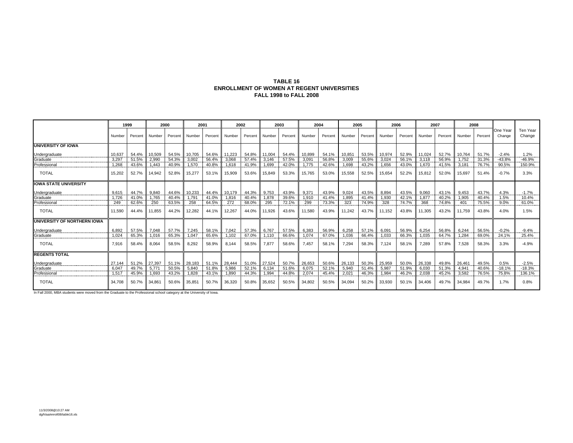#### **TABLE 16 ENROLLMENT OF WOMEN AT REGENT UNIVERSITIES FALL 1998 to FALL 2008**

|                              |                 | 1999      |        | 2000               | 2001   |         | 2002   |              |                 | 2003    |        | 2004    | 2005   |         |        | 2006    |        | 2007    |        | 2008    |                    |                       |
|------------------------------|-----------------|-----------|--------|--------------------|--------|---------|--------|--------------|-----------------|---------|--------|---------|--------|---------|--------|---------|--------|---------|--------|---------|--------------------|-----------------------|
|                              | Number          | Percent   | Number | Percent            | Number | Percent | Number | Percent      | <b>I</b> Number | Percent | Number | Percent | Number | Percent | Number | Percent | Number | Percent | Number | Percent | One Year<br>Change | Ten Year<br>Change    |
| <b>UNIVERSITY OF IOWA</b>    |                 |           |        |                    |        |         |        |              |                 |         |        |         |        |         |        |         |        |         |        |         |                    |                       |
| Undergraduate                | 10.637          | 54.4%     | 10.509 | 54.5%              | 10.705 | 54.6%   | 11.223 | 54.8% 11,004 |                 | 54.4%   | 10,899 | 54.1%   | 10,851 | 53.5%   | 10,974 | 52.9%   | 11,024 | 52.7%   | 10.764 | 51.7%   | $-2.4%$            | 1.2%                  |
| Graduate                     | 3.297           | 51.5%     | 2.990  | 54.3%              | 3.002  | 56.4%   | 3.068  | 57.4%        | 3.146           | 57.5%   | 3,091  | 56.8%   | 3,009  | 55.6%   | 3.024  | 56.1%   | 3.118  | 56.9%   | 1.752  | 31.3%   | $-43.8%$           | $-46.9%$              |
| Professional                 | 1,268           | 43.6%     | 1.443  | 40.9%              | 1.570  | 40.8%   | 1.618  | 41.9%        | 1.699           | 42.0%   | 1.775  | 42.6%   | 1.698  | 43.2%   | 1.656  | 43.0%   | 1.670  | 41.5%   | 3.181  | 76.7%   | 90.5%              | 150.9%                |
| <b>TOTAL</b>                 | 15.202          | 52.7%     | 14,942 | 52.8%              | 15,277 | 53.1%   | 15,909 | 53.6%        | 15.849          | 53.3%   | 15,765 | 53.0%   | 15,558 | 52.5%   | 15,654 | 52.2%   | 15,812 | 52.0%   | 15.697 | 51.4%   | $-0.7%$            | 3.3%                  |
| <b>IOWA STATE UNIVERSITY</b> |                 |           |        |                    |        |         |        |              |                 |         |        |         |        |         |        |         |        |         |        |         |                    |                       |
| Undergraduate                | 9.615           | 44.7%     | 9.840  | 44.6%              | 10.233 | 44.4%   | 10.179 | 44.3%        | 9.753           | 43.9%   | 9.371  | 43.9%   | 9.024  | 43.5%   | 8.894  | 43.5%   | 9.060  | 43.1%   | 9.453  | 43.7%   | 4.3%               | $-1.7%$               |
| Graduate                     | 1.726<br>------ | 41.0%<br> | 1.765  | 40.4%<br>--------- | 1.791  | 41.0%   | 1.816  | 40.4%        | 1.878           | 39.6%   | 1.910  | 41.4%   | 1.895  | 41.4%   | 1.930  | 42.1%   | 1.877  | 40.2%   | 1.905  | 40.4%   | 1.5%               | 10.4%<br>------------ |
| Professional                 | 249             | 62.6%     | 250    | 63.5%              | 258    | 64.5%   | 272    | 68.0%        | 295             | 72.1%   | 299    | 73.3%   | 323    | 74.9%   | 328    | 74.7%   | 368    | 74.8%   | 401    | 75.5%   | 9.0%               | 61.0%                 |
| <b>TOTAL</b>                 | 11.590          | 44.4%     | 11.855 | 44.2%              | 12,282 | 44.1%   | 12,267 | 44.0%        | 11.926          | 43.6%   | 11,580 | 43.9%   | 11,242 | 43.7%   | 11.152 | 43.8%   | 11.305 | 43.2%   | 11.759 | 43.8%   | 4.0%               | 1.5%                  |
| UNIVERSITY OF NORTHERN IOWA  |                 |           |        |                    |        |         |        |              |                 |         |        |         |        |         |        |         |        |         |        |         |                    |                       |
| Undergraduate                | 6.892           | 57.5%     | 7,048  | 57.7%              | 7,245  | 58.1%   | 7,042  | 57.3%        | 6,767           | 57.5%   | 6,383  | 56.9%   | 6,258  | 57.1%   | 6,091  | 56.9%   | 6,254  | 56.8%   | 6.244  | 56.5%   | $-0.2%$            | $-9.4%$               |
| Graduate                     | 1,024           | 65.3%     | 1.016  | 65.3%<br>--------- | 1.047  | 65.6%   | 1.102  | 67.0%        | 1.110           | 66.6%   | 1,074  | 67.0%   | 1.036  | 66.4%   | 1,033  | 66.3%   | 1.035  | 64.7%   | 1.284  | 69.0%   | 24.1%              | 25.4%                 |
| <b>TOTAL</b>                 | 7.916           | 58.4%     | 8.064  | 58.5%              | 8.292  | 58.9%   | 8.144  | 58.5%        | 7.877           | 58.6%   | 7.457  | 58.1%   | 7.294  | 58.3%   | 7.124  | 58.1%   | 7.289  | 57.8%   | 7.528  | 58.3%   | 3.3%               | $-4.9%$               |
| <b>REGENTS TOTAL</b>         |                 |           |        |                    |        |         |        |              |                 |         |        |         |        |         |        |         |        |         |        |         |                    |                       |
| Undergraduate                | 27.144          | 51.2%     | 27,397 | 51.1%              | 28.183 | 51.1%   | 28,444 | 51.0% 27,524 |                 | 50.7%   | 26,653 | 50.6%   | 26.133 | 50.3%   | 25,959 | 50.0%   | 26,338 | 49.8%   | 26.461 | 49.5%   | 0.5%               | $-2.5%$               |
| Graduate                     | 6.047           | 49.7%     | 5.771  | 50.5%              | 5.840  | 51.8%   | 5.986  | 52.1%        | 6.134           | 51.6%   | 6.075  | 52.1%   | 5.940  | 51.4%   | 5.987  | 51.9%   | 6.030  | 51.3%   | 4.941  | 40.6%   | $-18.1%$           | $-18.3%$              |
| ----------<br>Professional   | 1.517           | 45.9%     | 1.693  | 43.2%              | 1.828  | 43.1%   | 1.890  | 44.3%        | 1.994           | 44.8%   | 2.074  | 45.4%   | 2.021  | 46.3%   | 1.984  | 46.2%   | 2.038  | 45.2%   | 3.582  | 76.5%   | 75.8%              | 136.1%                |
| <b>TOTAL</b>                 | 34.708          | 50.7%     | 34.861 | 50.6%              | 35,851 | 50.7%   | 36,320 | 50.8%        | 35,652          | 50.5%   | 34,802 | 50.5%   | 34,094 | 50.2%   | 33,930 | 50.1%   | 34.406 | 49.7%   | 34.984 | 49.7%   | 1.7%               | 0.8%                  |

In Fall 2000, MBA students were moved from the Graduate to the Professional school category at the University of Iowa.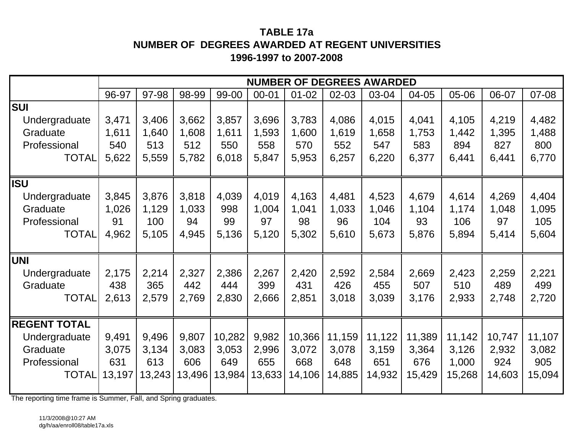# **TABLE 17aNUMBER OF DEGREES AWARDED AT REGENT UNIVERSITIES1996-1997 to 2007-2008**

|                     |        |        |        |        |           |           |        | <b>NUMBER OF DEGREES AWARDED</b> |        |        |        |        |
|---------------------|--------|--------|--------|--------|-----------|-----------|--------|----------------------------------|--------|--------|--------|--------|
|                     | 96-97  | 97-98  | 98-99  | 99-00  | $00 - 01$ | $01 - 02$ | 02-03  | 03-04                            | 04-05  | 05-06  | 06-07  | 07-08  |
| <b>SUI</b>          |        |        |        |        |           |           |        |                                  |        |        |        |        |
| Undergraduate       | 3,471  | 3,406  | 3,662  | 3,857  | 3,696     | 3,783     | 4,086  | 4,015                            | 4,041  | 4,105  | 4,219  | 4,482  |
| Graduate            | 1,611  | 1,640  | 1,608  | 1,611  | 1,593     | 1,600     | 1,619  | 1,658                            | 1,753  | 1,442  | 1,395  | 1,488  |
| Professional        | 540    | 513    | 512    | 550    | 558       | 570       | 552    | 547                              | 583    | 894    | 827    | 800    |
| <b>TOTAL</b>        | 5,622  | 5,559  | 5,782  | 6,018  | 5,847     | 5,953     | 6,257  | 6,220                            | 6,377  | 6,441  | 6,441  | 6,770  |
| <b>ISU</b>          |        |        |        |        |           |           |        |                                  |        |        |        |        |
| Undergraduate       | 3,845  | 3,876  | 3,818  | 4,039  | 4,019     | 4,163     | 4,481  | 4,523                            | 4,679  | 4,614  | 4,269  | 4,404  |
| Graduate            | 1,026  | 1,129  | 1,033  | 998    | 1,004     | 1,041     | 1,033  | 1,046                            | 1,104  | 1,174  | 1,048  | 1,095  |
| Professional        | 91     | 100    | 94     | 99     | 97        | 98        | 96     | 104                              | 93     | 106    | 97     | 105    |
| <b>TOTAL</b>        | 4,962  | 5,105  | 4,945  | 5,136  | 5,120     | 5,302     | 5,610  | 5,673                            | 5,876  | 5,894  | 5,414  | 5,604  |
| <b>UNI</b>          |        |        |        |        |           |           |        |                                  |        |        |        |        |
| Undergraduate       | 2,175  | 2,214  | 2,327  | 2,386  | 2,267     | 2,420     | 2,592  | 2,584                            | 2,669  | 2,423  | 2,259  | 2,221  |
| Graduate            | 438    | 365    | 442    | 444    | 399       | 431       | 426    | 455                              | 507    | 510    | 489    | 499    |
| <b>TOTAL</b>        | 2,613  | 2,579  | 2,769  | 2,830  | 2,666     | 2,851     | 3,018  | 3,039                            | 3,176  | 2,933  | 2,748  | 2,720  |
| <b>REGENT TOTAL</b> |        |        |        |        |           |           |        |                                  |        |        |        |        |
| Undergraduate       | 9,491  | 9,496  | 9,807  | 10,282 | 9,982     | 10,366    | 11,159 | 11,122                           | 11,389 | 11,142 | 10,747 | 11,107 |
| Graduate            | 3,075  | 3,134  | 3,083  | 3,053  | 2,996     | 3,072     | 3,078  | 3,159                            | 3,364  | 3,126  | 2,932  | 3,082  |
| Professional        | 631    | 613    | 606    | 649    | 655       | 668       | 648    | 651                              | 676    | 1,000  | 924    | 905    |
| <b>TOTAL</b>        | 13,197 | 13,243 | 13,496 | 13,984 | 13,633    | 14,106    | 14,885 | 14,932                           | 15,429 | 15,268 | 14,603 | 15,094 |

The reporting time frame is Summer, Fall, and Spring graduates.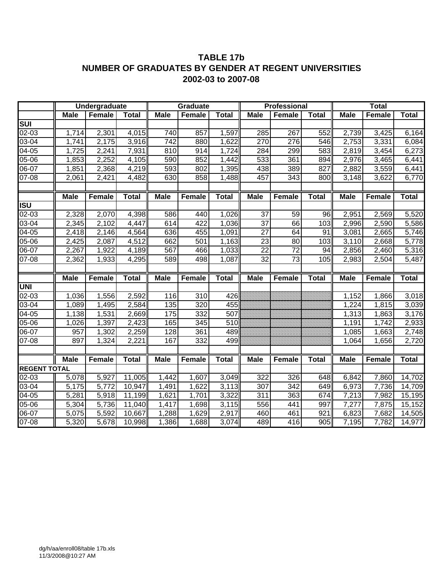# **TABLE 17b NUMBER OF GRADUATES BY GENDER AT REGENT UNIVERSITIES 2002-03 to 2007-08**

|                                   |             | Undergraduate |              |             | <b>Graduate</b> |                  |                 | Professional    |              |             | <b>Total</b>  |              |
|-----------------------------------|-------------|---------------|--------------|-------------|-----------------|------------------|-----------------|-----------------|--------------|-------------|---------------|--------------|
|                                   | <b>Male</b> | <b>Female</b> | <b>Total</b> | <b>Male</b> | Female          | <b>Total</b>     | <b>Male</b>     | Female          | <b>Total</b> | <b>Male</b> | Female        | <b>Total</b> |
| $\overline{\mathsf{s}\mathsf{u}}$ |             |               |              |             |                 |                  |                 |                 |              |             |               |              |
| $02 - 03$                         | 1,714       | 2,301         | 4,015        | 740         | 857             | 1,597            | 285             | 267             | 552          | 2,739       | 3,425         | 6,164        |
| $\overline{0}3-04$                | 1,741       | 2,175         | 3,916        | 742         | 880             | 1,622            | 270             | 276             | 546          | 2,753       | 3,331         | 6,084        |
| $\overline{0}$ 4-05               | 1,725       | 2,241         | 7,931        | 810         | 914             | 1,724            | 284             | 299             | 583          | 2,819       | 3,454         | 6,273        |
| $05-06$                           | 1,853       | 2,252         | 4,105        | 590         | 852             | 1,442            | 533             | 361             | 894          | 2,976       | 3,465         | 6,441        |
| $06-07$                           | 1,851       | 2,368         | 4,219        | 593         | 802             | 1,395            | 438             | 389             | 827          | 2,882       | 3,559         | 6,441        |
| $07 - 08$                         | 2,061       | 2,421         | 4,482        | 630         | 858             | 1,488            | 457             | 343             | 800          | 3,148       | 3,622         | 6,770        |
|                                   |             |               |              |             |                 |                  |                 |                 |              |             |               |              |
|                                   | <b>Male</b> | Female        | <b>Total</b> | <b>Male</b> | Female          | <b>Total</b>     | <b>Male</b>     | Female          | <b>Total</b> | <b>Male</b> | <b>Female</b> | <b>Total</b> |
| ISU                               |             |               |              |             |                 |                  |                 |                 |              |             |               |              |
| 02-03                             | 2,328       | 2,070         | 4,398        | 586         | 440             | 1,026            | 37              | 59              | 96           | 2,951       | 2,569         | 5,520        |
| $03-04$                           | 2,345       | 2,102         | 4,447        | 614         | 422             | 1,036            | $\overline{37}$ | 66              | 103          | 2,996       | 2,590         | 5,586        |
| 04-05                             | 2,418       | 2,146         | 4,564        | 636         | 455             | 1,091            | 27              | 64              | 91           | 3,081       | 2,665         | 5,746        |
| 05-06                             | 2,425       | 2,087         | 4,512        | 662         | 501             | 1,163            | $\overline{23}$ | 80              | 103          | 3,110       | 2,668         | 5,778        |
| 06-07                             | 2,267       | 1,922         | 4,189        | 567         | 466             | 1,033            | $\overline{22}$ | $\overline{72}$ | 94           | 2,856       | 2,460         | 5,316        |
| 07-08                             | 2,362       | 1,933         | 4,295        | 589         | 498             | 1,087            | $\overline{32}$ | $\overline{73}$ | 105          | 2,983       | 2,504         | 5,487        |
|                                   |             |               |              |             |                 |                  |                 |                 |              |             |               |              |
|                                   | <b>Male</b> | Female        | <b>Total</b> | <b>Male</b> | Female          | <b>Total</b>     | <b>Male</b>     | <b>Female</b>   | <b>Total</b> | <b>Male</b> | <b>Female</b> | <b>Total</b> |
| <b>UNI</b>                        |             |               |              |             |                 |                  |                 |                 |              |             |               |              |
| $\sqrt{02-03}$                    | 1,036       | 1,556         | 2,592        | 116         | 310             | 426              |                 |                 |              | 1,152       | 1,866         | 3,018        |
| $03 - 04$                         | 1,089       | 1,495         | 2,584        | 135         | 320             | 455              |                 |                 |              | 1,224       | 1,815         | 3,039        |
| 04-05                             | 1,138       | 1,531         | 2,669        | 175         | 332             | 507              |                 |                 |              | 1,313       | 1,863         | 3,176        |
| $05-06$                           | 1,026       | 1,397         | 2,423        | 165         | 345             | $\overline{510}$ |                 |                 |              | 1,191       | 1,742         | 2,933        |
| 06-07                             | 957         | 1,302         | 2,259        | 128         | 361             | 489              |                 |                 |              | 1,085       | 1,663         | 2,748        |
| $07 - 08$                         | 897         | 1,324         | 2,221        | 167         | 332             | 499              |                 |                 |              | 1,064       | 1,656         | 2,720        |
|                                   |             |               |              |             |                 |                  |                 |                 |              |             |               |              |
|                                   | <b>Male</b> | Female        | <b>Total</b> | <b>Male</b> | Female          | <b>Total</b>     | <b>Male</b>     | Female          | <b>Total</b> | <b>Male</b> | Female        | <b>Total</b> |
| <b>REGENT TOTAL</b>               |             |               |              |             |                 |                  |                 |                 |              |             |               |              |
| 02-03                             | 5,078       | 5,927         | 11,005       | 1,442       | 1,607           | 3,049            | 322             | 326             | 648          | 6,842       | 7,860         | 14,702       |
| 03-04                             | 5,175       | 5,772         | 10,947       | 1,491       | 1,622           | 3,113            | 307             | 342             | 649          | 6,973       | 7,736         | 14,709       |
| 04-05                             | 5,281       | 5,918         | 11,199       | 1,621       | 1,701           | 3,322            | 311             | 363             | 674          | 7,213       | 7,982         | 15,195       |
| 05-06                             | 5,304       | 5,736         | 11,040       | 1,417       | 1,698           | 3,115            | 556             | 441             | 997          | 7,277       | 7,875         | 15,152       |
| $06-07$                           | 5,075       | 5,592         | 10,667       | 1,288       | 1,629           | 2,917            | 460             | 461             | 921          | 6,823       | 7,682         | 14,505       |
| 07-08                             | 5,320       | 5,678         | 10,998       | 1,386       | 1,688           | 3,074            | 489             | 416             | 905          | 7,195       | 7,782         | 14,977       |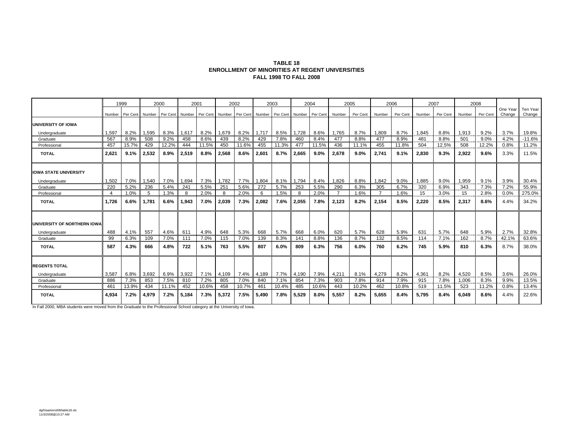#### **TABLE 18 ENROLLMENT OF MINORITIES AT REGENT UNIVERSITIESFALL 1998 TO FALL 2008**

|                              |        | 1999     |        | 2000     |        | 2001     |       | 2002                   |       | 2003     |        | 2004     |                | 2005     |                | 2006     | 2007   |          |        | 2008     |                    |                    |
|------------------------------|--------|----------|--------|----------|--------|----------|-------|------------------------|-------|----------|--------|----------|----------------|----------|----------------|----------|--------|----------|--------|----------|--------------------|--------------------|
|                              | Number | Per Cent | Number | Per Cent | Number | Per Cent |       | Number Per Cent Number |       | Per Cent | Number | Per Cent | Number         | Per Cent | Number         | Per Cent | Number | Per Cent | Number | Per Cent | One Year<br>Change | Ten Year<br>Change |
| UNIVERSITY OF IOWA           |        |          |        |          |        |          |       |                        |       |          |        |          |                |          |                |          |        |          |        |          |                    |                    |
| Undergraduate                | 1,597  | 8.2%     | 1,595  | 8.3%     | 1,617  | 8.2%     | 1,679 | 8.2%                   | 1,717 | 8.5%     | 1,728  | 8.6%     | 1,765          | 8.7%     | 1,809          | 8.7%     | 1.845  | 8.8%     | 1,913  | 9.2%     | 3.7%               | 19.8%              |
| Graduate                     | 567    | 8.9%     | 508    | 9.2%     | 458    | 8.6%     | 439   | 8.2%                   | 429   | 7.8%     | 460    | 8.4%     | 477            | 8.8%     | 477            | 8.9%     | 481    | 8.8%     | 501    | 9.0%     | 4.2%               | $-11.6%$           |
| Professional                 | 457    | 15.7%    | 429    | 12.2%    | 444    | 11.5%    | 450   | 11.6%                  | 455   | 11.3%    | 477    | 11.5%    | 436            | 11.1%    | 455            | 11.8%    | 504    | 12.5%    | 508    | 12.2%    | 0.8%               | 11.2%              |
| <b>TOTAL</b>                 | 2.621  | 9.1%     | 2,532  | 8.9%     | 2,519  | 8.8%     | 2,568 | 8.6%                   | 2.601 | 8.7%     | 2.665  | $9.0\%$  | 2.678          | 9.0%     | 2.741          | 9.1%     | 2.830  | 9.3%     | 2,922  | 9.6%     | 3.3%               | 11.5%              |
| <b>IOWA STATE UNIVERSITY</b> |        |          |        |          |        |          |       |                        |       |          |        |          |                |          |                |          |        |          |        |          |                    |                    |
| Undergraduate                | 1,502  | 7.0%     | 1,540  | 7.0%     | 1,694  | 7.3%     | 1,782 | 7.7%                   | 1,804 | 8.1%     | 1,794  | 8.4%     | 1,826          | 8.8%     | 1.842          | 9.0%     | 1.885  | 9.0%     | 1.959  | 9.1%     | 3.9%               | 30.4%              |
| Graduate                     | 220    | 5.2%     | 236    | 5.4%     | 241    | 5.5%     | 251   | 5.6%                   | 272   | 5.7%     | 253    | 5.5%     | 290            | 6.3%     | 305            | 6.7%     | 320    | 6.9%     | 343    | 7.3%     | 7.2%               | 55.9%              |
| Professional                 |        | 1.0%     | 5      | 1.3%     | 8      | 2.0%     | 8     | 2.0%                   | 6     | 1.5%     | 8      | 2.0%     | $\overline{7}$ | 1.6%     | $\overline{7}$ | 1.6%     | 15     | 3.0%     | 15     | 2.8%     | 0.0%               | 275.0%             |
| <b>TOTAL</b>                 | 1.726  | 6.6%     | 1.781  | 6.6%     | 1.943  | 7.0%     | 2,039 | 7.3%                   | 2.082 | 7.6%     | 2.055  | 7.8%     | 2,123          | 8.2%     | 2.154          | 8.5%     | 2.220  | 8.5%     | 2,317  | 8.6%     | 4.4%               | 34.2%              |
| UNIVERSITY OF NORTHERN IOWA  |        |          |        |          |        |          |       |                        |       |          |        |          |                |          |                |          |        |          |        |          |                    |                    |
| Undergraduate                | 488    | 4.1%     | 557    | 4.6%     | 611    | 4.9%     | 648   | 5.3%                   | 668   | 5.7%     | 668    | 6.0%     | 620            | 5.7%     | 628            | 5.9%     | 631    | 5.7%     | 648    | 5.9%     | 2.7%               | 32.8%              |
| Graduate                     | 99     | 6.3%     | 109    | 7.0%     | 111    | 7.0%     | 115   | 7.0%                   | 139   | 8.3%     | 141    | 8.8%     | 136            | 8.7%     | 132            | 8.5%     | 114    | 7.1%     | 162    | 8.7%     | 42.1%              | 63.6%              |
| <b>TOTAL</b>                 | 587    | 4.3%     | 666    | 4.8%     | 722    | 5.1%     | 763   | 5.5%                   | 807   | 6.0%     | 809    | 6.3%     | 756            | 6.0%     | 760            | 6.2%     | 745    | 5.9%     | 810    | 6.3%     | 8.7%               | 38.0%              |
| <b>REGENTS TOTAL</b>         |        |          |        |          |        |          |       |                        |       |          |        |          |                |          |                |          |        |          |        |          |                    |                    |
| Undergraduate                | 3,587  | 6.8%     | 3,692  | 6.9%     | 3,922  | 7.1%     | 4,109 | 7.4%                   | 4,189 | 7.7%     | 4,190  | 7.9%     | 4,211          | 8.1%     | 4,279          | 8.2%     | 4,361  | 8.2%     | 4,520  | 8.5%     | 3.6%               | 26.0%              |
| Graduate                     | 886    | 7.3%     | 853    | 7.5%     | 810    | 7.2%     | 805   | 7.0%                   | 840   | 7.1%     | 854    | 7.3%     | 903            | 7.8%     | 914            | 7.9%     | 915    | 7.8%     | 1.006  | 8.3%     | 9.9%               | 13.5%              |
| Professional                 | 461    | 13.9%    | 434    | 11.1%    | 452    | 10.6%    | 458   | 10.7%                  | 461   | 10.4%    | 485    | 10.6%    | 443            | 10.2%    | 462            | 10.8%    | 519    | 11.5%    | 523    | 11.2%    | 0.8%               | 13.4%              |
| <b>TOTAL</b>                 | 4.934  | 7.2%     | 4,979  | 7.2%     | 5,184  | 7.3%     | 5,372 | 7.5%                   | 5.490 | 7.8%     | 5,529  | 8.0%     | 5,557          | 8.2%     | 5.655          | 8.4%     | 5.795  | 8.4%     | 6,049  | 8.6%     | 4.4%               | 22.6%              |

In Fall 2000, MBA students were moved from the Graduate to the Professional School category at the University of Iowa.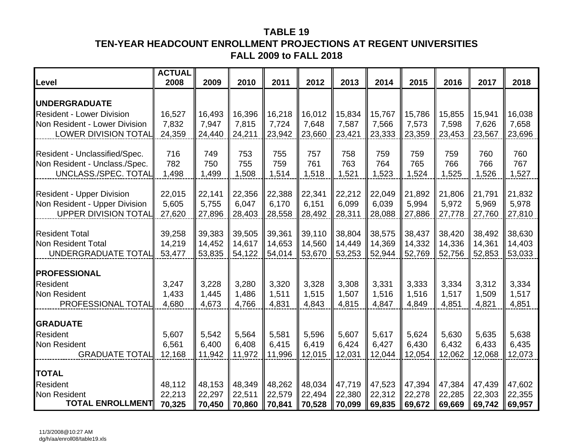# **TABLE 19TEN-YEAR HEADCOUNT ENROLLMENT PROJECTIONS AT REGENT UNIVERSITIES FALL 2009 to FALL 2018**

| Level                                                    | <b>ACTUAL</b><br>2008 | 2009   | 2010   | 2011   | 2012   | 2013   | 2014   | 2015   | 2016   | 2017   | 2018   |
|----------------------------------------------------------|-----------------------|--------|--------|--------|--------|--------|--------|--------|--------|--------|--------|
|                                                          |                       |        |        |        |        |        |        |        |        |        |        |
| <b>UNDERGRADUATE</b><br><b>Resident - Lower Division</b> | 16,527                | 16,493 | 16,396 | 16,218 | 16,012 | 15,834 | 15,767 | 15,786 | 15,855 | 15,941 | 16,038 |
| Non Resident - Lower Division                            | 7,832                 | 7,947  | 7,815  | 7,724  | 7,648  | 7,587  | 7,566  | 7,573  | 7,598  | 7,626  | 7,658  |
| LOWER DIVISION TOTAL                                     | 24,359                | 24,440 | 24,211 | 23,942 | 23,660 | 23,421 | 23,333 | 23,359 | 23,453 | 23,567 | 23,696 |
|                                                          |                       |        |        |        |        |        |        |        |        |        |        |
| Resident - Unclassified/Spec.                            | 716                   | 749    | 753    | 755    | 757    | 758    | 759    | 759    | 759    | 760    | 760    |
| Non Resident - Unclass./Spec.                            | 782                   | 750    | 755    | 759    | 761    | 763    | 764    | 765    | 766    | 766    | 767    |
| UNCLASS./SPEC. TOTAL                                     | 1,498                 | 1,499  | 1,508  | 1,514  | 1,518  | 1,521  | 1,523  | 1,524  | 1,525  | 1,526  | 1,527  |
|                                                          |                       |        |        |        |        |        |        |        |        |        |        |
| <b>Resident - Upper Division</b>                         | 22,015                | 22,141 | 22,356 | 22,388 | 22,341 | 22,212 | 22,049 | 21,892 | 21,806 | 21,791 | 21,832 |
| Non Resident - Upper Division                            | 5,605                 | 5,755  | 6,047  | 6,170  | 6,151  | 6,099  | 6,039  | 5,994  | 5,972  | 5,969  | 5,978  |
| UPPER DIVISION TOTAL                                     | 27,620                | 27,896 | 28,403 | 28,558 | 28,492 | 28,311 | 28,088 | 27,886 | 27,778 | 27,760 | 27,810 |
| <b>Resident Total</b>                                    | 39,258                | 39,383 | 39,505 | 39,361 | 39,110 | 38,804 | 38,575 | 38,437 | 38,420 | 38,492 | 38,630 |
| <b>Non Resident Total</b>                                | 14,219                | 14,452 | 14,617 | 14,653 | 14,560 | 14,449 | 14,369 | 14,332 | 14,336 | 14,361 | 14,403 |
| UNDERGRADUATE TOTAL                                      | 53,477                | 53,835 | 54,122 | 54,014 | 53,670 | 53,253 | 52,944 | 52,769 | 52,756 | 52,853 | 53,033 |
|                                                          |                       |        |        |        |        |        |        |        |        |        |        |
| <b>PROFESSIONAL</b>                                      |                       |        |        |        |        |        |        |        |        |        |        |
| <b>Resident</b>                                          | 3,247                 | 3,228  | 3,280  | 3,320  | 3,328  | 3,308  | 3,331  | 3,333  | 3,334  | 3,312  | 3,334  |
| <b>Non Resident</b>                                      | 1,433                 | 1,445  | 1,486  | 1,511  | 1,515  | 1,507  | 1,516  | 1,516  | 1,517  | 1,509  | 1,517  |
| PROFESSIONAL TOTAL                                       | 4,680                 | 4,673  | 4,766  | 4,831  | 4,843  | 4,815  | 4,847  | 4,849  | 4,851  | 4,821  | 4,851  |
| <b>GRADUATE</b>                                          |                       |        |        |        |        |        |        |        |        |        |        |
| <b>Resident</b>                                          | 5,607                 | 5,542  | 5,564  | 5,581  | 5,596  | 5,607  | 5,617  | 5,624  | 5,630  | 5,635  | 5,638  |
| Non Resident                                             | 6,561                 | 6,400  | 6,408  | 6,415  | 6,419  | 6,424  | 6,427  | 6,430  | 6,432  | 6,433  | 6,435  |
| <b>GRADUATE TOTAL</b>                                    | 12,168                | 11,942 | 11,972 | 11,996 | 12,015 | 12,031 | 12,044 | 12,054 | 12,062 | 12,068 | 12,073 |
|                                                          |                       |        |        |        |        |        |        |        |        |        |        |
| <b>TOTAL</b>                                             |                       |        |        |        |        |        |        |        |        |        |        |
| <b>Resident</b>                                          | 48,112                | 48,153 | 48,349 | 48,262 | 48,034 | 47,719 | 47,523 | 47,394 | 47,384 | 47,439 | 47,602 |
| Non Resident                                             | 22,213                | 22,297 | 22,511 | 22,579 | 22,494 | 22,380 | 22,312 | 22,278 | 22,285 | 22,303 | 22,355 |
| <b>TOTAL ENROLLMENT</b>                                  | 70,325                | 70,450 | 70,860 | 70,841 | 70,528 | 70,099 | 69,835 | 69,672 | 69,669 | 69,742 | 69,957 |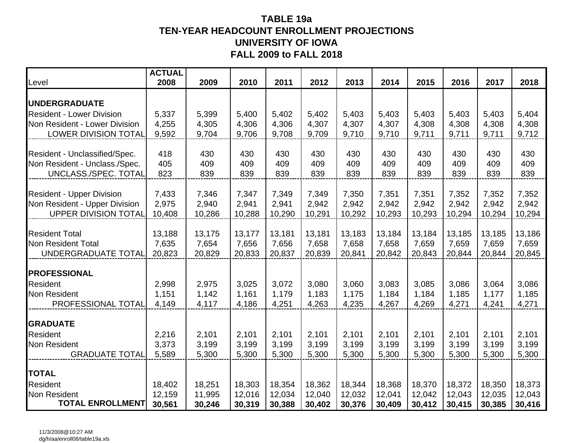# **TABLE 19a TEN-YEAR HEADCOUNT ENROLLMENT PROJECTIONS UNIVERSITY OF IOWAFALL 2009 to FALL 2018**

| Level                                                        | <b>ACTUAL</b><br>2008 | 2009   | 2010   | 2011   | 2012   | 2013   | 2014   | 2015   | 2016   | 2017   | 2018   |
|--------------------------------------------------------------|-----------------------|--------|--------|--------|--------|--------|--------|--------|--------|--------|--------|
| <b>UNDERGRADUATE</b>                                         |                       |        |        |        |        |        |        |        |        |        |        |
| <b>Resident - Lower Division</b>                             | 5,337                 | 5,399  | 5,400  | 5,402  | 5,402  | 5,403  | 5,403  | 5,403  | 5,403  | 5,403  | 5,404  |
| Non Resident - Lower Division                                | 4,255                 | 4,305  | 4,306  | 4,306  | 4,307  | 4,307  | 4,307  | 4,308  | 4,308  | 4,308  | 4,308  |
| <b>LOWER DIVISION TOTAL</b>                                  | 9,592                 | 9,704  | 9,706  | 9,708  | 9,709  | 9,710  | 9,710  | 9,711  | 9,711  | 9,711  | 9,712  |
| Resident - Unclassified/Spec.                                | 418                   | 430    | 430    | 430    | 430    | 430    | 430    | 430    | 430    | 430    | 430    |
| Non Resident - Unclass./Spec.                                | 405                   | 409    | 409    | 409    | 409    | 409    | 409    | 409    | 409    | 409    | 409    |
| UNCLASS./SPEC. TOTAL                                         | 823                   | 839    | 839    | 839    | 839    | 839    | 839    | 839    | 839    | 839    | 839    |
|                                                              |                       |        |        |        |        |        |        |        |        |        |        |
| <b>Resident - Upper Division</b>                             | 7,433                 | 7,346  | 7,347  | 7,349  | 7,349  | 7,350  | 7,351  | 7,351  | 7,352  | 7,352  | 7,352  |
| Non Resident - Upper Division<br><b>UPPER DIVISION TOTAL</b> | 2,975                 | 2,940  | 2,941  | 2,941  | 2,942  | 2,942  | 2,942  | 2,942  | 2,942  | 2,942  | 2,942  |
|                                                              | 10,408                | 10,286 | 10,288 | 10,290 | 10,291 | 10,292 | 10,293 | 10,293 | 10,294 | 10,294 | 10,294 |
| <b>Resident Total</b>                                        | 13,188                | 13,175 | 13,177 | 13,181 | 13,181 | 13,183 | 13,184 | 13,184 | 13,185 | 13,185 | 13,186 |
| <b>Non Resident Total</b>                                    | 7,635                 | 7,654  | 7,656  | 7,656  | 7,658  | 7,658  | 7,658  | 7,659  | 7,659  | 7,659  | 7,659  |
| UNDERGRADUATE TOTAL                                          | 20,823                | 20,829 | 20,833 | 20,837 | 20,839 | 20,841 | 20,842 | 20,843 | 20,844 | 20,844 | 20,845 |
| <b>PROFESSIONAL</b>                                          |                       |        |        |        |        |        |        |        |        |        |        |
| <b>Resident</b>                                              | 2,998                 | 2,975  | 3,025  | 3,072  | 3,080  | 3,060  | 3,083  | 3,085  | 3,086  | 3,064  | 3,086  |
| <b>Non Resident</b>                                          | 1,151                 | 1,142  | 1,161  | 1,179  | 1,183  | 1,175  | 1,184  | 1,184  | 1,185  | 1,177  | 1,185  |
| PROFESSIONAL TOTAL                                           | 4,149                 | 4,117  | 4,186  | 4,251  | 4,263  | 4,235  | 4,267  | 4,269  | 4,271  | 4,241  | 4,271  |
|                                                              |                       |        |        |        |        |        |        |        |        |        |        |
| <b>GRADUATE</b>                                              |                       |        |        |        |        |        |        |        |        |        |        |
| <b>Resident</b>                                              | 2,216                 | 2,101  | 2,101  | 2,101  | 2,101  | 2,101  | 2,101  | 2,101  | 2,101  | 2,101  | 2,101  |
| Non Resident                                                 | 3,373                 | 3,199  | 3,199  | 3,199  | 3,199  | 3,199  | 3,199  | 3,199  | 3,199  | 3,199  | 3,199  |
| <b>GRADUATE TOTAL</b>                                        | 5,589                 | 5,300  | 5,300  | 5,300  | 5,300  | 5,300  | 5,300  | 5,300  | 5,300  | 5,300  | 5,300  |
| <b>TOTAL</b>                                                 |                       |        |        |        |        |        |        |        |        |        |        |
| <b>Resident</b>                                              | 18,402                | 18,251 | 18,303 | 18,354 | 18,362 | 18,344 | 18,368 | 18,370 | 18,372 | 18,350 | 18,373 |
| <b>Non Resident</b>                                          | 12,159                | 11,995 | 12,016 | 12,034 | 12,040 | 12,032 | 12,041 | 12,042 | 12,043 | 12,035 | 12,043 |
| <b>TOTAL ENROLLMENT</b>                                      | 30,561                | 30,246 | 30,319 | 30,388 | 30,402 | 30,376 | 30,409 | 30,412 | 30,415 | 30,385 | 30,416 |

11/3/2008@10:27 AMdg/h/aa/enroll08/table19a.xls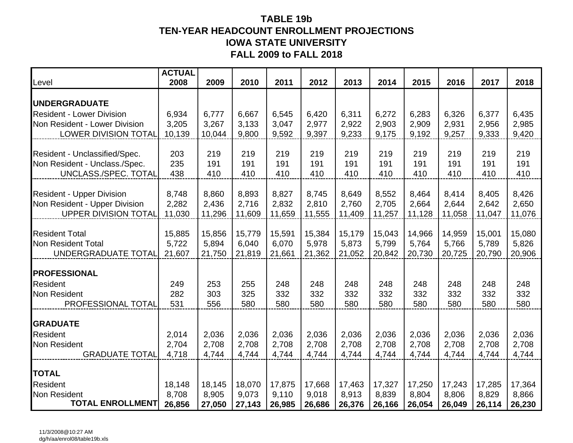# **TABLE 19b TEN-YEAR HEADCOUNT ENROLLMENT PROJECTIONS IOWA STATE UNIVERSITY FALL 2009 to FALL 2018**

| Level                                                        | <b>ACTUAL</b><br>2008 | 2009            | 2010            | 2011            | 2012            | 2013            | 2014            | 2015            | 2016            | 2017            | 2018           |
|--------------------------------------------------------------|-----------------------|-----------------|-----------------|-----------------|-----------------|-----------------|-----------------|-----------------|-----------------|-----------------|----------------|
|                                                              |                       |                 |                 |                 |                 |                 |                 |                 |                 |                 |                |
| <b>UNDERGRADUATE</b>                                         |                       |                 |                 |                 |                 |                 |                 |                 |                 |                 |                |
| <b>Resident - Lower Division</b>                             | 6,934                 | 6,777           | 6,667           | 6,545           | 6,420           | 6,311           | 6,272           | 6,283           | 6,326           | 6,377           | 6,435          |
| Non Resident - Lower Division<br><b>LOWER DIVISION TOTAL</b> | 3,205<br>10,139       | 3,267<br>10,044 | 3,133<br>9,800  | 3,047<br>9,592  | 2,977<br>9,397  | 2,922<br>9,233  | 2,903<br>9,175  | 2,909<br>9,192  | 2,931<br>9,257  | 2,956<br>9,333  | 2,985<br>9,420 |
|                                                              |                       |                 |                 |                 |                 |                 |                 |                 |                 |                 |                |
| Resident - Unclassified/Spec.                                | 203                   | 219             | 219             | 219             | 219             | 219             | 219             | 219             | 219             | 219             | 219            |
| Non Resident - Unclass./Spec.                                | 235                   | 191             | 191             | 191             | 191             | 191             | 191             | 191             | 191             | 191             | 191            |
| UNCLASS./SPEC. TOTAL                                         | 438                   | 410             | 410             | 410             | 410             | 410             | 410             | 410             | 410             | 410             | 410            |
|                                                              |                       |                 |                 |                 |                 |                 |                 |                 |                 |                 |                |
| <b>Resident - Upper Division</b>                             | 8,748                 | 8,860           | 8,893           | 8,827           | 8,745           | 8,649           | 8,552           | 8,464           | 8,414           | 8,405           | 8,426          |
| Non Resident - Upper Division                                | 2,282                 | 2,436           | 2,716           | 2,832           | 2,810           | 2,760           | 2,705           | 2,664           | 2,644           | 2,642           | 2,650          |
| <b>UPPER DIVISION TOTAL</b>                                  | 11,030                | 11,296          | 11,609          | 11,659          | 11,555          | 11,409          | 11,257          | 11,128          | 11,058          | 11,047          | 11,076         |
| <b>Resident Total</b>                                        |                       |                 |                 |                 |                 |                 |                 |                 |                 |                 | 15,080         |
| Non Resident Total                                           | 15,885<br>5,722       | 15,856<br>5,894 | 15,779<br>6,040 | 15,591<br>6,070 | 15,384<br>5,978 | 15,179<br>5,873 | 15,043<br>5,799 | 14,966<br>5,764 | 14,959<br>5,766 | 15,001<br>5,789 | 5,826          |
| UNDERGRADUATE TOTAL                                          | 21,607                | 21,750          | 21,819          | 21,661          | 21,362          | 21,052          | 20,842          | 20,730          | 20,725          | 20,790          | 20,906         |
|                                                              |                       |                 |                 |                 |                 |                 |                 |                 |                 |                 |                |
| <b>PROFESSIONAL</b>                                          |                       |                 |                 |                 |                 |                 |                 |                 |                 |                 |                |
| <b>Resident</b>                                              | 249                   | 253             | 255             | 248             | 248             | 248             | 248             | 248             | 248             | 248             | 248            |
| Non Resident                                                 | 282                   | 303             | 325             | 332             | 332             | 332             | 332             | 332             | 332             | 332             | 332            |
| PROFESSIONAL TOTAL                                           | 531                   | 556             | 580             | 580             | 580             | 580             | 580             | 580             | 580             | 580             | 580            |
| <b>GRADUATE</b>                                              |                       |                 |                 |                 |                 |                 |                 |                 |                 |                 |                |
| <b>Resident</b>                                              | 2,014                 | 2,036           | 2,036           | 2,036           | 2,036           | 2,036           | 2,036           | 2,036           | 2,036           | 2,036           | 2,036          |
| Non Resident                                                 | 2,704                 | 2,708           | 2,708           | 2,708           | 2,708           | 2,708           | 2,708           | 2,708           | 2,708           | 2,708           | 2,708          |
| <b>GRADUATE TOTAL</b>                                        | 4,718                 | 4,744           | 4,744           | 4,744           | 4,744           | 4,744           | 4,744           | 4,744           | 4,744           | 4,744           | 4,744          |
|                                                              |                       |                 |                 |                 |                 |                 |                 |                 |                 |                 |                |
| <b>TOTAL</b>                                                 |                       |                 |                 |                 |                 |                 |                 |                 |                 |                 |                |
| Resident                                                     | 18,148                | 18,145          | 18,070          | 17,875          | 17,668          | 17,463          | 17,327          | 17,250          | 17,243          | 17,285          | 17,364         |
| Non Resident                                                 | 8,708                 | 8,905           | 9,073           | 9,110           | 9,018           | 8,913           | 8,839           | 8,804           | 8,806           | 8,829           | 8,866          |
| <b>TOTAL ENROLLMENT</b>                                      | 26,856                | 27,050          | 27,143          | 26,985          | 26,686          | 26,376          | 26,166          | 26,054          | 26,049          | 26,114          | 26,230         |

11/3/2008@10:27 AMdg/h/aa/enrol08/table19b.xls